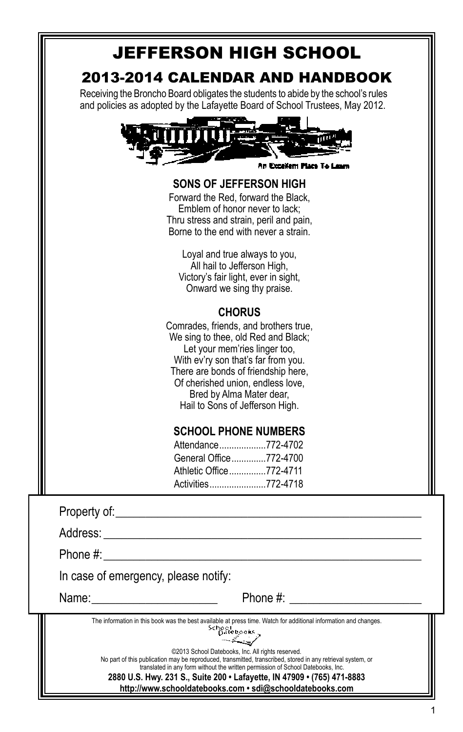| <b>JEFFERSON HIGH SCHOOL</b>                                                                                                                                                                                                                                                                                              |
|---------------------------------------------------------------------------------------------------------------------------------------------------------------------------------------------------------------------------------------------------------------------------------------------------------------------------|
| 2013-2014 CALENDAR AND HANDBOOK<br>Receiving the Broncho Board obligates the students to abide by the school's rules<br>and policies as adopted by the Lafayette Board of School Trustees, May 2012.                                                                                                                      |
|                                                                                                                                                                                                                                                                                                                           |
| An Excellem Place To I                                                                                                                                                                                                                                                                                                    |
| SONS OF JEFFERSON HIGH<br>Forward the Red, forward the Black,<br>Emblem of honor never to lack;<br>Thru stress and strain, peril and pain,<br>Borne to the end with never a strain.<br>Loyal and true always to you,<br>All hail to Jefferson High,<br>Victory's fair light, ever in sight,<br>Onward we sing thy praise. |
| <b>CHORUS</b>                                                                                                                                                                                                                                                                                                             |
| Comrades, friends, and brothers true,<br>We sing to thee, old Red and Black;<br>Let your mem'ries linger too,<br>With ev'ry son that's far from you.<br>There are bonds of friendship here,<br>Of cherished union, endless love,<br>Bred by Alma Mater dear,<br>Hail to Sons of Jefferson High.                           |
| <b>SCHOOL PHONE NUMBERS</b>                                                                                                                                                                                                                                                                                               |
| Attendance772-4702                                                                                                                                                                                                                                                                                                        |
| General Office 772-4700                                                                                                                                                                                                                                                                                                   |
| Athletic Office772-4711<br>Activities772-4718                                                                                                                                                                                                                                                                             |
|                                                                                                                                                                                                                                                                                                                           |
|                                                                                                                                                                                                                                                                                                                           |
| Phone #:                                                                                                                                                                                                                                                                                                                  |
| In case of emergency, please notify:                                                                                                                                                                                                                                                                                      |
| Phone #:<br>Name:                                                                                                                                                                                                                                                                                                         |
| The information in this book was the best available at press time. Watch for additional information and changes.<br>School<br>Datebooks                                                                                                                                                                                   |
|                                                                                                                                                                                                                                                                                                                           |

©2013 School Datebooks, Inc. All rights reserved.<br>No part of this publication may be reproduced, transmitted, transcribed, stored in any retrieval system, or<br>2880 U.S. Hwy. 231 S., Suite 200 • Lafayette, IN 47909 • (765) 4

**http://www.schooldatebooks.com • sdi@schooldatebooks.com**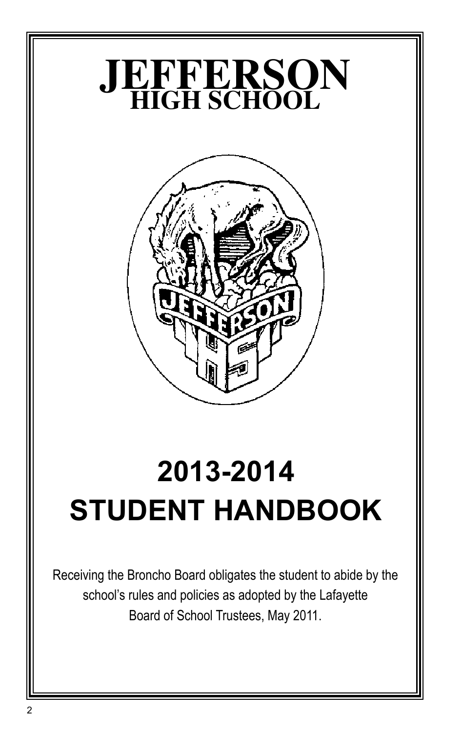

# **2013-2014 STUDENT HANDBOOK**

Receiving the Broncho Board obligates the student to abide by the school's rules and policies as adopted by the Lafayette Board of School Trustees, May 2011.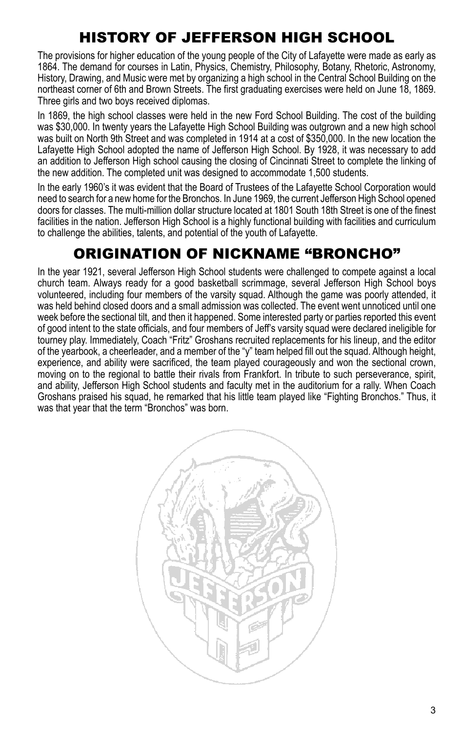# History of Jefferson High School

The provisions for higher education of the young people of the City of Lafayette were made as early as 1864. The demand for courses in Latin, Physics, Chemistry, Philosophy, Botany, Rhetoric, Astronomy, History, Drawing, and Music were met by organizing a high school in the Central School Building on the northeast corner of 6th and Brown Streets. The first graduating exercises were held on June 18, 1869. Three girls and two boys received diplomas.

In 1869, the high school classes were held in the new Ford School Building. The cost of the building was \$30,000. In twenty years the Lafayette High School Building was outgrown and a new high school was built on North 9th Street and was completed in 1914 at a cost of \$350,000. In the new location the Lafayette High School adopted the name of Jefferson High School. By 1928, it was necessary to add an addition to Jefferson High school causing the closing of Cincinnati Street to complete the linking of the new addition. The completed unit was designed to accommodate 1,500 students.

In the early 1960's it was evident that the Board of Trustees of the Lafayette School Corporation would need to search for a new home for the Bronchos. In June 1969, the current Jefferson High School opened doors for classes. The multi-million dollar structure located at 1801 South 18th Street is one of the finest facilities in the nation. Jefferson High School is a highly functional building with facilities and curriculum to challenge the abilities, talents, and potential of the youth of Lafayette.

# Origination of Nickname "Broncho"

In the year 1921, several Jefferson High School students were challenged to compete against a local church team. Always ready for a good basketball scrimmage, several Jefferson High School boys volunteered, including four members of the varsity squad. Although the game was poorly attended, it was held behind closed doors and a small admission was collected. The event went unnoticed until one week before the sectional tilt, and then it happened. Some interested party or parties reported this event of good intent to the state officials, and four members of Jeff's varsity squad were declared ineligible for tourney play. Immediately, Coach "Fritz" Groshans recruited replacements for his lineup, and the editor of the yearbook, a cheerleader, and a member of the "y" team helped fill out the squad. Although height, experience, and ability were sacrificed, the team played courageously and won the sectional crown, moving on to the regional to battle their rivals from Frankfort. In tribute to such perseverance, spirit, and ability, Jefferson High School students and faculty met in the auditorium for a rally. When Coach Groshans praised his squad, he remarked that his little team played like "Fighting Bronchos." Thus, it was that year that the term "Bronchos" was born.

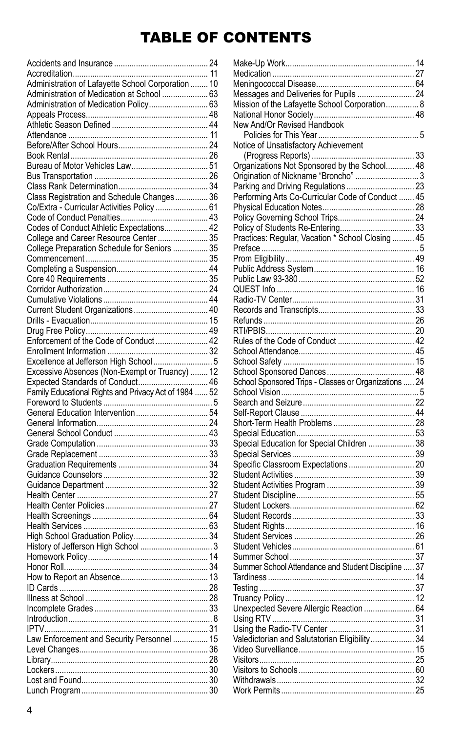# Table of Contents

| Administration of Lafayette School Corporation  10                                        |  |
|-------------------------------------------------------------------------------------------|--|
| Administration of Medication at School  63                                                |  |
| Administration of Medication Policy 63                                                    |  |
|                                                                                           |  |
|                                                                                           |  |
|                                                                                           |  |
|                                                                                           |  |
|                                                                                           |  |
|                                                                                           |  |
|                                                                                           |  |
|                                                                                           |  |
| Class Registration and Schedule Changes 36                                                |  |
| Co/Extra - Curricular Activities Policy  61                                               |  |
|                                                                                           |  |
| Codes of Conduct Athletic Expectations 42                                                 |  |
| College and Career Resource Center  35                                                    |  |
| College Preparation Schedule for Seniors  35                                              |  |
|                                                                                           |  |
|                                                                                           |  |
|                                                                                           |  |
|                                                                                           |  |
|                                                                                           |  |
|                                                                                           |  |
|                                                                                           |  |
|                                                                                           |  |
| Enforcement of the Code of Conduct 42                                                     |  |
|                                                                                           |  |
|                                                                                           |  |
| Excellence at Jefferson High School  5<br>Excessive Absences (Non-Exempt or Truancy)  12  |  |
|                                                                                           |  |
|                                                                                           |  |
|                                                                                           |  |
| Expected Standards of Conduct 46<br>Family Educational Rights and Privacy Act of 1984  52 |  |
|                                                                                           |  |
|                                                                                           |  |
|                                                                                           |  |
|                                                                                           |  |
|                                                                                           |  |
|                                                                                           |  |
|                                                                                           |  |
|                                                                                           |  |
|                                                                                           |  |
|                                                                                           |  |
|                                                                                           |  |
|                                                                                           |  |
|                                                                                           |  |
|                                                                                           |  |
|                                                                                           |  |
|                                                                                           |  |
|                                                                                           |  |
|                                                                                           |  |
|                                                                                           |  |
|                                                                                           |  |
|                                                                                           |  |
|                                                                                           |  |
|                                                                                           |  |
| Law Enforcement and Security Personnel  15                                                |  |
|                                                                                           |  |
|                                                                                           |  |
|                                                                                           |  |
|                                                                                           |  |

| Messages and Deliveries for Pupils  24                |  |
|-------------------------------------------------------|--|
| Mission of the Lafayette School Corporation 8         |  |
|                                                       |  |
| New And/Or Revised Handbook                           |  |
|                                                       |  |
|                                                       |  |
| Organizations Not Sponsored by the School 48          |  |
| Origination of Nickname "Broncho"  3                  |  |
| Parking and Driving Regulations  23                   |  |
| Performing Arts Co-Curricular Code of Conduct  45     |  |
|                                                       |  |
|                                                       |  |
| Policy of Students Re-Entering 33                     |  |
| Practices: Regular, Vacation * School Closing  45     |  |
|                                                       |  |
|                                                       |  |
|                                                       |  |
|                                                       |  |
|                                                       |  |
|                                                       |  |
|                                                       |  |
|                                                       |  |
|                                                       |  |
|                                                       |  |
|                                                       |  |
|                                                       |  |
|                                                       |  |
|                                                       |  |
| School Sponsored Trips - Classes or Organizations  24 |  |
|                                                       |  |
|                                                       |  |
|                                                       |  |
|                                                       |  |
|                                                       |  |
| Special Education for Special Children  38            |  |
|                                                       |  |
|                                                       |  |
|                                                       |  |
|                                                       |  |
|                                                       |  |
|                                                       |  |
|                                                       |  |
|                                                       |  |
|                                                       |  |
|                                                       |  |
| Summer School Attendance and Student Discipline  37   |  |
|                                                       |  |
| Testing                                               |  |
|                                                       |  |
|                                                       |  |
|                                                       |  |
|                                                       |  |
| Valedictorian and Salutatorian Eligibility 34         |  |
|                                                       |  |
|                                                       |  |
|                                                       |  |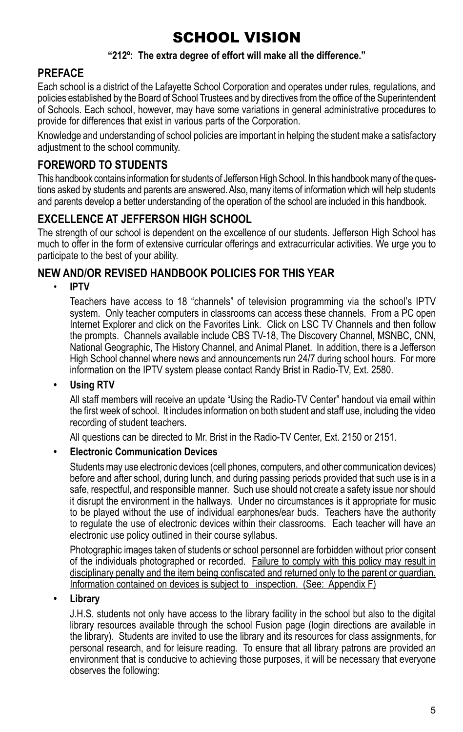# School vision

#### **"212º: The extra degree of effort will make all the difference."**

### **PREFACE**

Each school is a district of the Lafayette School Corporation and operates under rules, regulations, and policies established by the Board of School Trustees and by directives from the office of the Superintendent of Schools. Each school, however, may have some variations in general administrative procedures to provide for differences that exist in various parts of the Corporation.

Knowledge and understanding of school policies are important in helping the student make a satisfactory adjustment to the school community.

### **FOREWORD TO STUDENTS**

This handbook contains information for students of Jefferson High School. In this handbook many of the questions asked by students and parents are answered. Also, many items of information which will help students and parents develop a better understanding of the operation of the school are included in this handbook.

### **Excellence at Jefferson High School**

The strength of our school is dependent on the excellence of our students. Jefferson High School has much to offer in the form of extensive curricular offerings and extracurricular activities. We urge you to participate to the best of your ability.

### **New and/or revised handbook policies for this year**

• **IPTV**

Teachers have access to 18 "channels" of television programming via the school's IPTV system. Only teacher computers in classrooms can access these channels. From a PC open Internet Explorer and click on the Favorites Link. Click on LSC TV Channels and then follow the prompts. Channels available include CBS TV-18, The Discovery Channel, MSNBC, CNN, National Geographic, The History Channel, and Animal Planet. In addition, there is a Jefferson High School channel where news and announcements run 24/7 during school hours. For more information on the IPTV system please contact Randy Brist in Radio-TV, Ext. 2580.

#### **• Using RTV**

All staff members will receive an update "Using the Radio-TV Center" handout via email within the first week of school. It includes information on both student and staff use, including the video recording of student teachers.

All questions can be directed to Mr. Brist in the Radio-TV Center, Ext. 2150 or 2151.

#### **• Electronic Communication Devices**

Students may use electronic devices (cell phones, computers, and other communication devices) before and after school, during lunch, and during passing periods provided that such use is in a safe, respectful, and responsible manner. Such use should not create a safety issue nor should it disrupt the environment in the hallways. Under no circumstances is it appropriate for music to be played without the use of individual earphones/ear buds. Teachers have the authority to regulate the use of electronic devices within their classrooms. Each teacher will have an electronic use policy outlined in their course syllabus.

Photographic images taken of students or school personnel are forbidden without prior consent of the individuals photographed or recorded. Failure to comply with this policy may result in disciplinary penalty and the item being confiscated and returned only to the parent or guardian. Information contained on devices is subject to inspection. (See: Appendix F)

#### **• Library**

J.H.S. students not only have access to the library facility in the school but also to the digital library resources available through the school Fusion page (login directions are available in the library). Students are invited to use the library and its resources for class assignments, for personal research, and for leisure reading. To ensure that all library patrons are provided an environment that is conducive to achieving those purposes, it will be necessary that everyone observes the following: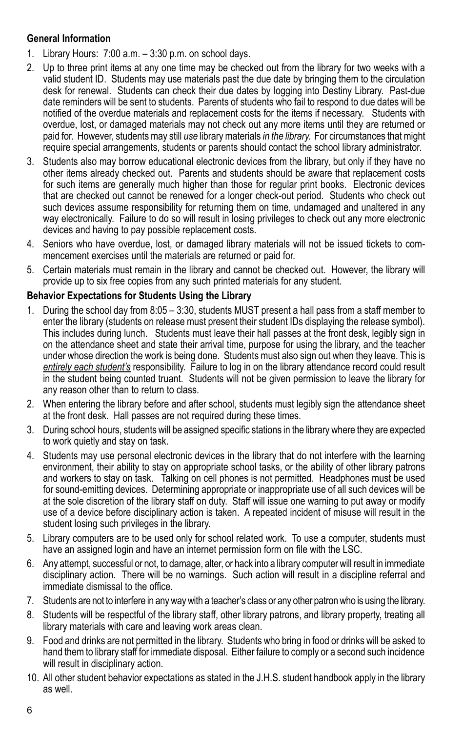#### **General Information**

- 1. Library Hours: 7:00 a.m. 3:30 p.m. on school days.
- 2. Up to three print items at any one time may be checked out from the library for two weeks with a valid student ID. Students may use materials past the due date by bringing them to the circulation desk for renewal. Students can check their due dates by logging into Destiny Library. Past-due date reminders will be sent to students. Parents of students who fail to respond to due dates will be notified of the overdue materials and replacement costs for the items if necessary. Students with overdue, lost, or damaged materials may not check out any more items until they are returned or paid for. However, students may still *use* library materials *in the library.* For circumstances that might require special arrangements, students or parents should contact the school library administrator.
- 3. Students also may borrow educational electronic devices from the library, but only if they have no other items already checked out. Parents and students should be aware that replacement costs for such items are generally much higher than those for regular print books. Electronic devices that are checked out cannot be renewed for a longer check-out period. Students who check out such devices assume responsibility for returning them on time, undamaged and unaltered in any way electronically. Failure to do so will result in losing privileges to check out any more electronic devices and having to pay possible replacement costs.
- 4. Seniors who have overdue, lost, or damaged library materials will not be issued tickets to commencement exercises until the materials are returned or paid for.
- 5. Certain materials must remain in the library and cannot be checked out. However, the library will provide up to six free copies from any such printed materials for any student.

#### **Behavior Expectations for Students Using the Library**

- 1. During the school day from 8:05 3:30, students MUST present a hall pass from a staff member to enter the library (students on release must present their student IDs displaying the release symbol). This includes during lunch. Students must leave their hall passes at the front desk, legibly sign in on the attendance sheet and state their arrival time, purpose for using the library, and the teacher under whose direction the work is being done. Students must also sign out when they leave. This is *entirely each student's* responsibility. Failure to log in on the library attendance record could result in the student being counted truant. Students will not be given permission to leave the library for any reason other than to return to class.
- 2. When entering the library before and after school, students must legibly sign the attendance sheet at the front desk. Hall passes are not required during these times.
- 3. During school hours, students will be assigned specific stations in the library where they are expected to work quietly and stay on task.
- 4. Students may use personal electronic devices in the library that do not interfere with the learning environment, their ability to stay on appropriate school tasks, or the ability of other library patrons and workers to stay on task. Talking on cell phones is not permitted. Headphones must be used for sound-emitting devices. Determining appropriate or inappropriate use of all such devices will be at the sole discretion of the library staff on duty. Staff will issue one warning to put away or modify use of a device before disciplinary action is taken. A repeated incident of misuse will result in the student losing such privileges in the library.
- 5. Library computers are to be used only for school related work. To use a computer, students must have an assigned login and have an internet permission form on file with the LSC.
- 6. Any attempt, successful or not, to damage, alter, or hack into a library computer will result in immediate disciplinary action. There will be no warnings. Such action will result in a discipline referral and immediate dismissal to the office.
- 7. Students are not to interfere in any way with a teacher's class or any other patron who is using the library.
- 8. Students will be respectful of the library staff, other library patrons, and library property, treating all library materials with care and leaving work areas clean.
- 9. Food and drinks are not permitted in the library. Students who bring in food or drinks will be asked to hand them to library staff for immediate disposal. Either failure to comply or a second such incidence will result in disciplinary action.
- 10. All other student behavior expectations as stated in the J.H.S. student handbook apply in the library as well.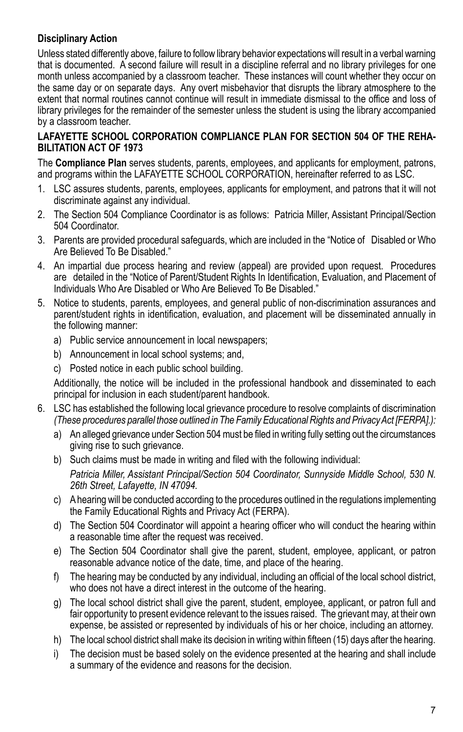### **Disciplinary Action**

Unless stated differently above, failure to follow library behavior expectations will result in a verbal warning that is documented. A second failure will result in a discipline referral and no library privileges for one month unless accompanied by a classroom teacher. These instances will count whether they occur on the same day or on separate days. Any overt misbehavior that disrupts the library atmosphere to the extent that normal routines cannot continue will result in immediate dismissal to the office and loss of library privileges for the remainder of the semester unless the student is using the library accompanied by a classroom teacher.

#### **LAFAYETTE SCHOOL CORPORATION COMPLIANCE PLAN FOR SECTION 504 OF THE REHA-BILITATION ACT OF 1973**

The **Compliance Plan** serves students, parents, employees, and applicants for employment, patrons, and programs within the LAFAYETTE SCHOOL CORPORATION, hereinafter referred to as LSC.

- 1. LSC assures students, parents, employees, applicants for employment, and patrons that it will not discriminate against any individual.
- 2. The Section 504 Compliance Coordinator is as follows: Patricia Miller, Assistant Principal/Section 504 Coordinator.
- 3. Parents are provided procedural safeguards, which are included in the "Notice of Disabled or Who Are Believed To Be Disabled."
- 4. An impartial due process hearing and review (appeal) are provided upon request. Procedures are detailed in the "Notice of Parent/Student Rights In Identification, Evaluation, and Placement of Individuals Who Are Disabled or Who Are Believed To Be Disabled."
- 5. Notice to students, parents, employees, and general public of non-discrimination assurances and parent/student rights in identification, evaluation, and placement will be disseminated annually in the following manner:
	- a) Public service announcement in local newspapers;
	- b) Announcement in local school systems; and,
	- c) Posted notice in each public school building.

Additionally, the notice will be included in the professional handbook and disseminated to each principal for inclusion in each student/parent handbook.

- 6. LSC has established the following local grievance procedure to resolve complaints of discrimination *(These procedures parallel those outlined in The Family Educational Rights and Privacy Act [FERPA].):*
	- a) An alleged grievance under Section 504 must be filed in writing fully setting out the circumstances giving rise to such grievance.
	- b) Such claims must be made in writing and filed with the following individual: *Patricia Miller, Assistant Principal/Section 504 Coordinator, Sunnyside Middle School, 530 N. 26th Street, Lafayette, IN 47094.*
	- c) A hearing will be conducted according to the procedures outlined in the regulations implementing the Family Educational Rights and Privacy Act (FERPA).
	- d) The Section 504 Coordinator will appoint a hearing officer who will conduct the hearing within a reasonable time after the request was received.
	- e) The Section 504 Coordinator shall give the parent, student, employee, applicant, or patron reasonable advance notice of the date, time, and place of the hearing.
	- f) The hearing may be conducted by any individual, including an official of the local school district, who does not have a direct interest in the outcome of the hearing.
	- g) The local school district shall give the parent, student, employee, applicant, or patron full and fair opportunity to present evidence relevant to the issues raised. The grievant may, at their own expense, be assisted or represented by individuals of his or her choice, including an attorney.
	- h) The local school district shall make its decision in writing within fifteen (15) days after the hearing.
	- i) The decision must be based solely on the evidence presented at the hearing and shall include a summary of the evidence and reasons for the decision.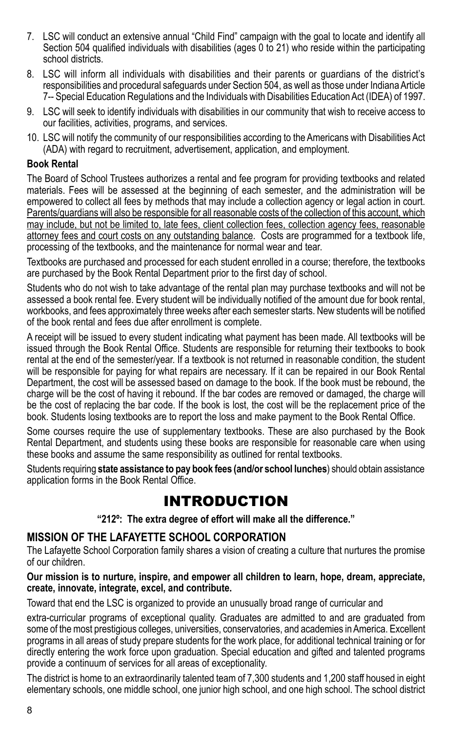- 7. LSC will conduct an extensive annual "Child Find" campaign with the goal to locate and identify all Section 504 qualified individuals with disabilities (ages 0 to 21) who reside within the participating school districts.
- 8. LSC will inform all individuals with disabilities and their parents or guardians of the district's responsibilities and procedural safeguards under Section 504, as well as those under Indiana Article 7-- Special Education Regulations and the Individuals with Disabilities Education Act (IDEA) of 1997.
- 9. LSC will seek to identify individuals with disabilities in our community that wish to receive access to our facilities, activities, programs, and services.
- 10. LSC will notify the community of our responsibilities according to the Americans with Disabilities Act (ADA) with regard to recruitment, advertisement, application, and employment.

#### **Book Rental**

The Board of School Trustees authorizes a rental and fee program for providing textbooks and related materials. Fees will be assessed at the beginning of each semester, and the administration will be empowered to collect all fees by methods that may include a collection agency or legal action in court. Parents/guardians will also be responsible for all reasonable costs of the collection of this account, which may include, but not be limited to, late fees, client collection fees, collection agency fees, reasonable attorney fees and court costs on any outstanding balance. Costs are programmed for a textbook life. processing of the textbooks, and the maintenance for normal wear and tear.

Textbooks are purchased and processed for each student enrolled in a course; therefore, the textbooks are purchased by the Book Rental Department prior to the first day of school.

Students who do not wish to take advantage of the rental plan may purchase textbooks and will not be assessed a book rental fee. Every student will be individually notified of the amount due for book rental, workbooks, and fees approximately three weeks after each semester starts. New students will be notified of the book rental and fees due after enrollment is complete.

A receipt will be issued to every student indicating what payment has been made. All textbooks will be issued through the Book Rental Office. Students are responsible for returning their textbooks to book rental at the end of the semester/year. If a textbook is not returned in reasonable condition, the student will be responsible for paying for what repairs are necessary. If it can be repaired in our Book Rental Department, the cost will be assessed based on damage to the book. If the book must be rebound, the charge will be the cost of having it rebound. If the bar codes are removed or damaged, the charge will be the cost of replacing the bar code. If the book is lost, the cost will be the replacement price of the book. Students losing textbooks are to report the loss and make payment to the Book Rental Office.

Some courses require the use of supplementary textbooks. These are also purchased by the Book Rental Department, and students using these books are responsible for reasonable care when using these books and assume the same responsibility as outlined for rental textbooks.

Students requiring **state assistance to pay book fees (and/or school lunches**) should obtain assistance application forms in the Book Rental Office.

### **INTRODUCTION**

**"212º: The extra degree of effort will make all the difference."**

### **Mission OF THE LAFAYETTE SCHOOL CORPORATION**

The Lafayette School Corporation family shares a vision of creating a culture that nurtures the promise of our children.

**Our mission is to nurture, inspire, and empower all children to learn, hope, dream, appreciate, create, innovate, integrate, excel, and contribute.**

Toward that end the LSC is organized to provide an unusually broad range of curricular and

extra-curricular programs of exceptional quality. Graduates are admitted to and are graduated from some of the most prestigious colleges, universities, conservatories, and academies in America. Excellent programs in all areas of study prepare students for the work place, for additional technical training or for directly entering the work force upon graduation. Special education and gifted and talented programs provide a continuum of services for all areas of exceptionality.

The district is home to an extraordinarily talented team of 7,300 students and 1,200 staff housed in eight elementary schools, one middle school, one junior high school, and one high school. The school district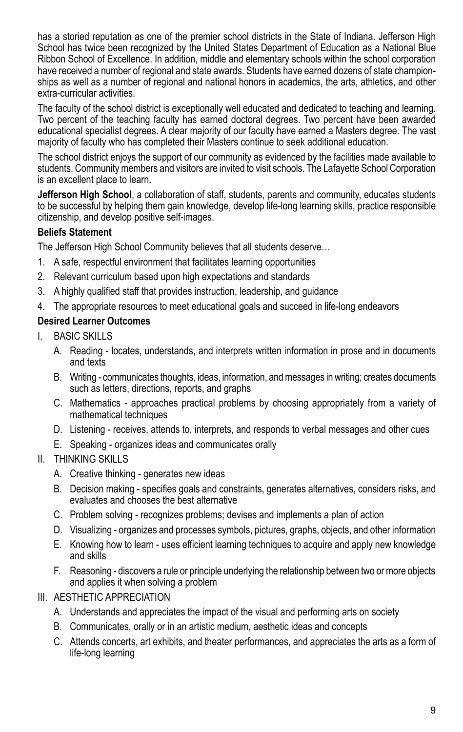has a storied reputation as one of the premier school districts in the State of Indiana. Jefferson High School has twice been recognized by the United States Department of Education as a National Blue Ribbon School of Excellence. In addition, middle and elementary schools within the school corporation have received a number of regional and state awards. Students have earned dozens of state championships as well as a number of regional and national honors in academics, the arts, athletics, and other extra-curricular activities.

The faculty of the school district is exceptionally well educated and dedicated to teaching and learning. Two percent of the teaching faculty has earned doctoral degrees. Two percent have been awarded educational specialist degrees. A clear majority of our faculty have earned a Masters degree. The vast majority of faculty who has completed their Masters continue to seek additional education.

The school district enjoys the support of our community as evidenced by the facilities made available to students. Community members and visitors are invited to visit schools. The Lafayette School Corporation is an excellent place to learn.

**Jefferson High School**, a collaboration of staff, students, parents and community, educates students to be successful by helping them gain knowledge, develop life-long learning skills, practice responsible citizenship, and develop positive self-images.

#### **Beliefs Statement**

The Jefferson High School Community believes that all students deserve…

- 1. A safe, respectful environment that facilitates learning opportunities
- 2. Relevant curriculum based upon high expectations and standards
- 3. A highly qualified staff that provides instruction, leadership, and guidance
- 4. The appropriate resources to meet educational goals and succeed in life-long endeavors

#### **Desired Learner Outcomes**

- I. BASIC SKILLS
	- A. Reading locates, understands, and interprets written information in prose and in documents and texts
	- B. Writing communicates thoughts, ideas, information, and messages in writing; creates documents such as letters, directions, reports, and graphs
	- C. Mathematics approaches practical problems by choosing appropriately from a variety of mathematical techniques
	- D. Listening receives, attends to, interprets, and responds to verbal messages and other cues
	- E. Speaking organizes ideas and communicates orally

### II. THINKING SKILLS

- A. Creative thinking generates new ideas
- B. Decision making specifies goals and constraints, generates alternatives, considers risks, and evaluates and chooses the best alternative
- C. Problem solving recognizes problems; devises and implements a plan of action
- D. Visualizing organizes and processes symbols, pictures, graphs, objects, and other information
- E. Knowing how to learn uses efficient learning techniques to acquire and apply new knowledge and skills
- F. Reasoning discovers a rule or principle underlying the relationship between two or more objects and applies it when solving a problem
- III. AESTHETIC APPRECIATION
	- A. Understands and appreciates the impact of the visual and performing arts on society
	- B. Communicates, orally or in an artistic medium, aesthetic ideas and concepts
	- C. Attends concerts, art exhibits, and theater performances, and appreciates the arts as a form of life-long learning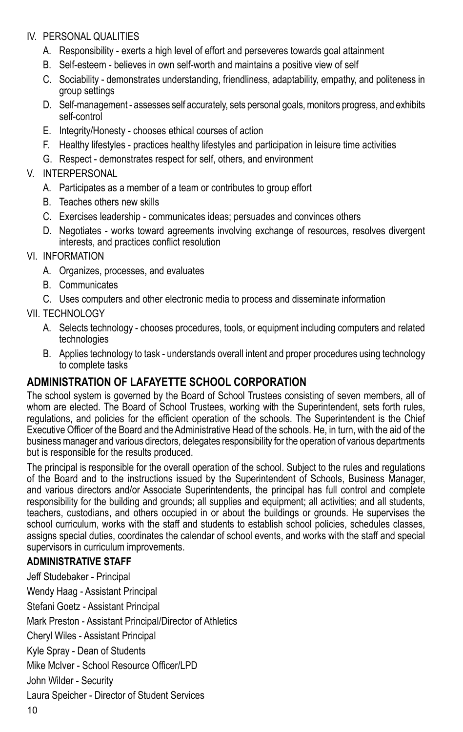#### IV. PERSONAL QUALITIES

- A. Responsibility exerts a high level of effort and perseveres towards goal attainment
- B. Self-esteem believes in own self-worth and maintains a positive view of self
- C. Sociability demonstrates understanding, friendliness, adaptability, empathy, and politeness in group settings
- D. Self-management assesses self accurately, sets personal goals, monitors progress, and exhibits self-control
- E. Integrity/Honesty chooses ethical courses of action
- F. Healthy lifestyles practices healthy lifestyles and participation in leisure time activities
- G. Respect demonstrates respect for self, others, and environment

### V. INTERPERSONAL

- A. Participates as a member of a team or contributes to group effort
- B. Teaches others new skills
- C. Exercises leadership communicates ideas; persuades and convinces others
- D. Negotiates works toward agreements involving exchange of resources, resolves divergent interests, and practices conflict resolution
- VI. INFORMATION
	- A. Organizes, processes, and evaluates
	- B. Communicates
	- C. Uses computers and other electronic media to process and disseminate information

#### VII. TECHNOLOGY

- A. Selects technology chooses procedures, tools, or equipment including computers and related technologies
- B. Applies technology to task understands overall intent and proper procedures using technology to complete tasks

### **ADMINISTRATION OF LAFAYETTE SCHOOL CORPORATION**

The school system is governed by the Board of School Trustees consisting of seven members, all of whom are elected. The Board of School Trustees, working with the Superintendent, sets forth rules, regulations, and policies for the efficient operation of the schools. The Superintendent is the Chief Executive Officer of the Board and the Administrative Head of the schools. He, in turn, with the aid of the business manager and various directors, delegates responsibility for the operation of various departments but is responsible for the results produced.

The principal is responsible for the overall operation of the school. Subject to the rules and regulations of the Board and to the instructions issued by the Superintendent of Schools, Business Manager, and various directors and/or Associate Superintendents, the principal has full control and complete responsibility for the building and grounds; all supplies and equipment; all activities; and all students, teachers, custodians, and others occupied in or about the buildings or grounds. He supervises the school curriculum, works with the staff and students to establish school policies, schedules classes, assigns special duties, coordinates the calendar of school events, and works with the staff and special supervisors in curriculum improvements.

#### **ADMINISTRATIVE STAFF**

Jeff Studebaker - Principal Wendy Haag - Assistant Principal Stefani Goetz - Assistant Principal Mark Preston - Assistant Principal/Director of Athletics Cheryl Wiles - Assistant Principal Kyle Spray - Dean of Students Mike McIver - School Resource Officer/LPD John Wilder - Security Laura Speicher - Director of Student Services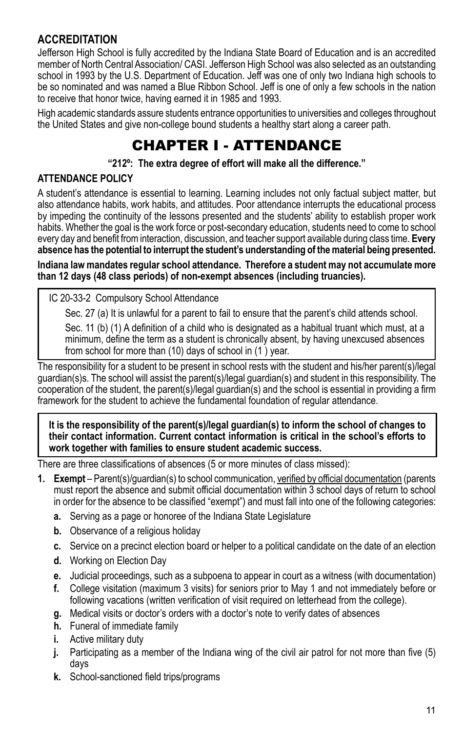### **ACCREDITATION**

Jefferson High School is fully accredited by the Indiana State Board of Education and is an accredited member of North Central Association/ CASI. Jefferson High School was also selected as an outstanding school in 1993 by the U.S. Department of Education. Jeff was one of only two Indiana high schools to be so nominated and was named a Blue Ribbon School. Jeff is one of only a few schools in the nation to receive that honor twice, having earned it in 1985 and 1993.

High academic standards assure students entrance opportunities to universities and colleges throughout the United States and give non-college bound students a healthy start along a career path.

# CHAPTER I - Attendance

#### **"212º: The extra degree of effort will make all the difference."**

#### **ATTENDANCE POLICY**

A student's attendance is essential to learning. Learning includes not only factual subject matter, but also attendance habits, work habits, and attitudes. Poor attendance interrupts the educational process by impeding the continuity of the lessons presented and the students' ability to establish proper work habits. Whether the goal is the work force or post-secondary education, students need to come to school every day and benefit from interaction, discussion, and teacher support available during class time. **Every absence has the potential to interrupt the student's understanding of the material being presented.**

**Indiana law mandates regular school attendance. Therefore a student may not accumulate more than 12 days (48 class periods) of non-exempt absences (including truancies).** 

IC 20-33-2 Compulsory School Attendance

Sec. 27 (a) It is unlawful for a parent to fail to ensure that the parent's child attends school.

Sec. 11 (b) (1) A definition of a child who is designated as a habitual truant which must, at a minimum, define the term as a student is chronically absent, by having unexcused absences from school for more than (10) days of school in (1 ) year.

The responsibility for a student to be present in school rests with the student and his/her parent(s)/legal guardian(s)s. The school will assist the parent(s)/legal guardian(s) and student in this responsibility. The cooperation of the student, the parent(s)/legal guardian(s) and the school is essential in providing a firm framework for the student to achieve the fundamental foundation of regular attendance.

**It is the responsibility of the parent(s)/legal guardian(s) to inform the school of changes to their contact information. Current contact information is critical in the school's efforts to work together with families to ensure student academic success.**

There are three classifications of absences (5 or more minutes of class missed):

- **1. Exempt** Parent(s)/guardian(s) to school communication, verified by official documentation (parents must report the absence and submit official documentation within 3 school days of return to school in order for the absence to be classified "exempt") and must fall into one of the following categories:
	- **a.** Serving as a page or honoree of the Indiana State Legislature
	- **b.** Observance of a religious holiday
	- **c.** Service on a precinct election board or helper to a political candidate on the date of an election
	- **d.** Working on Election Day
	- **e.** Judicial proceedings, such as a subpoena to appear in court as a witness (with documentation)
	- **f.** College visitation (maximum 3 visits) for seniors prior to May 1 and not immediately before or following vacations (written verification of visit required on letterhead from the college).
	- **g.** Medical visits or doctor's orders with a doctor's note to verify dates of absences
	- **h.** Funeral of immediate family
	- **i.** Active military duty
	- **j.** Participating as a member of the Indiana wing of the civil air patrol for not more than five (5) days
	- **k.** School-sanctioned field trips/programs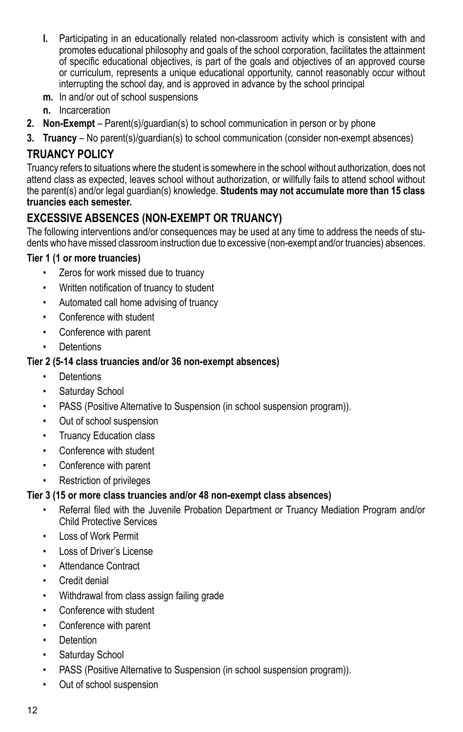- **l.** Participating in an educationally related non-classroom activity which is consistent with and promotes educational philosophy and goals of the school corporation, facilitates the attainment of specific educational objectives, is part of the goals and objectives of an approved course or curriculum, represents a unique educational opportunity, cannot reasonably occur without interrupting the school day, and is approved in advance by the school principal
- **m.** In and/or out of school suspensions
- **n.** Incarceration
- **2. Non-Exempt**  Parent(s)/guardian(s) to school communication in person or by phone
- **3. Truancy**  No parent(s)/guardian(s) to school communication (consider non-exempt absences)

### **TRUANCY POLICY**

Truancy refers to situations where the student is somewhere in the school without authorization, does not attend class as expected, leaves school without authorization, or willfully fails to attend school without the parent(s) and/or legal guardian(s) knowledge. **Students may not accumulate more than 15 class truancies each semester.** 

### **EXCESSIVE ABSENCES (NON-EXEMPT OR TRUANCY)**

The following interventions and/or consequences may be used at any time to address the needs of students who have missed classroom instruction due to excessive (non-exempt and/or truancies) absences.

#### **Tier 1 (1 or more truancies)**

- • Zeros for work missed due to truancy
- • Written notification of truancy to student
- • Automated call home advising of truancy
- Conference with student
- • Conference with parent
- Detentions

#### **Tier 2 (5-14 class truancies and/or 36 non-exempt absences)**

- • Detentions
- Saturday School
- PASS (Positive Alternative to Suspension (in school suspension program)).
- • Out of school suspension
- • Truancy Education class
- • Conference with student
- • Conference with parent
- **Restriction of privileges**

#### **Tier 3 (15 or more class truancies and/or 48 non-exempt class absences)**

- Referral filed with the Juvenile Probation Department or Truancy Mediation Program and/or Child Protective Services
- **Loss of Work Permit**
- • Loss of Driver's License
- Attendance Contract
- Credit denial
- Withdrawal from class assign failing grade
- • Conference with student
- Conference with parent
- Detention
- • Saturday School
- PASS (Positive Alternative to Suspension (in school suspension program)).
- Out of school suspension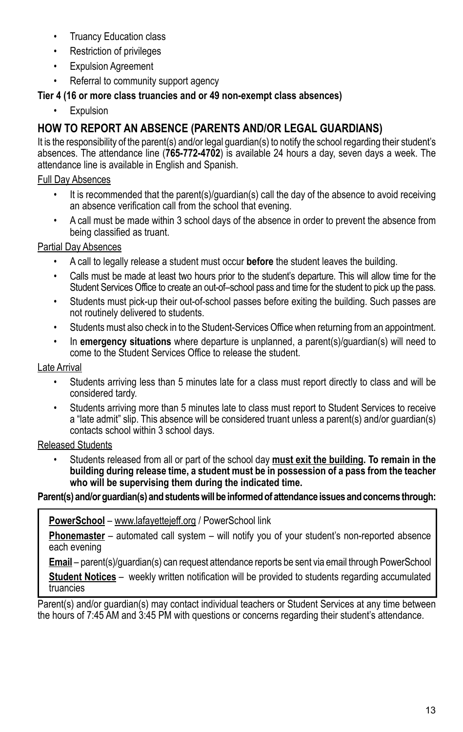- **Truancy Education class**
- • Restriction of privileges
- • Expulsion Agreement
- Referral to community support agency

### **Tier 4 (16 or more class truancies and or 49 non-exempt class absences)**

**Expulsion** 

### **HOW TO REPORT AN ABSENCE (Parents and/or legal guardians)**

It is the responsibility of the parent(s) and/or legal guardian(s) to notify the school regarding their student's absences. The attendance line (**765-772-4702**) is available 24 hours a day, seven days a week. The attendance line is available in English and Spanish.

### Full Day Absences

- It is recommended that the parent(s)/guardian(s) call the day of the absence to avoid receiving an absence verification call from the school that evening.
- A call must be made within 3 school days of the absence in order to prevent the absence from being classified as truant.

### Partial Day Absences

- A call to legally release a student must occur **before** the student leaves the building.
- Calls must be made at least two hours prior to the student's departure. This will allow time for the Student Services Office to create an out-of–school pass and time for the student to pick up the pass.
- Students must pick-up their out-of-school passes before exiting the building. Such passes are not routinely delivered to students.
- Students must also check in to the Student-Services Office when returning from an appointment.
- In **emergency situations** where departure is unplanned, a parent(s)/guardian(s) will need to come to the Student Services Office to release the student.

#### Late Arrival

- Students arriving less than 5 minutes late for a class must report directly to class and will be considered tardy.
- Students arriving more than 5 minutes late to class must report to Student Services to receive a "late admit" slip. This absence will be considered truant unless a parent(s) and/or guardian(s) contacts school within 3 school days.

### Released Students

Students released from all or part of the school day must exit the building. To remain in the **building during release time, a student must be in possession of a pass from the teacher who will be supervising them during the indicated time.**

#### **Parent(s) and/or guardian(s) and students will be informed of attendance issues and concerns through:**

**PowerSchool** – www.lafayettejeff.org / PowerSchool link

**Phonemaster** – automated call system – will notify you of your student's non-reported absence each evening

**Email** – parent(s)/guardian(s) can request attendance reports be sent via email through PowerSchool **Student Notices** – weekly written notification will be provided to students regarding accumulated truancies

Parent(s) and/or guardian(s) may contact individual teachers or Student Services at any time between the hours of 7:45 AM and 3:45 PM with questions or concerns regarding their student's attendance.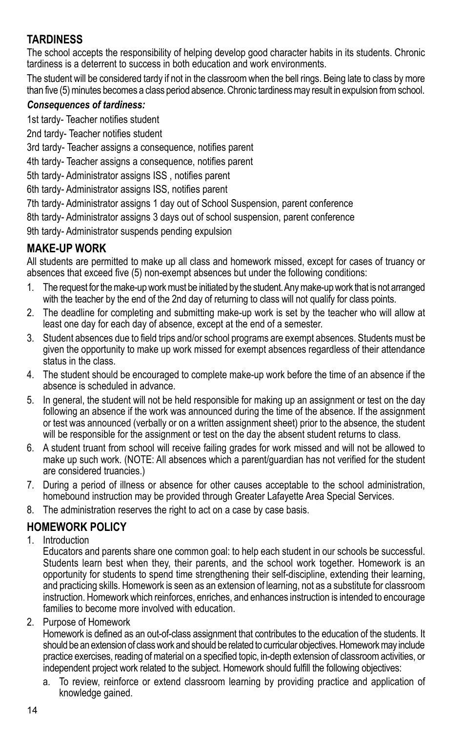### **TARDINESS**

The school accepts the responsibility of helping develop good character habits in its students. Chronic tardiness is a deterrent to success in both education and work environments.

The student will be considered tardy if not in the classroom when the bell rings. Being late to class by more than five (5) minutes becomes a class period absence. Chronic tardiness may result in expulsion from school.

#### *Consequences of tardiness:*

1st tardy- Teacher notifies student

2nd tardy- Teacher notifies student

3rd tardy- Teacher assigns a consequence, notifies parent

4th tardy- Teacher assigns a consequence, notifies parent

5th tardy- Administrator assigns ISS , notifies parent

6th tardy- Administrator assigns ISS, notifies parent

7th tardy- Administrator assigns 1 day out of School Suspension, parent conference

8th tardy- Administrator assigns 3 days out of school suspension, parent conference

9th tardy- Administrator suspends pending expulsion

### **MAKE-UP WORK**

All students are permitted to make up all class and homework missed, except for cases of truancy or absences that exceed five (5) non-exempt absences but under the following conditions:

- 1. The request for the make-up work must be initiated by the student. Any make-up work that is not arranged with the teacher by the end of the 2nd day of returning to class will not qualify for class points.
- 2. The deadline for completing and submitting make-up work is set by the teacher who will allow at least one day for each day of absence, except at the end of a semester.
- 3. Student absences due to field trips and/or school programs are exempt absences. Students must be given the opportunity to make up work missed for exempt absences regardless of their attendance status in the class.
- 4. The student should be encouraged to complete make-up work before the time of an absence if the absence is scheduled in advance.
- 5. In general, the student will not be held responsible for making up an assignment or test on the day following an absence if the work was announced during the time of the absence. If the assignment or test was announced (verbally or on a written assignment sheet) prior to the absence, the student will be responsible for the assignment or test on the day the absent student returns to class.
- 6. A student truant from school will receive failing grades for work missed and will not be allowed to make up such work. (NOTE: All absences which a parent/guardian has not verified for the student are considered truancies.)
- 7. During a period of illness or absence for other causes acceptable to the school administration, homebound instruction may be provided through Greater Lafayette Area Special Services.
- 8. The administration reserves the right to act on a case by case basis.

### **HOMEWORK POLICY**

1. Introduction

Educators and parents share one common goal: to help each student in our schools be successful. Students learn best when they, their parents, and the school work together. Homework is an opportunity for students to spend time strengthening their self-discipline, extending their learning, and practicing skills. Homework is seen as an extension of learning, not as a substitute for classroom instruction. Homework which reinforces, enriches, and enhances instruction is intended to encourage families to become more involved with education.

2. Purpose of Homework

Homework is defined as an out-of-class assignment that contributes to the education of the students. It should be an extension of class work and should be related to curricular objectives. Homework may include practice exercises, reading of material on a specified topic, in-depth extension of classroom activities, or independent project work related to the subject. Homework should fulfill the following objectives:

a. To review, reinforce or extend classroom learning by providing practice and application of knowledge gained.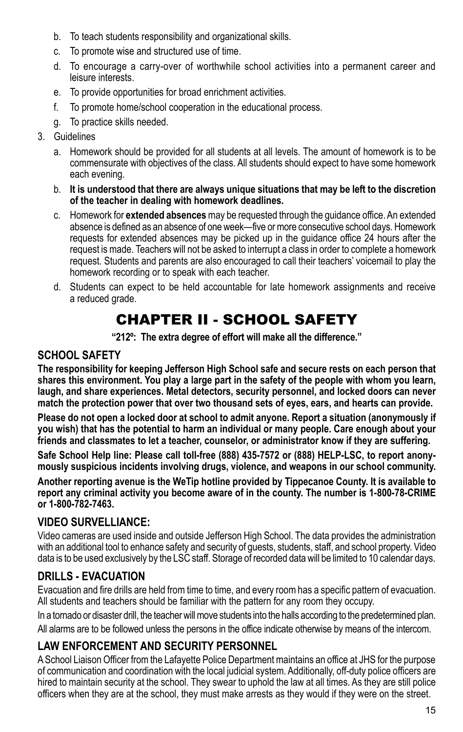- b. To teach students responsibility and organizational skills.
- c. To promote wise and structured use of time.
- d. To encourage a carry-over of worthwhile school activities into a permanent career and leisure interests.
- e. To provide opportunities for broad enrichment activities.
- f. To promote home/school cooperation in the educational process.
- g. To practice skills needed.
- 3. Guidelines
	- a. Homework should be provided for all students at all levels. The amount of homework is to be commensurate with objectives of the class. All students should expect to have some homework each evening.
	- b. **It is understood that there are always unique situations that may be left to the discretion of the teacher in dealing with homework deadlines.**
	- c. Homework for **extended absences** may be requested through the guidance office. An extended absence is defined as an absence of one week—five or more consecutive school days. Homework requests for extended absences may be picked up in the guidance office 24 hours after the request is made. Teachers will not be asked to interrupt a class in order to complete a homework request. Students and parents are also encouraged to call their teachers' voicemail to play the homework recording or to speak with each teacher.
	- d. Students can expect to be held accountable for late homework assignments and receive a reduced grade.

# CHAPTER II - SCHOOL SAFETY

**"212º: The extra degree of effort will make all the difference."**

### **School Safety**

**The responsibility for keeping Jefferson High School safe and secure rests on each person that shares this environment. You play a large part in the safety of the people with whom you learn, laugh, and share experiences. Metal detectors, security personnel, and locked doors can never match the protection power that over two thousand sets of eyes, ears, and hearts can provide.**

**Please do not open a locked door at school to admit anyone. Report a situation (anonymously if you wish) that has the potential to harm an individual or many people. Care enough about your friends and classmates to let a teacher, counselor, or administrator know if they are suffering.**

**Safe School Help line: Please call toll-free (888) 435-7572 or (888) HELP-LSC, to report anonymously suspicious incidents involving drugs, violence, and weapons in our school community.** 

**Another reporting avenue is the WeTip hotline provided by Tippecanoe County. It is available to report any criminal activity you become aware of in the county. The number is 1-800-78-CRIME or 1-800-782-7463.**

### **VIDEO SURVELLIANCE:**

Video cameras are used inside and outside Jefferson High School. The data provides the administration with an additional tool to enhance safety and security of guests, students, staff, and school property. Video data is to be used exclusively by the LSC staff. Storage of recorded data will be limited to 10 calendar days.

### **DRILLS - EVACUATION**

Evacuation and fire drills are held from time to time, and every room has a specific pattern of evacuation. All students and teachers should be familiar with the pattern for any room they occupy.

In a tornado or disaster drill, the teacher will move students into the halls according to the predetermined plan. All alarms are to be followed unless the persons in the office indicate otherwise by means of the intercom.

### **Law Enforcement and Security Personnel**

A School Liaison Officer from the Lafayette Police Department maintains an office at JHS for the purpose of communication and coordination with the local judicial system. Additionally, off-duty police officers are hired to maintain security at the school. They swear to uphold the law at all times. As they are still police officers when they are at the school, they must make arrests as they would if they were on the street.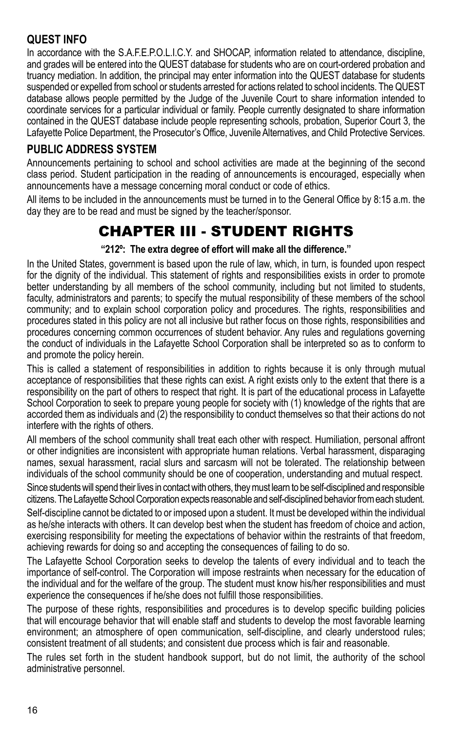### **QUEST Info**

In accordance with the S.A.F.E.P.O.L.I.C.Y. and SHOCAP, information related to attendance, discipline, and grades will be entered into the QUEST database for students who are on court-ordered probation and truancy mediation. In addition, the principal may enter information into the QUEST database for students suspended or expelled from school or students arrested for actions related to school incidents. The QUEST database allows people permitted by the Judge of the Juvenile Court to share information intended to coordinate services for a particular individual or family. People currently designated to share information contained in the QUEST database include people representing schools, probation, Superior Court 3, the Lafayette Police Department, the Prosecutor's Office, Juvenile Alternatives, and Child Protective Services.

### **PUBLIC ADDRESS SYSTEM**

Announcements pertaining to school and school activities are made at the beginning of the second class period. Student participation in the reading of announcements is encouraged, especially when announcements have a message concerning moral conduct or code of ethics.

All items to be included in the announcements must be turned in to the General Office by 8:15 a.m. the day they are to be read and must be signed by the teacher/sponsor.

# CHAPTER III - STUDENT RIGHTS

#### **"212º: The extra degree of effort will make all the difference."**

In the United States, government is based upon the rule of law, which, in turn, is founded upon respect for the dignity of the individual. This statement of rights and responsibilities exists in order to promote better understanding by all members of the school community, including but not limited to students, faculty, administrators and parents; to specify the mutual responsibility of these members of the school community; and to explain school corporation policy and procedures. The rights, responsibilities and procedures stated in this policy are not all inclusive but rather focus on those rights, responsibilities and procedures concerning common occurrences of student behavior. Any rules and regulations governing the conduct of individuals in the Lafayette School Corporation shall be interpreted so as to conform to and promote the policy herein.

This is called a statement of responsibilities in addition to rights because it is only through mutual acceptance of responsibilities that these rights can exist. A right exists only to the extent that there is a responsibility on the part of others to respect that right. It is part of the educational process in Lafayette School Corporation to seek to prepare young people for society with (1) knowledge of the rights that are accorded them as individuals and (2) the responsibility to conduct themselves so that their actions do not interfere with the rights of others.

All members of the school community shall treat each other with respect. Humiliation, personal affront or other indignities are inconsistent with appropriate human relations. Verbal harassment, disparaging names, sexual harassment, racial slurs and sarcasm will not be tolerated. The relationship between individuals of the school community should be one of cooperation, understanding and mutual respect.

Since students will spend their lives in contact with others, they must learn to be self-disciplined and responsible citizens. The Lafayette School Corporation expects reasonable and self-disciplined behavior from each student.

Self-discipline cannot be dictated to or imposed upon a student. It must be developed within the individual as he/she interacts with others. It can develop best when the student has freedom of choice and action, exercising responsibility for meeting the expectations of behavior within the restraints of that freedom, achieving rewards for doing so and accepting the consequences of failing to do so.

The Lafayette School Corporation seeks to develop the talents of every individual and to teach the importance of self-control. The Corporation will impose restraints when necessary for the education of the individual and for the welfare of the group. The student must know his/her responsibilities and must experience the consequences if he/she does not fulfill those responsibilities.

The purpose of these rights, responsibilities and procedures is to develop specific building policies that will encourage behavior that will enable staff and students to develop the most favorable learning environment; an atmosphere of open communication, self-discipline, and clearly understood rules; consistent treatment of all students; and consistent due process which is fair and reasonable.

The rules set forth in the student handbook support, but do not limit, the authority of the school administrative personnel.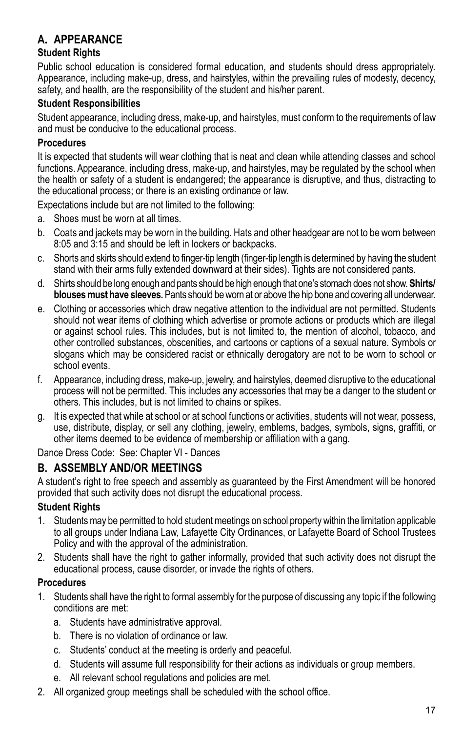### **A. APPEARANCE**

#### **Student Rights**

Public school education is considered formal education, and students should dress appropriately. Appearance, including make-up, dress, and hairstyles, within the prevailing rules of modesty, decency, safety, and health, are the responsibility of the student and his/her parent.

#### **Student Responsibilities**

Student appearance, including dress, make-up, and hairstyles, must conform to the requirements of law and must be conducive to the educational process.

#### **Procedures**

It is expected that students will wear clothing that is neat and clean while attending classes and school functions. Appearance, including dress, make-up, and hairstyles, may be regulated by the school when the health or safety of a student is endangered; the appearance is disruptive, and thus, distracting to the educational process; or there is an existing ordinance or law.

Expectations include but are not limited to the following:

- a. Shoes must be worn at all times.
- b. Coats and jackets may be worn in the building. Hats and other headgear are not to be worn between 8:05 and 3:15 and should be left in lockers or backpacks.
- c. Shorts and skirts should extend to finger-tip length (finger-tip length is determined by having the student stand with their arms fully extended downward at their sides). Tights are not considered pants.
- d. Shirts should be long enough and pants should be high enough that one's stomach does not show. **Shirts/ blouses must have sleeves.** Pants should be worn at or above the hip bone and covering all underwear.
- e. Clothing or accessories which draw negative attention to the individual are not permitted. Students should not wear items of clothing which advertise or promote actions or products which are illegal or against school rules. This includes, but is not limited to, the mention of alcohol, tobacco, and other controlled substances, obscenities, and cartoons or captions of a sexual nature. Symbols or slogans which may be considered racist or ethnically derogatory are not to be worn to school or school events.
- f. Appearance, including dress, make-up, jewelry, and hairstyles, deemed disruptive to the educational process will not be permitted. This includes any accessories that may be a danger to the student or others. This includes, but is not limited to chains or spikes.
- g. It is expected that while at school or at school functions or activities, students will not wear, possess, use, distribute, display, or sell any clothing, jewelry, emblems, badges, symbols, signs, graffiti, or other items deemed to be evidence of membership or affiliation with a gang.

Dance Dress Code: See: Chapter VI - Dances

### **B. ASSEMBLY AND/OR MEETINGS**

A student's right to free speech and assembly as guaranteed by the First Amendment will be honored provided that such activity does not disrupt the educational process.

#### **Student Rights**

- 1. Students may be permitted to hold student meetings on school property within the limitation applicable to all groups under Indiana Law, Lafayette City Ordinances, or Lafayette Board of School Trustees Policy and with the approval of the administration.
- 2. Students shall have the right to gather informally, provided that such activity does not disrupt the educational process, cause disorder, or invade the rights of others.

#### **Procedures**

- 1. Students shall have the right to formal assembly for the purpose of discussing any topic if the following conditions are met:
	- a. Students have administrative approval.
	- b. There is no violation of ordinance or law.
	- c. Students' conduct at the meeting is orderly and peaceful.
	- d. Students will assume full responsibility for their actions as individuals or group members.
	- e. All relevant school regulations and policies are met.
- 2. All organized group meetings shall be scheduled with the school office.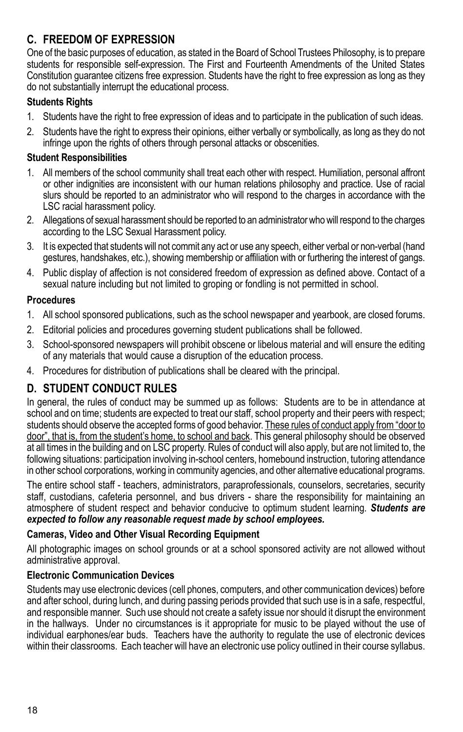### **C. FREEDOM OF EXPRESSION**

One of the basic purposes of education, as stated in the Board of School Trustees Philosophy, is to prepare students for responsible self-expression. The First and Fourteenth Amendments of the United States Constitution guarantee citizens free expression. Students have the right to free expression as long as they do not substantially interrupt the educational process.

#### **Students Rights**

- 1. Students have the right to free expression of ideas and to participate in the publication of such ideas.
- 2. Students have the right to express their opinions, either verbally or symbolically, as long as they do not infringe upon the rights of others through personal attacks or obscenities.

#### **Student Responsibilities**

- 1. All members of the school community shall treat each other with respect. Humiliation, personal affront or other indignities are inconsistent with our human relations philosophy and practice. Use of racial slurs should be reported to an administrator who will respond to the charges in accordance with the LSC racial harassment policy.
- 2. Allegations of sexual harassment should be reported to an administrator who will respond to the charges according to the LSC Sexual Harassment policy.
- 3. It is expected that students will not commit any act or use any speech, either verbal or non-verbal (hand gestures, handshakes, etc.), showing membership or affiliation with or furthering the interest of gangs.
- 4. Public display of affection is not considered freedom of expression as defined above. Contact of a sexual nature including but not limited to groping or fondling is not permitted in school.

### **Procedures**

- 1. All school sponsored publications, such as the school newspaper and yearbook, are closed forums.
- 2. Editorial policies and procedures governing student publications shall be followed.
- 3. School-sponsored newspapers will prohibit obscene or libelous material and will ensure the editing of any materials that would cause a disruption of the education process.
- 4. Procedures for distribution of publications shall be cleared with the principal.

### **D. STUDENT CONDUCT RULES**

In general, the rules of conduct may be summed up as follows: Students are to be in attendance at school and on time; students are expected to treat our staff, school property and their peers with respect; students should observe the accepted forms of good behavior. These rules of conduct apply from "door to door", that is, from the student's home, to school and back. This general philosophy should be observed at all times in the building and on LSC property. Rules of conduct will also apply, but are not limited to, the following situations: participation involving in-school centers, homebound instruction, tutoring attendance in other school corporations, working in community agencies, and other alternative educational programs.

The entire school staff - teachers, administrators, paraprofessionals, counselors, secretaries, security staff, custodians, cafeteria personnel, and bus drivers - share the responsibility for maintaining an atmosphere of student respect and behavior conducive to optimum student learning*. Students are expected to follow any reasonable request made by school employees.*

#### **Cameras, Video and Other Visual Recording Equipment**

All photographic images on school grounds or at a school sponsored activity are not allowed without administrative approval.

### **Electronic Communication Devices**

Students may use electronic devices (cell phones, computers, and other communication devices) before and after school, during lunch, and during passing periods provided that such use is in a safe, respectful, and responsible manner. Such use should not create a safety issue nor should it disrupt the environment in the hallways. Under no circumstances is it appropriate for music to be played without the use of individual earphones/ear buds. Teachers have the authority to regulate the use of electronic devices within their classrooms. Each teacher will have an electronic use policy outlined in their course syllabus.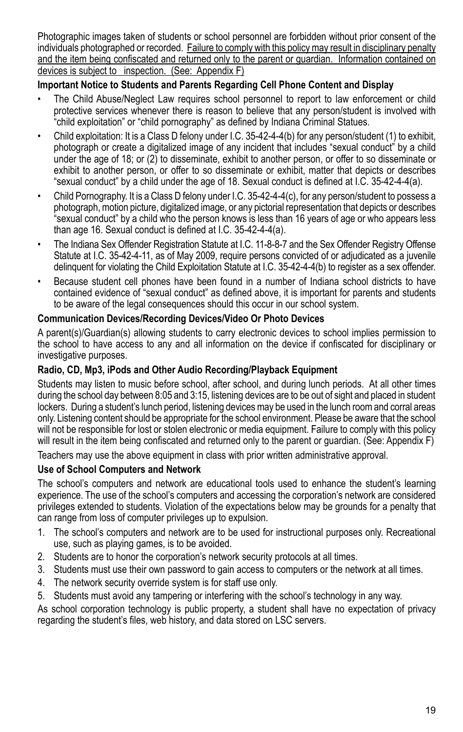Photographic images taken of students or school personnel are forbidden without prior consent of the individuals photographed or recorded. Failure to comply with this policy may result in disciplinary penalty and the item being confiscated and returned only to the parent or guardian. Information contained on devices is subject to inspection. (See: Appendix F)

#### **Important Notice to Students and Parents Regarding Cell Phone Content and Display**

- The Child Abuse/Neglect Law requires school personnel to report to law enforcement or child protective services whenever there is reason to believe that any person/student is involved with "child exploitation" or "child pornography" as defined by Indiana Criminal Statues.
- Child exploitation: It is a Class D felony under I.C. 35-42-4-4(b) for any person/student (1) to exhibit, photograph or create a digitalized image of any incident that includes "sexual conduct" by a child under the age of 18; or (2) to disseminate, exhibit to another person, or offer to so disseminate or exhibit to another person, or offer to so disseminate or exhibit, matter that depicts or describes "sexual conduct" by a child under the age of 18. Sexual conduct is defined at I.C. 35-42-4-4(a).
- Child Pornography. It is a Class D felony under I.C. 35-42-4-4(c), for any person/student to possess a photograph, motion picture, digitalized image, or any pictorial representation that depicts or describes "sexual conduct" by a child who the person knows is less than 16 years of age or who appears less than age 16. Sexual conduct is defined at I.C. 35-42-4-4(a).
- The Indiana Sex Offender Registration Statute at I.C. 11-8-8-7 and the Sex Offender Registry Offense Statute at I.C. 35-42-4-11, as of May 2009, require persons convicted of or adjudicated as a juvenile delinquent for violating the Child Exploitation Statute at I.C. 35-42-4-4(b) to register as a sex offender.
- Because student cell phones have been found in a number of Indiana school districts to have contained evidence of "sexual conduct" as defined above, it is important for parents and students to be aware of the legal consequences should this occur in our school system.

#### **Communication Devices/Recording Devices/Video Or Photo Devices**

A parent(s)/Guardian(s) allowing students to carry electronic devices to school implies permission to the school to have access to any and all information on the device if confiscated for disciplinary or investigative purposes.

#### **Radio, CD, Mp3, iPods and Other Audio Recording/Playback Equipment**

Students may listen to music before school, after school, and during lunch periods. At all other times during the school day between 8:05 and 3:15, listening devices are to be out of sight and placed in student lockers. During a student's lunch period, listening devices may be used in the lunch room and corral areas only. Listening content should be appropriate for the school environment. Please be aware that the school will not be responsible for lost or stolen electronic or media equipment. Failure to comply with this policy will result in the item being confiscated and returned only to the parent or guardian. (See: Appendix F) Teachers may use the above equipment in class with prior written administrative approval.

#### **Use of School Computers and Network**

The school's computers and network are educational tools used to enhance the student's learning experience. The use of the school's computers and accessing the corporation's network are considered privileges extended to students. Violation of the expectations below may be grounds for a penalty that can range from loss of computer privileges up to expulsion.

- 1. The school's computers and network are to be used for instructional purposes only. Recreational use, such as playing games, is to be avoided.
- 2. Students are to honor the corporation's network security protocols at all times.
- 3. Students must use their own password to gain access to computers or the network at all times.
- 4. The network security override system is for staff use only.
- 5. Students must avoid any tampering or interfering with the school's technology in any way.

As school corporation technology is public property, a student shall have no expectation of privacy regarding the student's files, web history, and data stored on LSC servers.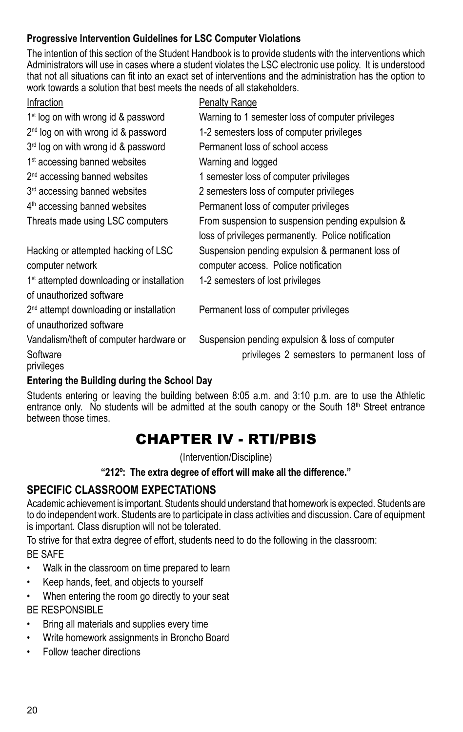### **Progressive Intervention Guidelines for LSC Computer Violations**

The intention of this section of the Student Handbook is to provide students with the interventions which Administrators will use in cases where a student violates the LSC electronic use policy. It is understood that not all situations can fit into an exact set of interventions and the administration has the option to work towards a solution that best meets the needs of all stakeholders.

| Infraction                                            | <b>Penalty Range</b>                                |
|-------------------------------------------------------|-----------------------------------------------------|
| $1st$ log on with wrong id & password                 | Warning to 1 semester loss of computer privileges   |
| $2nd$ log on with wrong id & password                 | 1-2 semesters loss of computer privileges           |
| 3rd log on with wrong id & password                   | Permanent loss of school access                     |
| 1 <sup>st</sup> accessing banned websites             | Warning and logged                                  |
| 2 <sup>nd</sup> accessing banned websites             | 1 semester loss of computer privileges              |
| 3rd accessing banned websites                         | 2 semesters loss of computer privileges             |
| 4 <sup>th</sup> accessing banned websites             | Permanent loss of computer privileges               |
| Threats made using LSC computers                      | From suspension to suspension pending expulsion &   |
|                                                       | loss of privileges permanently. Police notification |
| Hacking or attempted hacking of LSC                   | Suspension pending expulsion & permanent loss of    |
| computer network                                      | computer access. Police notification                |
| 1 <sup>st</sup> attempted downloading or installation | 1-2 semesters of lost privileges                    |
| of unauthorized software                              |                                                     |
| 2 <sup>nd</sup> attempt downloading or installation   | Permanent loss of computer privileges               |
| of unauthorized software                              |                                                     |
| Vandalism/theft of computer hardware or               | Suspension pending expulsion & loss of computer     |
| Software                                              | privileges 2 semesters to permanent loss of         |
| privileges                                            |                                                     |
|                                                       |                                                     |

### **Entering the Building during the School Day**

Students entering or leaving the building between 8:05 a.m. and 3:10 p.m. are to use the Athletic entrance only. No students will be admitted at the south canopy or the South  $18<sup>th</sup>$  Street entrance between those times.

## CHAPTER IV - RTI/PBIS

(Intervention/Discipline)

**"212º: The extra degree of effort will make all the difference."**

### **SPECIFIC CLASSROOM EXPECTATIONS**

Academic achievement is important. Students should understand that homework is expected. Students are to do independent work. Students are to participate in class activities and discussion. Care of equipment is important. Class disruption will not be tolerated.

To strive for that extra degree of effort, students need to do the following in the classroom:

BE SAFE

- Walk in the classroom on time prepared to learn
- • Keep hands, feet, and objects to yourself
- When entering the room go directly to your seat BE RESPONSIBLE
- Bring all materials and supplies every time
- Write homework assignments in Broncho Board
- Follow teacher directions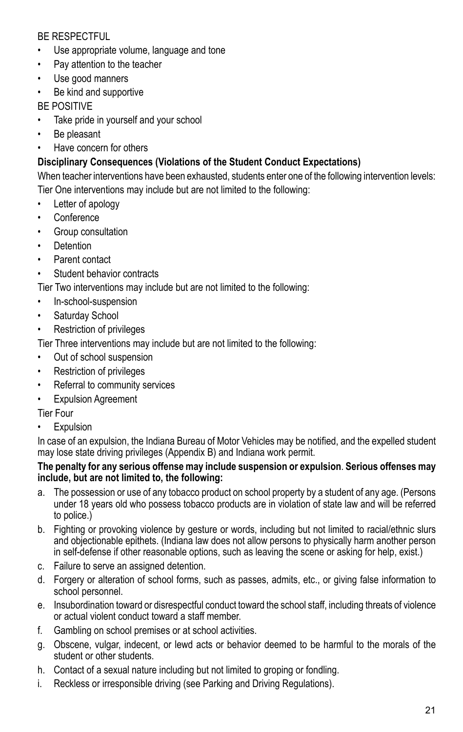### BE RESPECTFUL

- Use appropriate volume, language and tone
- • Pay attention to the teacher
- Use good manners
- • Be kind and supportive

BE POSITIVE

- Take pride in yourself and your school
- • Be pleasant
- Have concern for others

### **Disciplinary Consequences (Violations of the Student Conduct Expectations)**

When teacher interventions have been exhausted, students enter one of the following intervention levels:

Tier One interventions may include but are not limited to the following:

- Letter of apology
- **Conference**
- • Group consultation
- **Detention**
- Parent contact
- Student behavior contracts

Tier Two interventions may include but are not limited to the following:

- • In-school-suspension
- Saturday School
- • Restriction of privileges

Tier Three interventions may include but are not limited to the following:

- • Out of school suspension
- Restriction of privileges
- • Referral to community services
- • Expulsion Agreement

Tier Four

• Expulsion

In case of an expulsion, the Indiana Bureau of Motor Vehicles may be notified, and the expelled student may lose state driving privileges (Appendix B) and Indiana work permit.

#### **The penalty for any serious offense may include suspension or expulsion**. **Serious offenses may include, but are not limited to, the following:**

- a. The possession or use of any tobacco product on school property by a student of any age. (Persons under 18 years old who possess tobacco products are in violation of state law and will be referred to police.)
- b. Fighting or provoking violence by gesture or words, including but not limited to racial/ethnic slurs and objectionable epithets. (Indiana law does not allow persons to physically harm another person in self-defense if other reasonable options, such as leaving the scene or asking for help, exist.)
- c. Failure to serve an assigned detention.
- d. Forgery or alteration of school forms, such as passes, admits, etc., or giving false information to school personnel.
- e. Insubordination toward or disrespectful conduct toward the school staff, including threats of violence or actual violent conduct toward a staff member.
- f. Gambling on school premises or at school activities.
- g. Obscene, vulgar, indecent, or lewd acts or behavior deemed to be harmful to the morals of the student or other students.
- h. Contact of a sexual nature including but not limited to groping or fondling.
- i. Reckless or irresponsible driving (see Parking and Driving Regulations).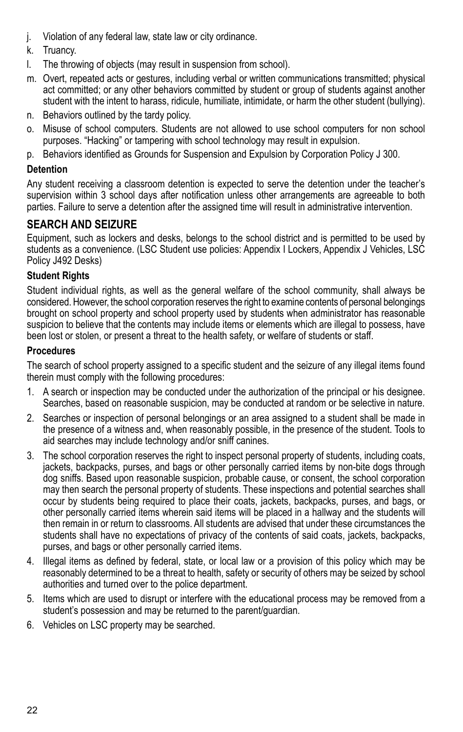- j. Violation of any federal law, state law or city ordinance.
- k. Truancy.
- l. The throwing of objects (may result in suspension from school).
- m. Overt, repeated acts or gestures, including verbal or written communications transmitted; physical act committed; or any other behaviors committed by student or group of students against another student with the intent to harass, ridicule, humiliate, intimidate, or harm the other student (bullying).
- n. Behaviors outlined by the tardy policy.
- o. Misuse of school computers. Students are not allowed to use school computers for non school purposes. "Hacking" or tampering with school technology may result in expulsion.
- p. Behaviors identified as Grounds for Suspension and Expulsion by Corporation Policy J 300.

### **Detention**

Any student receiving a classroom detention is expected to serve the detention under the teacher's supervision within 3 school days after notification unless other arrangements are agreeable to both parties. Failure to serve a detention after the assigned time will result in administrative intervention.

### **SEARCH AND SEIZURE**

Equipment, such as lockers and desks, belongs to the school district and is permitted to be used by students as a convenience. (LSC Student use policies: Appendix I Lockers, Appendix J Vehicles, LSC Policy J492 Desks)

### **Student Rights**

Student individual rights, as well as the general welfare of the school community, shall always be considered. However, the school corporation reserves the right to examine contents of personal belongings brought on school property and school property used by students when administrator has reasonable suspicion to believe that the contents may include items or elements which are illegal to possess, have been lost or stolen, or present a threat to the health safety, or welfare of students or staff.

### **Procedures**

The search of school property assigned to a specific student and the seizure of any illegal items found therein must comply with the following procedures:

- 1. A search or inspection may be conducted under the authorization of the principal or his designee. Searches, based on reasonable suspicion, may be conducted at random or be selective in nature.
- 2. Searches or inspection of personal belongings or an area assigned to a student shall be made in the presence of a witness and, when reasonably possible, in the presence of the student. Tools to aid searches may include technology and/or sniff canines.
- 3. The school corporation reserves the right to inspect personal property of students, including coats, jackets, backpacks, purses, and bags or other personally carried items by non-bite dogs through dog sniffs. Based upon reasonable suspicion, probable cause, or consent, the school corporation may then search the personal property of students. These inspections and potential searches shall occur by students being required to place their coats, jackets, backpacks, purses, and bags, or other personally carried items wherein said items will be placed in a hallway and the students will then remain in or return to classrooms. All students are advised that under these circumstances the students shall have no expectations of privacy of the contents of said coats, jackets, backpacks, purses, and bags or other personally carried items.
- 4. Illegal items as defined by federal, state, or local law or a provision of this policy which may be reasonably determined to be a threat to health, safety or security of others may be seized by school authorities and turned over to the police department.
- 5. Items which are used to disrupt or interfere with the educational process may be removed from a student's possession and may be returned to the parent/guardian.
- 6. Vehicles on LSC property may be searched.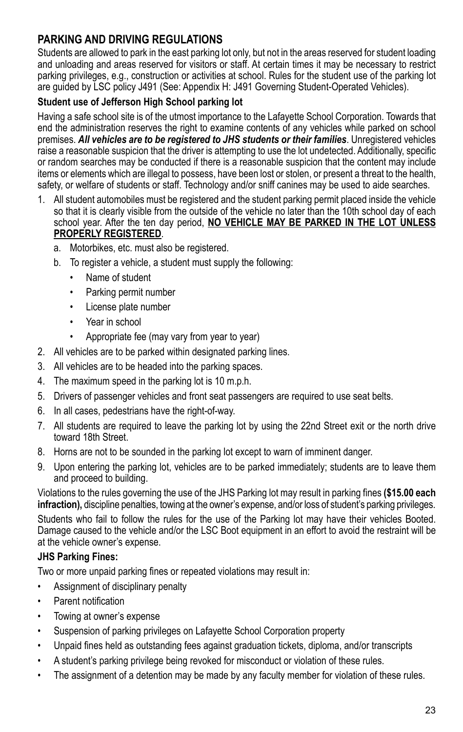### **PARKING AND DRIVING REGULATIONS**

Students are allowed to park in the east parking lot only, but not in the areas reserved for student loading and unloading and areas reserved for visitors or staff. At certain times it may be necessary to restrict parking privileges, e.g., construction or activities at school. Rules for the student use of the parking lot are guided by LSC policy J491 (See: Appendix H: J491 Governing Student-Operated Vehicles).

### **Student use of Jefferson High School parking lot**

Having a safe school site is of the utmost importance to the Lafayette School Corporation. Towards that end the administration reserves the right to examine contents of any vehicles while parked on school premises. *All vehicles are to be registered to JHS students or their families*. Unregistered vehicles raise a reasonable suspicion that the driver is attempting to use the lot undetected. Additionally, specific or random searches may be conducted if there is a reasonable suspicion that the content may include items or elements which are illegal to possess, have been lost or stolen, or present a threat to the health, safety, or welfare of students or staff. Technology and/or sniff canines may be used to aide searches.

- 1. All student automobiles must be registered and the student parking permit placed inside the vehicle so that it is clearly visible from the outside of the vehicle no later than the 10th school day of each school year. After the ten day period, **NO VEHICLE MAY BE PARKED IN THE LOT UNLESS PROPERLY REGISTERED**.
	- a. Motorbikes, etc. must also be registered.
	- b. To register a vehicle, a student must supply the following:
		- Name of student
		- • Parking permit number
		- • License plate number
		- Year in school
		- • Appropriate fee (may vary from year to year)
- 2. All vehicles are to be parked within designated parking lines.
- 3. All vehicles are to be headed into the parking spaces.
- 4. The maximum speed in the parking lot is 10 m.p.h.
- 5. Drivers of passenger vehicles and front seat passengers are required to use seat belts.
- 6. In all cases, pedestrians have the right-of-way.
- 7. All students are required to leave the parking lot by using the 22nd Street exit or the north drive toward 18th Street.
- 8. Horns are not to be sounded in the parking lot except to warn of imminent danger.
- 9. Upon entering the parking lot, vehicles are to be parked immediately; students are to leave them and proceed to building.

Violations to the rules governing the use of the JHS Parking lot may result in parking fines **(\$15.00 each infraction),** discipline penalties, towing at the owner's expense, and/or loss of student's parking privileges.

Students who fail to follow the rules for the use of the Parking lot may have their vehicles Booted. Damage caused to the vehicle and/or the LSC Boot equipment in an effort to avoid the restraint will be at the vehicle owner's expense.

#### **JHS Parking Fines:**

Two or more unpaid parking fines or repeated violations may result in:

- Assignment of disciplinary penalty
- Parent notification
- Towing at owner's expense
- Suspension of parking privileges on Lafayette School Corporation property
- • Unpaid fines held as outstanding fees against graduation tickets, diploma, and/or transcripts
- • A student's parking privilege being revoked for misconduct or violation of these rules.
- The assignment of a detention may be made by any faculty member for violation of these rules.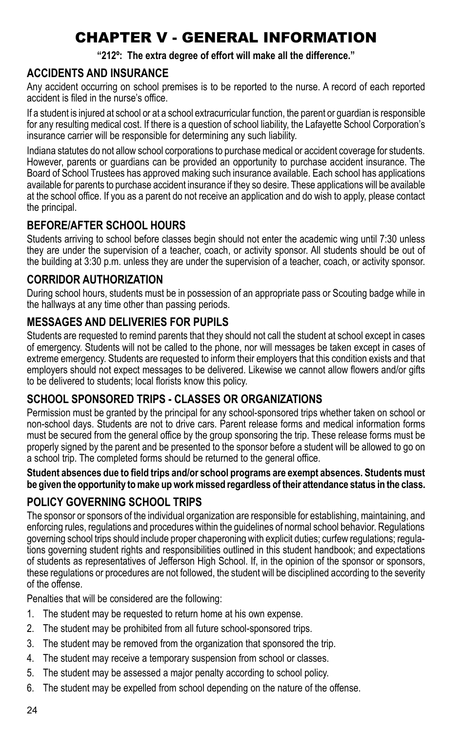# CHAPTER V - GENERAL INFORMATION

**"212º: The extra degree of effort will make all the difference."**

### **ACCIDENTS AND INSURANCE**

Any accident occurring on school premises is to be reported to the nurse. A record of each reported accident is filed in the nurse's office.

If a student is injured at school or at a school extracurricular function, the parent or guardian is responsible for any resulting medical cost. If there is a question of school liability, the Lafayette School Corporation's insurance carrier will be responsible for determining any such liability.

Indiana statutes do not allow school corporations to purchase medical or accident coverage for students. However, parents or guardians can be provided an opportunity to purchase accident insurance. The Board of School Trustees has approved making such insurance available. Each school has applications available for parents to purchase accident insurance if they so desire. These applications will be available at the school office. If you as a parent do not receive an application and do wish to apply, please contact the principal.

### **before/AFTER SCHOOL HOURS**

Students arriving to school before classes begin should not enter the academic wing until 7:30 unless they are under the supervision of a teacher, coach, or activity sponsor. All students should be out of the building at 3:30 p.m. unless they are under the supervision of a teacher, coach, or activity sponsor.

### **CORRIDOR AUTHORIZATION**

During school hours, students must be in possession of an appropriate pass or Scouting badge while in the hallways at any time other than passing periods.

### **MESSAGES AND DELIVERIES FOR PUPILS**

Students are requested to remind parents that they should not call the student at school except in cases of emergency. Students will not be called to the phone, nor will messages be taken except in cases of extreme emergency. Students are requested to inform their employers that this condition exists and that employers should not expect messages to be delivered. Likewise we cannot allow flowers and/or gifts to be delivered to students; local florists know this policy.

### **SCHOOL SPONSORED TRIPS - Classes or Organizations**

Permission must be granted by the principal for any school-sponsored trips whether taken on school or non-school days. Students are not to drive cars. Parent release forms and medical information forms must be secured from the general office by the group sponsoring the trip. These release forms must be properly signed by the parent and be presented to the sponsor before a student will be allowed to go on a school trip. The completed forms should be returned to the general office.

#### **Student absences due to field trips and/or school programs are exempt absences. Students must be given the opportunity to make up work missed regardless of their attendance status in the class.**

### **POLICY GOVERNING SCHOOL TRIPS**

The sponsor or sponsors of the individual organization are responsible for establishing, maintaining, and enforcing rules, regulations and procedures within the guidelines of normal school behavior. Regulations governing school trips should include proper chaperoning with explicit duties; curfew regulations; regulations governing student rights and responsibilities outlined in this student handbook; and expectations of students as representatives of Jefferson High School. If, in the opinion of the sponsor or sponsors, these regulations or procedures are not followed, the student will be disciplined according to the severity of the offense.

Penalties that will be considered are the following:

- 1. The student may be requested to return home at his own expense.
- 2. The student may be prohibited from all future school-sponsored trips.
- 3. The student may be removed from the organization that sponsored the trip.
- 4. The student may receive a temporary suspension from school or classes.
- 5. The student may be assessed a major penalty according to school policy.
- 6. The student may be expelled from school depending on the nature of the offense.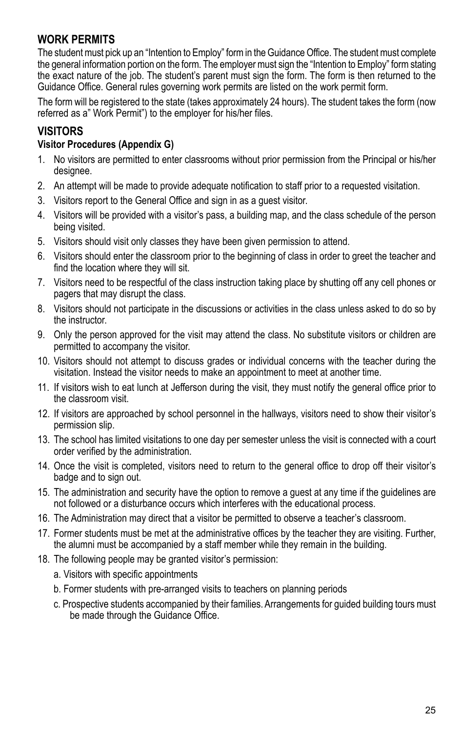### **WORK PERMITS**

The student must pick up an "Intention to Employ" form in the Guidance Office. The student must complete the general information portion on the form. The employer must sign the "Intention to Employ" form stating the exact nature of the job. The student's parent must sign the form. The form is then returned to the Guidance Office. General rules governing work permits are listed on the work permit form.

The form will be registered to the state (takes approximately 24 hours). The student takes the form (now referred as a" Work Permit") to the employer for his/her files.

### **Visitors**

#### **Visitor Procedures (Appendix G)**

- 1. No visitors are permitted to enter classrooms without prior permission from the Principal or his/her designee.
- 2. An attempt will be made to provide adequate notification to staff prior to a requested visitation.
- 3. Visitors report to the General Office and sign in as a guest visitor.
- 4. Visitors will be provided with a visitor's pass, a building map, and the class schedule of the person being visited.
- 5. Visitors should visit only classes they have been given permission to attend.
- 6. Visitors should enter the classroom prior to the beginning of class in order to greet the teacher and find the location where they will sit.
- 7. Visitors need to be respectful of the class instruction taking place by shutting off any cell phones or pagers that may disrupt the class.
- 8. Visitors should not participate in the discussions or activities in the class unless asked to do so by the instructor.
- 9. Only the person approved for the visit may attend the class. No substitute visitors or children are permitted to accompany the visitor.
- 10. Visitors should not attempt to discuss grades or individual concerns with the teacher during the visitation. Instead the visitor needs to make an appointment to meet at another time.
- 11. If visitors wish to eat lunch at Jefferson during the visit, they must notify the general office prior to the classroom visit.
- 12. If visitors are approached by school personnel in the hallways, visitors need to show their visitor's permission slip.
- 13. The school has limited visitations to one day per semester unless the visit is connected with a court order verified by the administration.
- 14. Once the visit is completed, visitors need to return to the general office to drop off their visitor's badge and to sign out.
- 15. The administration and security have the option to remove a guest at any time if the guidelines are not followed or a disturbance occurs which interferes with the educational process.
- 16. The Administration may direct that a visitor be permitted to observe a teacher's classroom.
- 17. Former students must be met at the administrative offices by the teacher they are visiting. Further, the alumni must be accompanied by a staff member while they remain in the building.
- 18. The following people may be granted visitor's permission:
	- a. Visitors with specific appointments
	- b. Former students with pre-arranged visits to teachers on planning periods
	- c. Prospective students accompanied by their families. Arrangements for guided building tours must be made through the Guidance Office.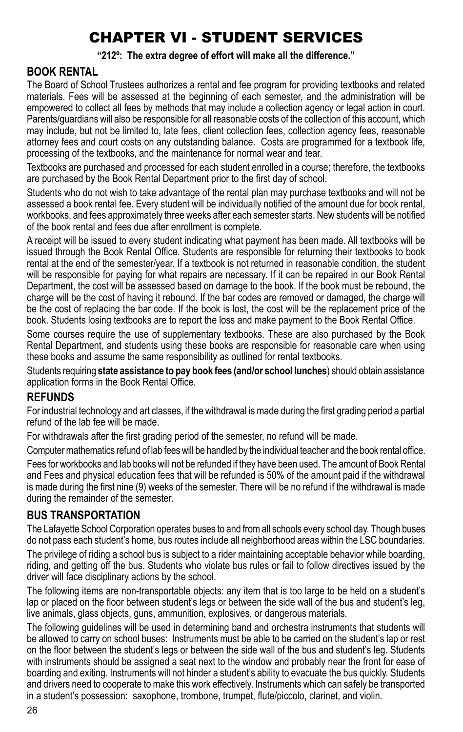# CHAPTER VI - STUDENT SERVICES

#### **"212º: The extra degree of effort will make all the difference."**

### **BOOK RENTAL**

The Board of School Trustees authorizes a rental and fee program for providing textbooks and related materials. Fees will be assessed at the beginning of each semester, and the administration will be empowered to collect all fees by methods that may include a collection agency or legal action in court. Parents/guardians will also be responsible for all reasonable costs of the collection of this account, which may include, but not be limited to, late fees, client collection fees, collection agency fees, reasonable attorney fees and court costs on any outstanding balance. Costs are programmed for a textbook life, processing of the textbooks, and the maintenance for normal wear and tear.

Textbooks are purchased and processed for each student enrolled in a course; therefore, the textbooks are purchased by the Book Rental Department prior to the first day of school.

Students who do not wish to take advantage of the rental plan may purchase textbooks and will not be assessed a book rental fee. Every student will be individually notified of the amount due for book rental, workbooks, and fees approximately three weeks after each semester starts. New students will be notified of the book rental and fees due after enrollment is complete.

A receipt will be issued to every student indicating what payment has been made. All textbooks will be issued through the Book Rental Office. Students are responsible for returning their textbooks to book rental at the end of the semester/year. If a textbook is not returned in reasonable condition, the student will be responsible for paying for what repairs are necessary. If it can be repaired in our Book Rental Department, the cost will be assessed based on damage to the book. If the book must be rebound, the charge will be the cost of having it rebound. If the bar codes are removed or damaged, the charge will be the cost of replacing the bar code. If the book is lost, the cost will be the replacement price of the book. Students losing textbooks are to report the loss and make payment to the Book Rental Office.

Some courses require the use of supplementary textbooks. These are also purchased by the Book Rental Department, and students using these books are responsible for reasonable care when using these books and assume the same responsibility as outlined for rental textbooks.

Students requiring **state assistance to pay book fees (and/or school lunches**) should obtain assistance application forms in the Book Rental Office.

### **REFUNDS**

For industrial technology and art classes, if the withdrawal is made during the first grading period a partial refund of the lab fee will be made.

For withdrawals after the first grading period of the semester, no refund will be made.

Computer mathematics refund of lab fees will be handled by the individual teacher and the book rental office.

Fees for workbooks and lab books will not be refunded if they have been used. The amount of Book Rental and Fees and physical education fees that will be refunded is 50% of the amount paid if the withdrawal is made during the first nine (9) weeks of the semester. There will be no refund if the withdrawal is made during the remainder of the semester.

#### **BUS TRANSPORTATION**

The Lafayette School Corporation operates buses to and from all schools every school day. Though buses do not pass each student's home, bus routes include all neighborhood areas within the LSC boundaries.

The privilege of riding a school bus is subject to a rider maintaining acceptable behavior while boarding, riding, and getting off the bus. Students who violate bus rules or fail to follow directives issued by the driver will face disciplinary actions by the school.

The following items are non-transportable objects: any item that is too large to be held on a student's lap or placed on the floor between student's legs or between the side wall of the bus and student's leg, live animals, glass objects, guns, ammunition, explosives, or dangerous materials.

The following guidelines will be used in determining band and orchestra instruments that students will be allowed to carry on school buses: Instruments must be able to be carried on the student's lap or rest on the floor between the student's legs or between the side wall of the bus and student's leg. Students with instruments should be assigned a seat next to the window and probably near the front for ease of boarding and exiting. Instruments will not hinder a student's ability to evacuate the bus quickly. Students and drivers need to cooperate to make this work effectively. Instruments which can safely be transported in a student's possession: saxophone, trombone, trumpet, flute/piccolo, clarinet, and violin.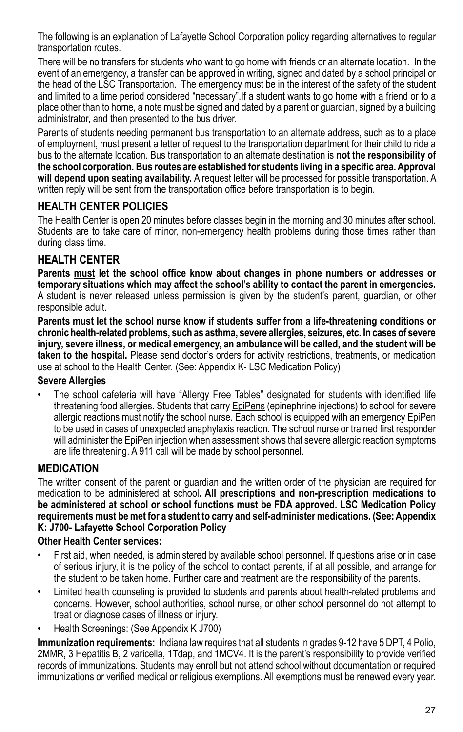The following is an explanation of Lafayette School Corporation policy regarding alternatives to regular transportation routes.

There will be no transfers for students who want to go home with friends or an alternate location. In the event of an emergency, a transfer can be approved in writing, signed and dated by a school principal or the head of the LSC Transportation. The emergency must be in the interest of the safety of the student and limited to a time period considered "necessary".If a student wants to go home with a friend or to a place other than to home, a note must be signed and dated by a parent or guardian, signed by a building administrator, and then presented to the bus driver.

Parents of students needing permanent bus transportation to an alternate address, such as to a place of employment, must present a letter of request to the transportation department for their child to ride a bus to the alternate location. Bus transportation to an alternate destination is **not the responsibility of the school corporation. Bus routes are established for students living in a specific area. Approval will depend upon seating availability.** A request letter will be processed for possible transportation. A written reply will be sent from the transportation office before transportation is to begin.

### **Health Center Policies**

The Health Center is open 20 minutes before classes begin in the morning and 30 minutes after school. Students are to take care of minor, non-emergency health problems during those times rather than during class time.

### **HEALTH Center**

**Parents must let the school office know about changes in phone numbers or addresses or temporary situations which may affect the school's ability to contact the parent in emergencies.**  A student is never released unless permission is given by the student's parent, guardian, or other responsible adult.

**Parents must let the school nurse know if students suffer from a life-threatening conditions or chronic health-related problems, such as asthma, severe allergies, seizures, etc. In cases of severe injury, severe illness, or medical emergency, an ambulance will be called, and the student will be taken to the hospital.** Please send doctor's orders for activity restrictions, treatments, or medication use at school to the Health Center. (See: Appendix K- LSC Medication Policy)

#### **Severe Allergies**

The school cafeteria will have "Allergy Free Tables" designated for students with identified life threatening food allergies. Students that carry **EpiPens** (epinephrine injections) to school for severe allergic reactions must notify the school nurse. Each school is equipped with an emergency EpiPen to be used in cases of unexpected anaphylaxis reaction. The school nurse or trained first responder will administer the EpiPen injection when assessment shows that severe allergic reaction symptoms are life threatening. A 911 call will be made by school personnel.

### **Medication**

The written consent of the parent or guardian and the written order of the physician are required for medication to be administered at school**. All prescriptions and non-prescription medications to be administered at school or school functions must be FDA approved. LSC Medication Policy requirements must be met for a student to carry and self-administer medications. (See: Appendix K: J700- Lafayette School Corporation Policy**

#### **Other Health Center services:**

- First aid, when needed, is administered by available school personnel. If questions arise or in case of serious injury, it is the policy of the school to contact parents, if at all possible, and arrange for the student to be taken home. Further care and treatment are the responsibility of the parents.
- • Limited health counseling is provided to students and parents about health-related problems and concerns. However, school authorities, school nurse, or other school personnel do not attempt to treat or diagnose cases of illness or injury.
- Health Screenings: (See Appendix K J700)

**Immunization requirements:** Indiana law requires that all students in grades 9-12 have 5 DPT, 4 Polio, 2MMR**,** 3 Hepatitis B, 2 varicella, 1Tdap, and 1MCV4. It is the parent's responsibility to provide verified records of immunizations. Students may enroll but not attend school without documentation or required immunizations or verified medical or religious exemptions. All exemptions must be renewed every year.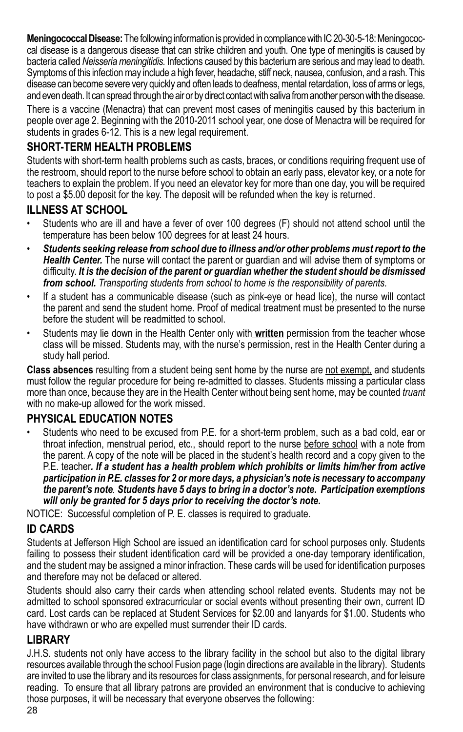**Meningococcal Disease:** The following information is provided in compliance with IC 20-30-5-18: Meningococcal disease is a dangerous disease that can strike children and youth. One type of meningitis is caused by bacteria called *Neisseria meningitidis.* Infections caused by this bacterium are serious and may lead to death. Symptoms of this infection may include a high fever, headache, stiff neck, nausea, confusion, and a rash. This disease can become severe very quickly and often leads to deafness, mental retardation, loss of arms or legs, and even death. It can spread through the air or by direct contact with saliva from another person with the disease.

There is a vaccine (Menactra) that can prevent most cases of meningitis caused by this bacterium in people over age 2. Beginning with the 2010-2011 school year, one dose of Menactra will be required for students in grades 6-12. This is a new legal requirement.

### **SHORT-TERM HEALTH PROBLEMS**

Students with short-term health problems such as casts, braces, or conditions requiring frequent use of the restroom, should report to the nurse before school to obtain an early pass, elevator key, or a note for teachers to explain the problem. If you need an elevator key for more than one day, you will be required to post a \$5.00 deposit for the key. The deposit will be refunded when the key is returned.

### **ILLNESS AT SCHOOL**

- Students who are ill and have a fever of over 100 degrees (F) should not attend school until the temperature has been below 100 degrees for at least 24 hours.
- Students seeking release from school due to illness and/or other problems must report to the *Health Center.* The nurse will contact the parent or guardian and will advise them of symptoms or difficulty. *It is the decision of the parent or guardian whether the student should be dismissed from school. Transporting students from school to home is the responsibility of parents.*
- If a student has a communicable disease (such as pink-eye or head lice), the nurse will contact the parent and send the student home. Proof of medical treatment must be presented to the nurse before the student will be readmitted to school.
- Students may lie down in the Health Center only with written permission from the teacher whose class will be missed. Students may, with the nurse's permission, rest in the Health Center during a study hall period.

**Class absences** resulting from a student being sent home by the nurse are not exempt, and students must follow the regular procedure for being re-admitted to classes. Students missing a particular class more than once, because they are in the Health Center without being sent home, may be counted *truant* with no make-up allowed for the work missed.

### **Physical Education Notes**

Students who need to be excused from P.E. for a short-term problem, such as a bad cold, ear or throat infection, menstrual period, etc., should report to the nurse before school with a note from the parent. A copy of the note will be placed in the student's health record and a copy given to the P.E. teacher*. If a student has a health problem which prohibits or limits him/her from active participation in P.E. classes for 2 or more days, a physician's note is necessary to accompany the parent's note. Students have 5 days to bring in a doctor's note. Participation exemptions will only be granted for 5 days prior to receiving the doctor's note.*

NOTICE: Successful completion of P. E. classes is required to graduate.

### **ID CARDS**

Students at Jefferson High School are issued an identification card for school purposes only. Students failing to possess their student identification card will be provided a one-day temporary identification, and the student may be assigned a minor infraction. These cards will be used for identification purposes and therefore may not be defaced or altered.

Students should also carry their cards when attending school related events. Students may not be admitted to school sponsored extracurricular or social events without presenting their own, current ID card. Lost cards can be replaced at Student Services for \$2.00 and lanyards for \$1.00. Students who have withdrawn or who are expelled must surrender their ID cards.

### **LIBRARY**

J.H.S. students not only have access to the library facility in the school but also to the digital library resources available through the school Fusion page (login directions are available in the library). Students are invited to use the library and its resources for class assignments, for personal research, and for leisure reading. To ensure that all library patrons are provided an environment that is conducive to achieving those purposes, it will be necessary that everyone observes the following: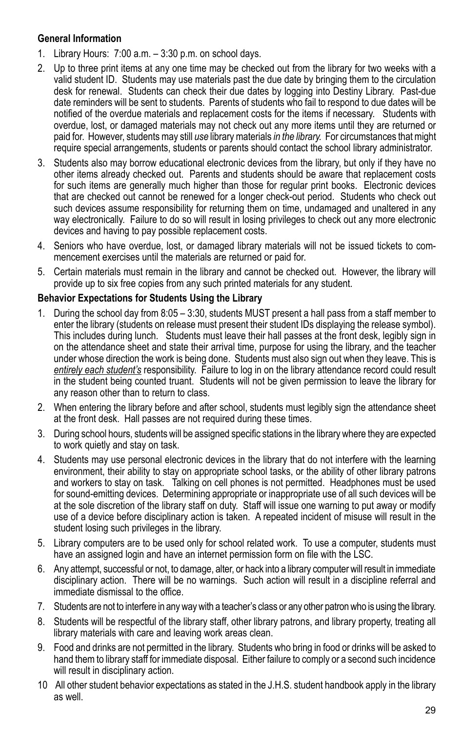#### **General Information**

- 1. Library Hours: 7:00 a.m. 3:30 p.m. on school days.
- 2. Up to three print items at any one time may be checked out from the library for two weeks with a valid student ID. Students may use materials past the due date by bringing them to the circulation desk for renewal. Students can check their due dates by logging into Destiny Library. Past-due date reminders will be sent to students. Parents of students who fail to respond to due dates will be notified of the overdue materials and replacement costs for the items if necessary. Students with overdue, lost, or damaged materials may not check out any more items until they are returned or paid for. However, students may still *use* library materials *in the library.* For circumstances that might require special arrangements, students or parents should contact the school library administrator.
- 3. Students also may borrow educational electronic devices from the library, but only if they have no other items already checked out. Parents and students should be aware that replacement costs for such items are generally much higher than those for regular print books. Electronic devices that are checked out cannot be renewed for a longer check-out period. Students who check out such devices assume responsibility for returning them on time, undamaged and unaltered in any way electronically. Failure to do so will result in losing privileges to check out any more electronic devices and having to pay possible replacement costs.
- 4. Seniors who have overdue, lost, or damaged library materials will not be issued tickets to commencement exercises until the materials are returned or paid for.
- 5. Certain materials must remain in the library and cannot be checked out. However, the library will provide up to six free copies from any such printed materials for any student.

#### **Behavior Expectations for Students Using the Library**

- 1. During the school day from 8:05 3:30, students MUST present a hall pass from a staff member to enter the library (students on release must present their student IDs displaying the release symbol). This includes during lunch. Students must leave their hall passes at the front desk, legibly sign in on the attendance sheet and state their arrival time, purpose for using the library, and the teacher under whose direction the work is being done. Students must also sign out when they leave. This is *entirely each student's* responsibility. Failure to log in on the library attendance record could result in the student being counted truant. Students will not be given permission to leave the library for any reason other than to return to class.
- 2. When entering the library before and after school, students must legibly sign the attendance sheet at the front desk. Hall passes are not required during these times.
- 3. During school hours, students will be assigned specific stations in the library where they are expected to work quietly and stay on task.
- 4. Students may use personal electronic devices in the library that do not interfere with the learning environment, their ability to stay on appropriate school tasks, or the ability of other library patrons and workers to stay on task. Talking on cell phones is not permitted. Headphones must be used for sound-emitting devices. Determining appropriate or inappropriate use of all such devices will be at the sole discretion of the library staff on duty. Staff will issue one warning to put away or modify use of a device before disciplinary action is taken. A repeated incident of misuse will result in the student losing such privileges in the library.
- 5. Library computers are to be used only for school related work. To use a computer, students must have an assigned login and have an internet permission form on file with the LSC.
- 6. Any attempt, successful or not, to damage, alter, or hack into a library computer will result in immediate disciplinary action. There will be no warnings. Such action will result in a discipline referral and immediate dismissal to the office.
- 7. Students are not to interfere in any way with a teacher's class or any other patron who is using the library.
- 8. Students will be respectful of the library staff, other library patrons, and library property, treating all library materials with care and leaving work areas clean.
- 9. Food and drinks are not permitted in the library. Students who bring in food or drinks will be asked to hand them to library staff for immediate disposal. Either failure to comply or a second such incidence will result in disciplinary action.
- 10 All other student behavior expectations as stated in the J.H.S. student handbook apply in the library as well.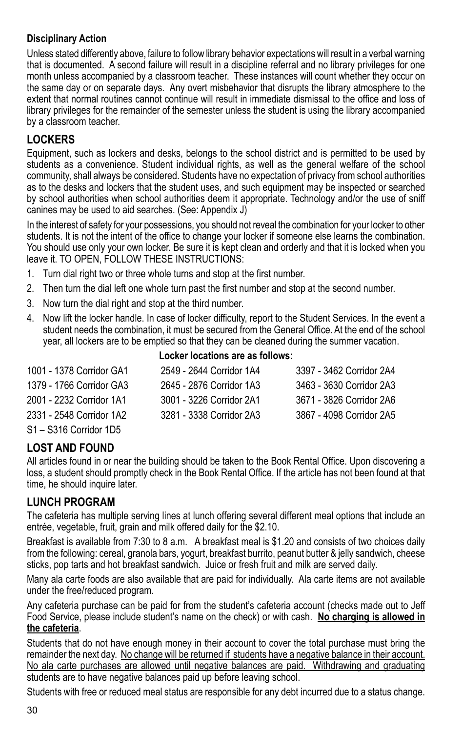### **Disciplinary Action**

Unless stated differently above, failure to follow library behavior expectations will result in a verbal warning that is documented. A second failure will result in a discipline referral and no library privileges for one month unless accompanied by a classroom teacher. These instances will count whether they occur on the same day or on separate days. Any overt misbehavior that disrupts the library atmosphere to the extent that normal routines cannot continue will result in immediate dismissal to the office and loss of library privileges for the remainder of the semester unless the student is using the library accompanied by a classroom teacher.

### **LOCKERS**

Equipment, such as lockers and desks, belongs to the school district and is permitted to be used by students as a convenience. Student individual rights, as well as the general welfare of the school community, shall always be considered. Students have no expectation of privacy from school authorities as to the desks and lockers that the student uses, and such equipment may be inspected or searched by school authorities when school authorities deem it appropriate. Technology and/or the use of sniff canines may be used to aid searches. (See: Appendix J)

In the interest of safety for your possessions, you should not reveal the combination for your locker to other students. It is not the intent of the office to change your locker if someone else learns the combination. You should use only your own locker. Be sure it is kept clean and orderly and that it is locked when you leave it. TO OPEN, FOLLOW THESE INSTRUCTIONS:

- 1. Turn dial right two or three whole turns and stop at the first number.
- 2. Then turn the dial left one whole turn past the first number and stop at the second number.
- 3. Now turn the dial right and stop at the third number.
- 4. Now lift the locker handle. In case of locker difficulty, report to the Student Services. In the event a student needs the combination, it must be secured from the General Office. At the end of the school year, all lockers are to be emptied so that they can be cleaned during the summer vacation. **Locker locations are as follows:**

| LOUNG NOGALIONS AIG AS IUNUWS. |                          |                          |  |  |
|--------------------------------|--------------------------|--------------------------|--|--|
| 1001 - 1378 Corridor GA1       | 2549 - 2644 Corridor 1A4 | 3397 - 3462 Corridor 2A4 |  |  |
| 1379 - 1766 Corridor GA3       | 2645 - 2876 Corridor 1A3 | 3463 - 3630 Corridor 2A3 |  |  |
| 2001 - 2232 Corridor 1A1       | 3001 - 3226 Corridor 2A1 | 3671 - 3826 Corridor 2A6 |  |  |
| 2331 - 2548 Corridor 1A2       | 3281 - 3338 Corridor 2A3 | 3867 - 4098 Corridor 2A5 |  |  |
| S1 - S316 Corridor 1D5         |                          |                          |  |  |

### **LOST AND FOUND**

All articles found in or near the building should be taken to the Book Rental Office. Upon discovering a loss, a student should promptly check in the Book Rental Office. If the article has not been found at that time, he should inquire later.

### **LUNCH PROGRAM**

The cafeteria has multiple serving lines at lunch offering several different meal options that include an entrée, vegetable, fruit, grain and milk offered daily for the \$2.10.

Breakfast is available from 7:30 to 8 a.m. A breakfast meal is \$1.20 and consists of two choices daily from the following: cereal, granola bars, yogurt, breakfast burrito, peanut butter & jelly sandwich, cheese sticks, pop tarts and hot breakfast sandwich. Juice or fresh fruit and milk are served daily.

Many ala carte foods are also available that are paid for individually. Ala carte items are not available under the free/reduced program.

Any cafeteria purchase can be paid for from the student's cafeteria account (checks made out to Jeff Food Service, please include student's name on the check) or with cash. **No charging is allowed in the cafeteria**.

Students that do not have enough money in their account to cover the total purchase must bring the remainder the next day. No change will be returned if students have a negative balance in their account. No ala carte purchases are allowed until negative balances are paid. Withdrawing and graduating students are to have negative balances paid up before leaving school.

Students with free or reduced meal status are responsible for any debt incurred due to a status change.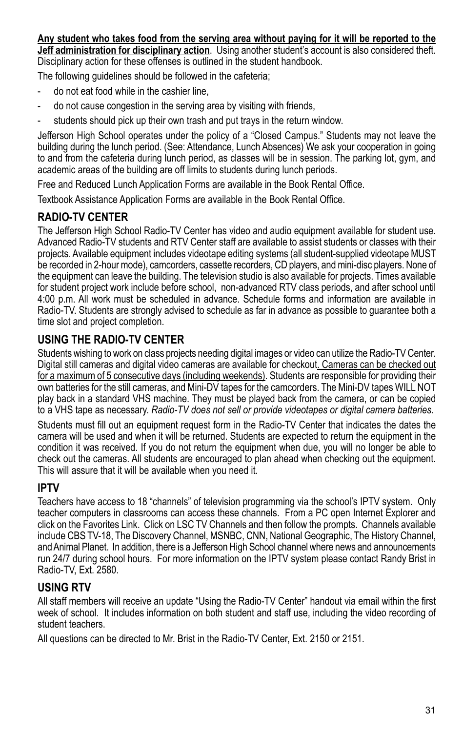**Any student who takes food from the serving area without paying for it will be reported to the Jeff administration for disciplinary action**. Using another student's account is also considered theft. Disciplinary action for these offenses is outlined in the student handbook.

The following guidelines should be followed in the cafeteria;

- do not eat food while in the cashier line,
- do not cause congestion in the serving area by visiting with friends,
- students should pick up their own trash and put trays in the return window.

Jefferson High School operates under the policy of a "Closed Campus." Students may not leave the building during the lunch period. (See: Attendance, Lunch Absences) We ask your cooperation in going to and from the cafeteria during lunch period, as classes will be in session. The parking lot, gym, and academic areas of the building are off limits to students during lunch periods.

Free and Reduced Lunch Application Forms are available in the Book Rental Office.

Textbook Assistance Application Forms are available in the Book Rental Office.

### **RADIO-TV CENTER**

The Jefferson High School Radio-TV Center has video and audio equipment available for student use. Advanced Radio-TV students and RTV Center staff are available to assist students or classes with their projects. Available equipment includes videotape editing systems (all student-supplied videotape MUST be recorded in 2-hour mode), camcorders, cassette recorders, CD players, and mini-disc players. None of the equipment can leave the building. The television studio is also available for projects. Times available for student project work include before school, non-advanced RTV class periods, and after school until 4:00 p.m. All work must be scheduled in advance. Schedule forms and information are available in Radio-TV. Students are strongly advised to schedule as far in advance as possible to guarantee both a time slot and project completion.

### **USING THE RADIO-TV CENTER**

Students wishing to work on class projects needing digital images or video can utilize the Radio-TV Center. Digital still cameras and digital video cameras are available for checkout. Cameras can be checked out for a maximum of 5 consecutive days (including weekends). Students are responsible for providing their own batteries for the still cameras, and Mini-DV tapes for the camcorders. The Mini-DV tapes WILL NOT play back in a standard VHS machine. They must be played back from the camera, or can be copied to a VHS tape as necessary. *Radio-TV does not sell or provide videotapes or digital camera batteries.*

Students must fill out an equipment request form in the Radio-TV Center that indicates the dates the camera will be used and when it will be returned. Students are expected to return the equipment in the condition it was received. If you do not return the equipment when due, you will no longer be able to check out the cameras. All students are encouraged to plan ahead when checking out the equipment. This will assure that it will be available when you need it.

### **IPTV**

Teachers have access to 18 "channels" of television programming via the school's IPTV system. Only teacher computers in classrooms can access these channels. From a PC open Internet Explorer and click on the Favorites Link. Click on LSC TV Channels and then follow the prompts. Channels available include CBS TV-18, The Discovery Channel, MSNBC, CNN, National Geographic, The History Channel, and Animal Planet. In addition, there is a Jefferson High School channel where news and announcements run 24/7 during school hours. For more information on the IPTV system please contact Randy Brist in Radio-TV, Ext. 2580.

### **USING RTV**

All staff members will receive an update "Using the Radio-TV Center" handout via email within the first week of school. It includes information on both student and staff use, including the video recording of student teachers.

All questions can be directed to Mr. Brist in the Radio-TV Center, Ext. 2150 or 2151.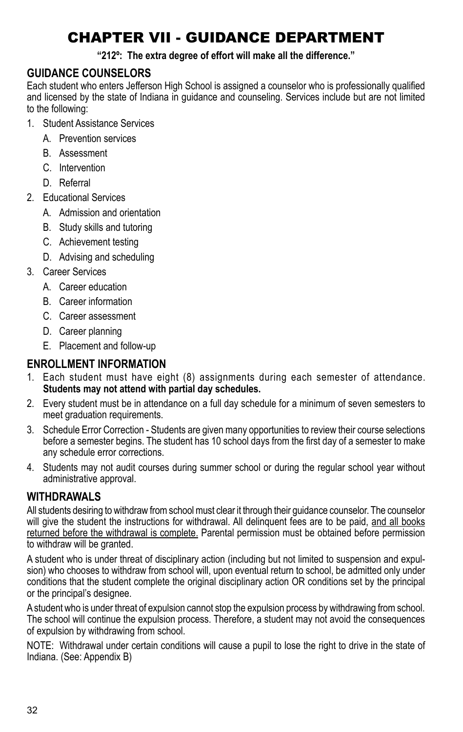# Chapter VII - GUIDANCE DEPARTMENT

#### **"212º: The extra degree of effort will make all the difference."**

### **GUIDANCE COUNSELORS**

Each student who enters Jefferson High School is assigned a counselor who is professionally qualified and licensed by the state of Indiana in guidance and counseling. Services include but are not limited to the following:

- 1. Student Assistance Services
	- A. Prevention services
	- B. Assessment
	- C. Intervention
	- D. Referral
- 2. Educational Services
	- A. Admission and orientation
	- B. Study skills and tutoring
	- C. Achievement testing
	- D. Advising and scheduling
- 3. Career Services
	- A. Career education
	- B. Career information
	- C. Career assessment
	- D. Career planning
	- E. Placement and follow-up

### **ENROLLMENT INFORMATION**

- 1. Each student must have eight (8) assignments during each semester of attendance. **Students may not attend with partial day schedules.**
- 2. Every student must be in attendance on a full day schedule for a minimum of seven semesters to meet graduation requirements.
- 3. Schedule Error Correction Students are given many opportunities to review their course selections before a semester begins. The student has 10 school days from the first day of a semester to make any schedule error corrections.
- 4. Students may not audit courses during summer school or during the regular school year without administrative approval.

### **WITHDRAWALS**

All students desiring to withdraw from school must clear it through their guidance counselor. The counselor will give the student the instructions for withdrawal. All delinquent fees are to be paid, and all books returned before the withdrawal is complete. Parental permission must be obtained before permission to withdraw will be granted.

A student who is under threat of disciplinary action (including but not limited to suspension and expulsion) who chooses to withdraw from school will, upon eventual return to school, be admitted only under conditions that the student complete the original disciplinary action OR conditions set by the principal or the principal's designee.

A student who is under threat of expulsion cannot stop the expulsion process by withdrawing from school. The school will continue the expulsion process. Therefore, a student may not avoid the consequences of expulsion by withdrawing from school.

NOTE: Withdrawal under certain conditions will cause a pupil to lose the right to drive in the state of Indiana. (See: Appendix B)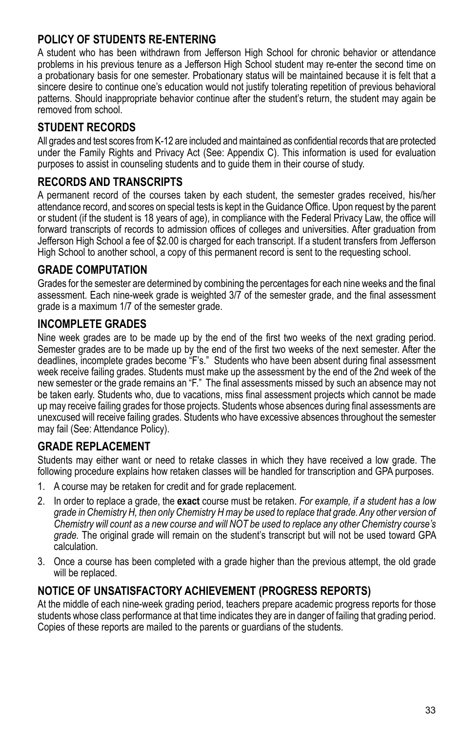### **POLICY OF STUDENTS RE-ENTERING**

A student who has been withdrawn from Jefferson High School for chronic behavior or attendance problems in his previous tenure as a Jefferson High School student may re-enter the second time on a probationary basis for one semester. Probationary status will be maintained because it is felt that a sincere desire to continue one's education would not justify tolerating repetition of previous behavioral patterns. Should inappropriate behavior continue after the student's return, the student may again be removed from school.

### **STUDENT RECORDS**

All grades and test scores from K-12 are included and maintained as confidential records that are protected under the Family Rights and Privacy Act (See: Appendix C). This information is used for evaluation purposes to assist in counseling students and to guide them in their course of study.

### **RECORDS AND TRANSCRIPTS**

A permanent record of the courses taken by each student, the semester grades received, his/her attendance record, and scores on special tests is kept in the Guidance Office. Upon request by the parent or student (if the student is 18 years of age), in compliance with the Federal Privacy Law, the office will forward transcripts of records to admission offices of colleges and universities. After graduation from Jefferson High School a fee of \$2.00 is charged for each transcript. If a student transfers from Jefferson High School to another school, a copy of this permanent record is sent to the requesting school.

### **GRADE COMPUTATION**

Grades for the semester are determined by combining the percentages for each nine weeks and the final assessment. Each nine-week grade is weighted 3/7 of the semester grade, and the final assessment grade is a maximum 1/7 of the semester grade.

### **INCOMPLETE GRADES**

Nine week grades are to be made up by the end of the first two weeks of the next grading period. Semester grades are to be made up by the end of the first two weeks of the next semester. After the deadlines, incomplete grades become "F's." Students who have been absent during final assessment week receive failing grades. Students must make up the assessment by the end of the 2nd week of the new semester or the grade remains an "F." The final assessments missed by such an absence may not be taken early. Students who, due to vacations, miss final assessment projects which cannot be made up may receive failing grades for those projects. Students whose absences during final assessments are unexcused will receive failing grades. Students who have excessive absences throughout the semester may fail (See: Attendance Policy).

### **GRADE REPLACEMENT**

Students may either want or need to retake classes in which they have received a low grade. The following procedure explains how retaken classes will be handled for transcription and GPA purposes.

- 1. A course may be retaken for credit and for grade replacement.
- 2. In order to replace a grade, the **exact** course must be retaken. *For example, if a student has a low grade in Chemistry H, then only Chemistry H may be used to replace that grade. Any other version of Chemistry will count as a new course and will NOT be used to replace any other Chemistry course's grade.* The original grade will remain on the student's transcript but will not be used toward GPA calculation.
- 3. Once a course has been completed with a grade higher than the previous attempt, the old grade will be replaced.

### **NOTICE OF UNSATISFACTORY ACHIEVEMENT (Progress Reports)**

At the middle of each nine-week grading period, teachers prepare academic progress reports for those students whose class performance at that time indicates they are in danger of failing that grading period. Copies of these reports are mailed to the parents or guardians of the students.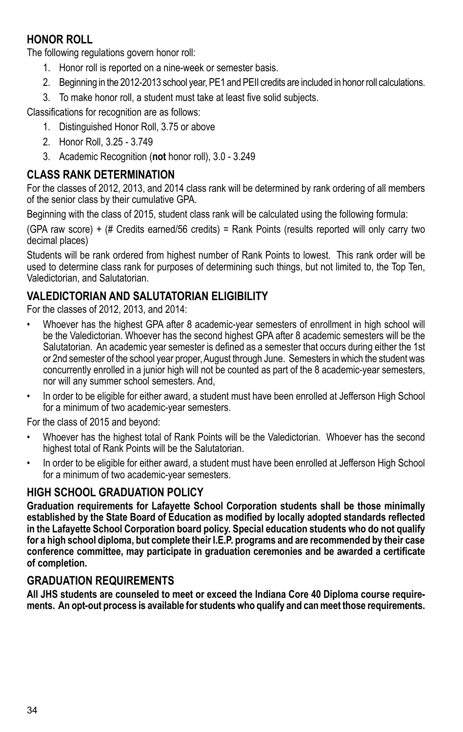### **HONOR ROLL**

The following regulations govern honor roll:

- 1. Honor roll is reported on a nine-week or semester basis.
- 2. Beginning in the 2012-2013 school year, PE1 and PEII credits are included in honor roll calculations.
- 3. To make honor roll, a student must take at least five solid subjects.

Classifications for recognition are as follows:

- 1. Distinguished Honor Roll, 3.75 or above
- 2. Honor Roll, 3.25 3.749
- 3. Academic Recognition (**not** honor roll), 3.0 3.249

### **Class Rank Determination**

For the classes of 2012, 2013, and 2014 class rank will be determined by rank ordering of all members of the senior class by their cumulative GPA.

Beginning with the class of 2015, student class rank will be calculated using the following formula:

(GPA raw score) + (# Credits earned/56 credits) = Rank Points (results reported will only carry two decimal places)

Students will be rank ordered from highest number of Rank Points to lowest. This rank order will be used to determine class rank for purposes of determining such things, but not limited to, the Top Ten, Valedictorian, and Salutatorian.

### **Valedictorian and Salutatorian Eligibility**

For the classes of 2012, 2013, and 2014:

- Whoever has the highest GPA after 8 academic-year semesters of enrollment in high school will be the Valedictorian. Whoever has the second highest GPA after 8 academic semesters will be the Salutatorian. An academic year semester is defined as a semester that occurs during either the 1st or 2nd semester of the school year proper, August through June. Semesters in which the student was concurrently enrolled in a junior high will not be counted as part of the 8 academic-year semesters, nor will any summer school semesters. And,
- In order to be eligible for either award, a student must have been enrolled at Jefferson High School for a minimum of two academic-year semesters.

For the class of 2015 and beyond:

- Whoever has the highest total of Rank Points will be the Valedictorian. Whoever has the second highest total of Rank Points will be the Salutatorian.
- In order to be eligible for either award, a student must have been enrolled at Jefferson High School for a minimum of two academic-year semesters.

### **HIGH SCHOOL GRADUATION POLICY**

**Graduation requirements for Lafayette School Corporation students shall be those minimally established by the State Board of Education as modified by locally adopted standards reflected in the Lafayette School Corporation board policy. Special education students who do not qualify for a high school diploma, but complete their I.E.P. programs and are recommended by their case conference committee, may participate in graduation ceremonies and be awarded a certificate of completion.** 

### **GRADUATION REQUIREMENTS**

**All JHS students are counseled to meet or exceed the Indiana Core 40 Diploma course requirements. An opt-out process is available for students who qualify and can meet those requirements.**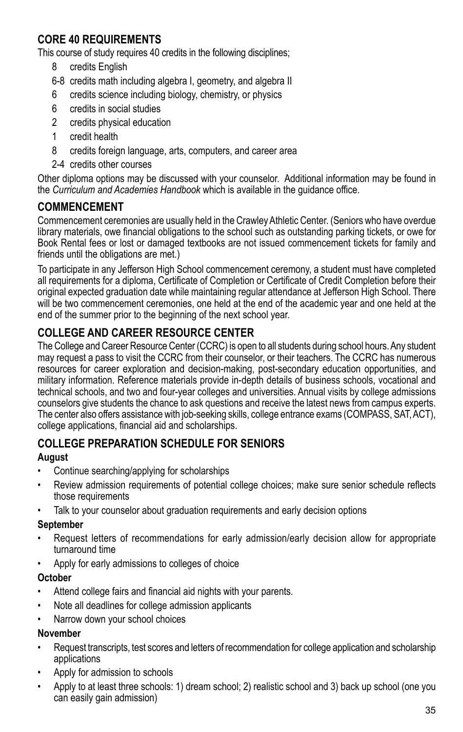### **CORE 40 REQUIREMENTS**

This course of study requires 40 credits in the following disciplines;

- 8 credits English
- 6-8 credits math including algebra I, geometry, and algebra II
- 6 credits science including biology, chemistry, or physics
- 6 credits in social studies
- 2 credits physical education
- 1 credit health
- 8 credits foreign language, arts, computers, and career area
- 2-4 credits other courses

Other diploma options may be discussed with your counselor. Additional information may be found in the *Curriculum and Academies Handbook* which is available in the guidance office.

### **COMMENCEMENT**

Commencement ceremonies are usually held in the Crawley Athletic Center. (Seniors who have overdue library materials, owe financial obligations to the school such as outstanding parking tickets, or owe for Book Rental fees or lost or damaged textbooks are not issued commencement tickets for family and friends until the obligations are met.)

To participate in any Jefferson High School commencement ceremony, a student must have completed all requirements for a diploma, Certificate of Completion or Certificate of Credit Completion before their original expected graduation date while maintaining regular attendance at Jefferson High School. There will be two commencement ceremonies, one held at the end of the academic year and one held at the end of the summer prior to the beginning of the next school year.

### **COLLEGE AND CAREER RESOURCE CENTER**

The College and Career Resource Center (CCRC) is open to all students during school hours. Any student may request a pass to visit the CCRC from their counselor, or their teachers. The CCRC has numerous resources for career exploration and decision-making, post-secondary education opportunities, and military information. Reference materials provide in-depth details of business schools, vocational and technical schools, and two and four-year colleges and universities. Annual visits by college admissions counselors give students the chance to ask questions and receive the latest news from campus experts. The center also offers assistance with job-seeking skills, college entrance exams (COMPASS, SAT, ACT), college applications, financial aid and scholarships.

### **College Preparation Schedule for Seniors**

### **August**

- Continue searching/applying for scholarships
- Review admission requirements of potential college choices; make sure senior schedule reflects those requirements
- Talk to your counselor about graduation requirements and early decision options

### **September**

- Request letters of recommendations for early admission/early decision allow for appropriate turnaround time
- Apply for early admissions to colleges of choice

### **October**

- Attend college fairs and financial aid nights with your parents.
- Note all deadlines for college admission applicants
- Narrow down your school choices

### **November**

- Request transcripts, test scores and letters of recommendation for college application and scholarship applications
- Apply for admission to schools
- Apply to at least three schools: 1) dream school; 2) realistic school and 3) back up school (one you can easily gain admission)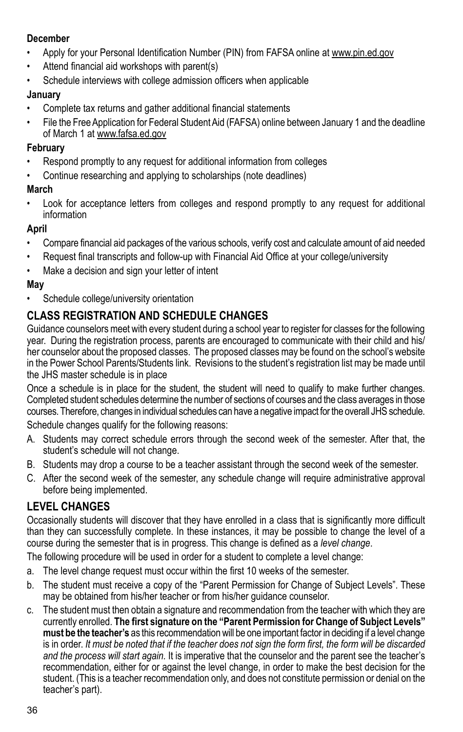#### **December**

- Apply for your Personal Identification Number (PIN) from FAFSA online at www.pin.ed.gov
- Attend financial aid workshops with parent(s)
- Schedule interviews with college admission officers when applicable

#### **January**

- Complete tax returns and gather additional financial statements
- File the Free Application for Federal Student Aid (FAFSA) online between January 1 and the deadline of March 1 at www.fafsa.ed.gov

#### **February**

- Respond promptly to any request for additional information from colleges
- Continue researching and applying to scholarships (note deadlines)

### **March**

Look for acceptance letters from colleges and respond promptly to any request for additional information

### **April**

- Compare financial aid packages of the various schools, verify cost and calculate amount of aid needed
- Request final transcripts and follow-up with Financial Aid Office at your college/university
- Make a decision and sign your letter of intent

### **May**

• Schedule college/university orientation

### **CLASS REGISTRATION AND SCHEDULE CHANGES**

Guidance counselors meet with every student during a school year to register for classes for the following year. During the registration process, parents are encouraged to communicate with their child and his/ her counselor about the proposed classes. The proposed classes may be found on the school's website in the Power School Parents/Students link. Revisions to the student's registration list may be made until the JHS master schedule is in place

Once a schedule is in place for the student, the student will need to qualify to make further changes. Completed student schedules determine the number of sections of courses and the class averages in those courses. Therefore, changes in individual schedules can have a negative impact for the overall JHS schedule. Schedule changes qualify for the following reasons:

- A. Students may correct schedule errors through the second week of the semester. After that, the student's schedule will not change.
- B. Students may drop a course to be a teacher assistant through the second week of the semester.
- C. After the second week of the semester, any schedule change will require administrative approval before being implemented.

### **LEVEL CHANGES**

Occasionally students will discover that they have enrolled in a class that is significantly more difficult than they can successfully complete. In these instances, it may be possible to change the level of a course during the semester that is in progress. This change is defined as a *level change*.

The following procedure will be used in order for a student to complete a level change:

- a. The level change request must occur within the first 10 weeks of the semester.
- b. The student must receive a copy of the "Parent Permission for Change of Subject Levels". These may be obtained from his/her teacher or from his/her guidance counselor.
- c. The student must then obtain a signature and recommendation from the teacher with which they are currently enrolled. **The first signature on the "Parent Permission for Change of Subject Levels" must be the teacher's** as this recommendation will be one important factor in deciding if a level change is in order. *It must be noted that if the teacher does not sign the form first, the form will be discarded and the process will start again.* It is imperative that the counselor and the parent see the teacher's recommendation, either for or against the level change, in order to make the best decision for the student. (This is a teacher recommendation only, and does not constitute permission or denial on the teacher's part).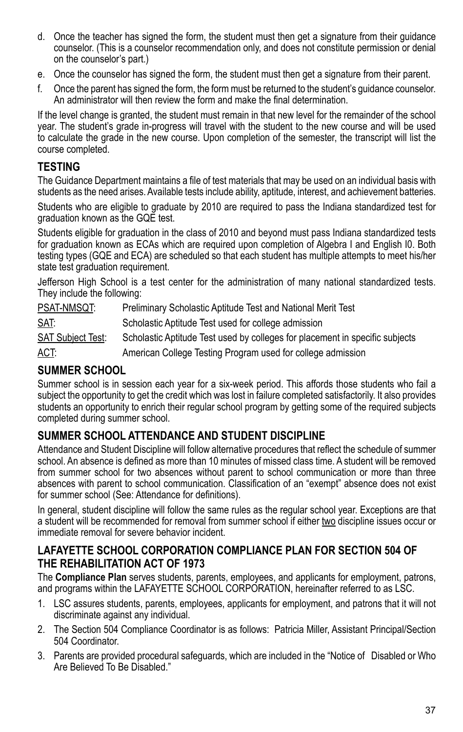- d. Once the teacher has signed the form, the student must then get a signature from their guidance counselor. (This is a counselor recommendation only, and does not constitute permission or denial on the counselor's part.)
- e. Once the counselor has signed the form, the student must then get a signature from their parent.
- f. Once the parent has signed the form, the form must be returned to the student's guidance counselor. An administrator will then review the form and make the final determination.

If the level change is granted, the student must remain in that new level for the remainder of the school year. The student's grade in-progress will travel with the student to the new course and will be used to calculate the grade in the new course. Upon completion of the semester, the transcript will list the course completed.

### **TESTING**

The Guidance Department maintains a file of test materials that may be used on an individual basis with students as the need arises. Available tests include ability, aptitude, interest, and achievement batteries.

Students who are eligible to graduate by 2010 are required to pass the Indiana standardized test for graduation known as the GQE test.

Students eligible for graduation in the class of 2010 and beyond must pass Indiana standardized tests for graduation known as ECAs which are required upon completion of Algebra I and English I0. Both testing types (GQE and ECA) are scheduled so that each student has multiple attempts to meet his/her state test graduation requirement.

Jefferson High School is a test center for the administration of many national standardized tests. They include the following:

| PSAT-NMSQT:              | Preliminary Scholastic Aptitude Test and National Merit Test                 |
|--------------------------|------------------------------------------------------------------------------|
| SAT:                     | Scholastic Aptitude Test used for college admission                          |
| <b>SAT Subject Test:</b> | Scholastic Aptitude Test used by colleges for placement in specific subjects |
| <u>ACT:</u>              | American College Testing Program used for college admission                  |

## **SUMMER SCHOOL**

Summer school is in session each year for a six-week period. This affords those students who fail a subject the opportunity to get the credit which was lost in failure completed satisfactorily. It also provides students an opportunity to enrich their regular school program by getting some of the required subjects completed during summer school.

### **SUMMER SCHOOL ATTENDANCE AND STUDENT DISCIPLINE**

Attendance and Student Discipline will follow alternative procedures that reflect the schedule of summer school. An absence is defined as more than 10 minutes of missed class time. A student will be removed from summer school for two absences without parent to school communication or more than three absences with parent to school communication. Classification of an "exempt" absence does not exist for summer school (See: Attendance for definitions).

In general, student discipline will follow the same rules as the regular school year. Exceptions are that a student will be recommended for removal from summer school if either two discipline issues occur or immediate removal for severe behavior incident.

### **LAFAYETTE SCHOOL CORPORATION COMPLIANCE PLAN FOR SECTION 504 OF THE REHABILITATION ACT OF 1973**

The **Compliance Plan** serves students, parents, employees, and applicants for employment, patrons, and programs within the LAFAYETTE SCHOOL CORPORATION, hereinafter referred to as LSC.

- 1. LSC assures students, parents, employees, applicants for employment, and patrons that it will not discriminate against any individual.
- 2. The Section 504 Compliance Coordinator is as follows: Patricia Miller, Assistant Principal/Section 504 Coordinator.
- 3. Parents are provided procedural safeguards, which are included in the "Notice of Disabled or Who Are Believed To Be Disabled."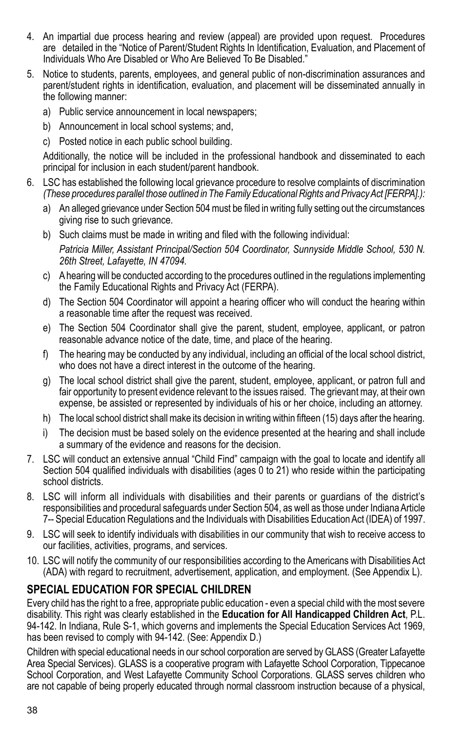- 4. An impartial due process hearing and review (appeal) are provided upon request. Procedures are detailed in the "Notice of Parent/Student Rights In Identification, Evaluation, and Placement of Individuals Who Are Disabled or Who Are Believed To Be Disabled."
- 5. Notice to students, parents, employees, and general public of non-discrimination assurances and parent/student rights in identification, evaluation, and placement will be disseminated annually in the following manner:
	- a) Public service announcement in local newspapers;
	- b) Announcement in local school systems; and,
	- c) Posted notice in each public school building.

Additionally, the notice will be included in the professional handbook and disseminated to each principal for inclusion in each student/parent handbook.

- 6. LSC has established the following local grievance procedure to resolve complaints of discrimination *(These procedures parallel those outlined in The Family Educational Rights and Privacy Act [FERPA].):*
	- a) An alleged grievance under Section 504 must be filed in writing fully setting out the circumstances giving rise to such grievance.
	- b) Such claims must be made in writing and filed with the following individual: *Patricia Miller, Assistant Principal/Section 504 Coordinator, Sunnyside Middle School, 530 N. 26th Street, Lafayette, IN 47094.*
	- c) A hearing will be conducted according to the procedures outlined in the regulations implementing the Family Educational Rights and Privacy Act (FERPA).
	- d) The Section 504 Coordinator will appoint a hearing officer who will conduct the hearing within a reasonable time after the request was received.
	- e) The Section 504 Coordinator shall give the parent, student, employee, applicant, or patron reasonable advance notice of the date, time, and place of the hearing.
	- f) The hearing may be conducted by any individual, including an official of the local school district, who does not have a direct interest in the outcome of the hearing.
	- g) The local school district shall give the parent, student, employee, applicant, or patron full and fair opportunity to present evidence relevant to the issues raised. The grievant may, at their own expense, be assisted or represented by individuals of his or her choice, including an attorney.
	- h) The local school district shall make its decision in writing within fifteen (15) days after the hearing.
	- i) The decision must be based solely on the evidence presented at the hearing and shall include a summary of the evidence and reasons for the decision.
- 7. LSC will conduct an extensive annual "Child Find" campaign with the goal to locate and identify all Section 504 qualified individuals with disabilities (ages 0 to 21) who reside within the participating school districts.
- 8. LSC will inform all individuals with disabilities and their parents or guardians of the district's responsibilities and procedural safeguards under Section 504, as well as those under Indiana Article 7-- Special Education Regulations and the Individuals with Disabilities Education Act (IDEA) of 1997.
- 9. LSC will seek to identify individuals with disabilities in our community that wish to receive access to our facilities, activities, programs, and services.
- 10. LSC will notify the community of our responsibilities according to the Americans with Disabilities Act (ADA) with regard to recruitment, advertisement, application, and employment. (See Appendix L).

### **SPECIAL EDUCATION FOR SPECIAL CHILDREN**

Every child has the right to a free, appropriate public education - even a special child with the most severe disability. This right was clearly established in the **Education for All Handicapped Children Act**, P.L. 94-142. In Indiana, Rule S-1, which governs and implements the Special Education Services Act 1969, has been revised to comply with 94-142. (See: Appendix D.)

Children with special educational needs in our school corporation are served by GLASS (Greater Lafayette Area Special Services). GLASS is a cooperative program with Lafayette School Corporation, Tippecanoe School Corporation, and West Lafayette Community School Corporations. GLASS serves children who are not capable of being properly educated through normal classroom instruction because of a physical,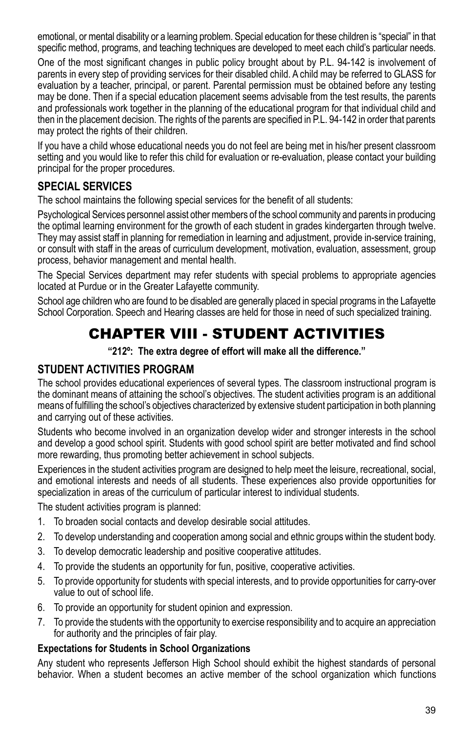emotional, or mental disability or a learning problem. Special education for these children is "special" in that specific method, programs, and teaching techniques are developed to meet each child's particular needs.

One of the most significant changes in public policy brought about by P.L. 94-142 is involvement of parents in every step of providing services for their disabled child. A child may be referred to GLASS for evaluation by a teacher, principal, or parent. Parental permission must be obtained before any testing may be done. Then if a special education placement seems advisable from the test results, the parents and professionals work together in the planning of the educational program for that individual child and then in the placement decision. The rights of the parents are specified in P.L. 94-142 in order that parents may protect the rights of their children.

If you have a child whose educational needs you do not feel are being met in his/her present classroom setting and you would like to refer this child for evaluation or re-evaluation, please contact your building principal for the proper procedures.

## **SPECIAL SERVICES**

The school maintains the following special services for the benefit of all students:

Psychological Services personnel assist other members of the school community and parents in producing the optimal learning environment for the growth of each student in grades kindergarten through twelve. They may assist staff in planning for remediation in learning and adjustment, provide in-service training, or consult with staff in the areas of curriculum development, motivation, evaluation, assessment, group process, behavior management and mental health.

The Special Services department may refer students with special problems to appropriate agencies located at Purdue or in the Greater Lafayette community.

School age children who are found to be disabled are generally placed in special programs in the Lafayette School Corporation. Speech and Hearing classes are held for those in need of such specialized training.

## CHAPTER VIII - STUDENT ACTIVITIES

**"212º: The extra degree of effort will make all the difference."**

### **STUDENT ACTIVITIES PROGRAM**

The school provides educational experiences of several types. The classroom instructional program is the dominant means of attaining the school's objectives. The student activities program is an additional means of fulfilling the school's objectives characterized by extensive student participation in both planning and carrying out of these activities.

Students who become involved in an organization develop wider and stronger interests in the school and develop a good school spirit. Students with good school spirit are better motivated and find school more rewarding, thus promoting better achievement in school subjects.

Experiences in the student activities program are designed to help meet the leisure, recreational, social, and emotional interests and needs of all students. These experiences also provide opportunities for specialization in areas of the curriculum of particular interest to individual students.

The student activities program is planned:

- 1. To broaden social contacts and develop desirable social attitudes.
- 2. To develop understanding and cooperation among social and ethnic groups within the student body.
- 3. To develop democratic leadership and positive cooperative attitudes.
- 4. To provide the students an opportunity for fun, positive, cooperative activities.
- 5. To provide opportunity for students with special interests, and to provide opportunities for carry-over value to out of school life.
- 6. To provide an opportunity for student opinion and expression.
- 7. To provide the students with the opportunity to exercise responsibility and to acquire an appreciation for authority and the principles of fair play.

#### **Expectations for Students in School Organizations**

Any student who represents Jefferson High School should exhibit the highest standards of personal behavior. When a student becomes an active member of the school organization which functions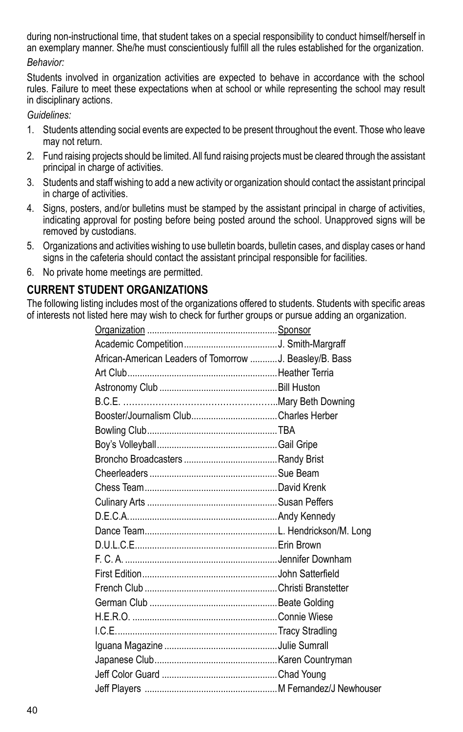during non-instructional time, that student takes on a special responsibility to conduct himself/herself in an exemplary manner. She/he must conscientiously fulfill all the rules established for the organization.

*Behavior:*

Students involved in organization activities are expected to behave in accordance with the school rules. Failure to meet these expectations when at school or while representing the school may result in disciplinary actions.

*Guidelines:*

- 1. Students attending social events are expected to be present throughout the event. Those who leave may not return.
- 2. Fund raising projects should be limited. All fund raising projects must be cleared through the assistant principal in charge of activities.
- 3. Students and staff wishing to add a new activity or organization should contact the assistant principal in charge of activities.
- 4. Signs, posters, and/or bulletins must be stamped by the assistant principal in charge of activities, indicating approval for posting before being posted around the school. Unapproved signs will be removed by custodians.
- 5. Organizations and activities wishing to use bulletin boards, bulletin cases, and display cases or hand signs in the cafeteria should contact the assistant principal responsible for facilities.
- 6. No private home meetings are permitted.

## **CURRENT STUDENT ORGANIZATIONS**

The following listing includes most of the organizations offered to students. Students with specific areas of interests not listed here may wish to check for further groups or pursue adding an organization.

| African-American Leaders of Tomorrow  J. Beasley/B. Bass |  |
|----------------------------------------------------------|--|
|                                                          |  |
|                                                          |  |
|                                                          |  |
|                                                          |  |
|                                                          |  |
|                                                          |  |
|                                                          |  |
|                                                          |  |
|                                                          |  |
|                                                          |  |
|                                                          |  |
|                                                          |  |
|                                                          |  |
|                                                          |  |
|                                                          |  |
|                                                          |  |
|                                                          |  |
|                                                          |  |
|                                                          |  |
|                                                          |  |
|                                                          |  |
|                                                          |  |
|                                                          |  |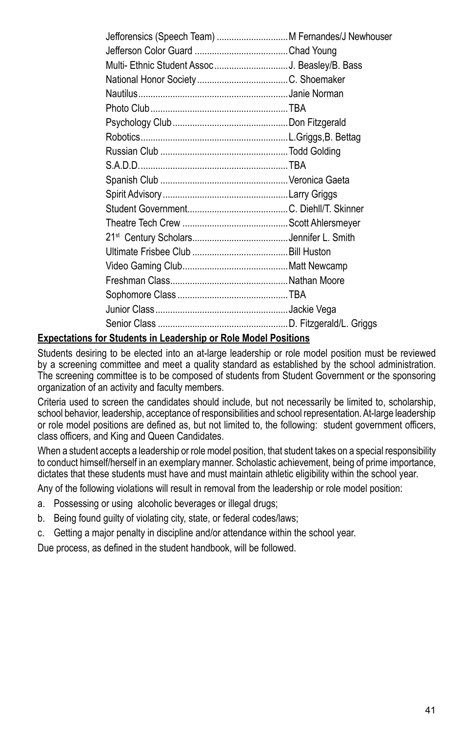#### **Expectations for Students in Leadership or Role Model Positions**

Students desiring to be elected into an at-large leadership or role model position must be reviewed by a screening committee and meet a quality standard as established by the school administration. The screening committee is to be composed of students from Student Government or the sponsoring organization of an activity and faculty members.

Criteria used to screen the candidates should include, but not necessarily be limited to, scholarship, school behavior, leadership, acceptance of responsibilities and school representation. At-large leadership or role model positions are defined as, but not limited to, the following: student government officers, class officers, and King and Queen Candidates.

When a student accepts a leadership or role model position, that student takes on a special responsibility to conduct himself/herself in an exemplary manner. Scholastic achievement, being of prime importance, dictates that these students must have and must maintain athletic eligibility within the school year.

Any of the following violations will result in removal from the leadership or role model position:

- a. Possessing or using alcoholic beverages or illegal drugs;
- b. Being found guilty of violating city, state, or federal codes/laws;
- c. Getting a major penalty in discipline and/or attendance within the school year.

Due process, as defined in the student handbook, will be followed.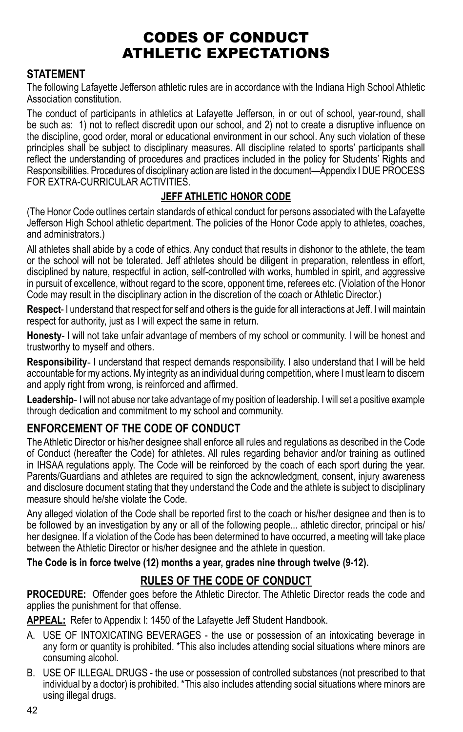## Codes of Conduct Athletic Expectations

### **STATEMENT**

The following Lafayette Jefferson athletic rules are in accordance with the Indiana High School Athletic Association constitution.

The conduct of participants in athletics at Lafayette Jefferson, in or out of school, year-round, shall be such as: 1) not to reflect discredit upon our school, and 2) not to create a disruptive influence on the discipline, good order, moral or educational environment in our school. Any such violation of these principles shall be subject to disciplinary measures. All discipline related to sports' participants shall reflect the understanding of procedures and practices included in the policy for Students' Rights and Responsibilities. Procedures of disciplinary action are listed in the document—Appendix I DUE PROCESS FOR EXTRA-CURRICULAR ACTIVITIES.

#### **JEFF ATHLETIC HONOR CODE**

(The Honor Code outlines certain standards of ethical conduct for persons associated with the Lafayette Jefferson High School athletic department. The policies of the Honor Code apply to athletes, coaches, and administrators.)

All athletes shall abide by a code of ethics. Any conduct that results in dishonor to the athlete, the team or the school will not be tolerated. Jeff athletes should be diligent in preparation, relentless in effort, disciplined by nature, respectful in action, self-controlled with works, humbled in spirit, and aggressive in pursuit of excellence, without regard to the score, opponent time, referees etc. (Violation of the Honor Code may result in the disciplinary action in the discretion of the coach or Athletic Director.)

**Respect**- I understand that respect for self and others is the guide for all interactions at Jeff. I will maintain respect for authority, just as I will expect the same in return.

**Honesty**- I will not take unfair advantage of members of my school or community. I will be honest and trustworthy to myself and others.

**Responsibility**- I understand that respect demands responsibility. I also understand that I will be held accountable for my actions. My integrity as an individual during competition, where I must learn to discern and apply right from wrong, is reinforced and affirmed.

**Leadership**- I will not abuse nor take advantage of my position of leadership. I will set a positive example through dedication and commitment to my school and community.

### **ENFORCEMENT of the Code of Conduct**

The Athletic Director or his/her designee shall enforce all rules and regulations as described in the Code of Conduct (hereafter the Code) for athletes. All rules regarding behavior and/or training as outlined in IHSAA regulations apply. The Code will be reinforced by the coach of each sport during the year. Parents/Guardians and athletes are required to sign the acknowledgment, consent, injury awareness and disclosure document stating that they understand the Code and the athlete is subject to disciplinary measure should he/she violate the Code.

Any alleged violation of the Code shall be reported first to the coach or his/her designee and then is to be followed by an investigation by any or all of the following people... athletic director, principal or his/ her designee. If a violation of the Code has been determined to have occurred, a meeting will take place between the Athletic Director or his/her designee and the athlete in question.

**The Code is in force twelve (12) months a year, grades nine through twelve (9-12).**

### **RULES of the CODE of CONDUCT**

**PROCEDURE:** Offender goes before the Athletic Director. The Athletic Director reads the code and applies the punishment for that offense.

APPEAL: Refer to Appendix I: 1450 of the Lafayette Jeff Student Handbook.

- A. USE OF INTOXICATING BEVERAGES the use or possession of an intoxicating beverage in any form or quantity is prohibited. \*This also includes attending social situations where minors are consuming alcohol.
- B. USE OF ILLEGAL DRUGS the use or possession of controlled substances (not prescribed to that individual by a doctor) is prohibited. \*This also includes attending social situations where minors are using illegal drugs.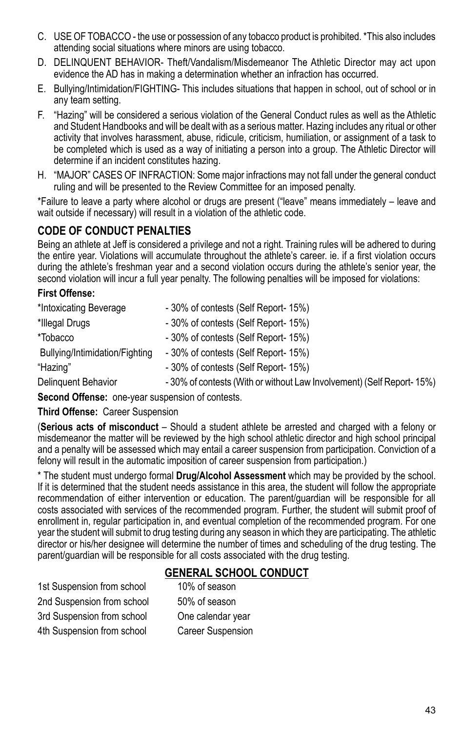- C. USE OF TOBACCO the use or possession of any tobacco product is prohibited. \*This also includes attending social situations where minors are using tobacco.
- D. DELINQUENT BEHAVIOR- Theft/Vandalism/Misdemeanor The Athletic Director may act upon evidence the AD has in making a determination whether an infraction has occurred.
- E. Bullying/Intimidation/FIGHTING- This includes situations that happen in school, out of school or in any team setting.
- F. "Hazing" will be considered a serious violation of the General Conduct rules as well as the Athletic and Student Handbooks and will be dealt with as a serious matter. Hazing includes any ritual or other activity that involves harassment, abuse, ridicule, criticism, humiliation, or assignment of a task to be completed which is used as a way of initiating a person into a group. The Athletic Director will determine if an incident constitutes hazing.
- H. "MAJOR" CASES OF INFRACTION: Some major infractions may not fall under the general conduct ruling and will be presented to the Review Committee for an imposed penalty.

\*Failure to leave a party where alcohol or drugs are present ("leave" means immediately – leave and wait outside if necessary) will result in a violation of the athletic code.

### **CODE OF CONDUCT PENALTIES**

Being an athlete at Jeff is considered a privilege and not a right. Training rules will be adhered to during the entire year. Violations will accumulate throughout the athlete's career. ie. if a first violation occurs during the athlete's freshman year and a second violation occurs during the athlete's senior year, the second violation will incur a full year penalty. The following penalties will be imposed for violations:

#### **First Offense:**

| *Intoxicating Beverage         | - 30% of contests (Self Report- 15%)                                 |
|--------------------------------|----------------------------------------------------------------------|
| *Illegal Drugs                 | - 30% of contests (Self Report- 15%)                                 |
| *Tobacco                       | - 30% of contests (Self Report- 15%)                                 |
| Bullying/Intimidation/Fighting | -30% of contests (Self Report-15%)                                   |
| "Hazing"                       | - 30% of contests (Self Report- 15%)                                 |
| Delinguent Behavior            | -30% of contests (With or without Law Involvement) (Self Report-15%) |

**Second Offense:** one-year suspension of contests.

#### **Third Offense:** Career Suspension

(**Serious acts of misconduct** – Should a student athlete be arrested and charged with a felony or misdemeanor the matter will be reviewed by the high school athletic director and high school principal and a penalty will be assessed which may entail a career suspension from participation. Conviction of a felony will result in the automatic imposition of career suspension from participation.)

\* The student must undergo formal **Drug/Alcohol Assessment** which may be provided by the school. If it is determined that the student needs assistance in this area, the student will follow the appropriate recommendation of either intervention or education. The parent/guardian will be responsible for all costs associated with services of the recommended program. Further, the student will submit proof of enrollment in, regular participation in, and eventual completion of the recommended program. For one year the student will submit to drug testing during any season in which they are participating. The athletic director or his/her designee will determine the number of times and scheduling of the drug testing. The parent/guardian will be responsible for all costs associated with the drug testing.

### **General School conduct**

1st Suspension from school 10% of season 2nd Suspension from school 50% of season 3rd Suspension from school One calendar year 4th Suspension from school Career Suspension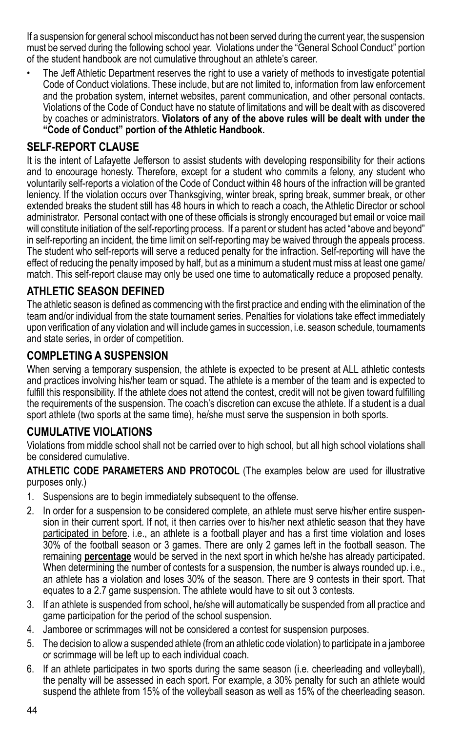If a suspension for general school misconduct has not been served during the current year, the suspension must be served during the following school year. Violations under the "General School Conduct" portion of the student handbook are not cumulative throughout an athlete's career.

The Jeff Athletic Department reserves the right to use a variety of methods to investigate potential Code of Conduct violations. These include, but are not limited to, information from law enforcement and the probation system, internet websites, parent communication, and other personal contacts. Violations of the Code of Conduct have no statute of limitations and will be dealt with as discovered by coaches or administrators. **Violators of any of the above rules will be dealt with under the "Code of Conduct" portion of the Athletic Handbook.**

#### **SELF-REPORT CLAUSE**

It is the intent of Lafayette Jefferson to assist students with developing responsibility for their actions and to encourage honesty. Therefore, except for a student who commits a felony, any student who voluntarily self-reports a violation of the Code of Conduct within 48 hours of the infraction will be granted leniency. If the violation occurs over Thanksgiving, winter break, spring break, summer break, or other extended breaks the student still has 48 hours in which to reach a coach, the Athletic Director or school administrator. Personal contact with one of these officials is strongly encouraged but email or voice mail will constitute initiation of the self-reporting process. If a parent or student has acted "above and beyond" in self-reporting an incident, the time limit on self-reporting may be waived through the appeals process. The student who self-reports will serve a reduced penalty for the infraction. Self-reporting will have the effect of reducing the penalty imposed by half, but as a minimum a student must miss at least one game/ match. This self-report clause may only be used one time to automatically reduce a proposed penalty.

### **ATHLETIC SEASON DEFINED**

The athletic season is defined as commencing with the first practice and ending with the elimination of the team and/or individual from the state tournament series. Penalties for violations take effect immediately upon verification of any violation and will include games in succession, i.e. season schedule, tournaments and state series, in order of competition.

### **COMPLETING A SUSPENSION**

When serving a temporary suspension, the athlete is expected to be present at ALL athletic contests and practices involving his/her team or squad. The athlete is a member of the team and is expected to fulfill this responsibility. If the athlete does not attend the contest, credit will not be given toward fulfilling the requirements of the suspension. The coach's discretion can excuse the athlete. If a student is a dual sport athlete (two sports at the same time), he/she must serve the suspension in both sports.

### **CUMULATIVE VIOLATIONS**

Violations from middle school shall not be carried over to high school, but all high school violations shall be considered cumulative.

**ATHLETIC CODE PARAMETERS AND PROTOCOL** (The examples below are used for illustrative purposes only.)

- 1. Suspensions are to begin immediately subsequent to the offense.
- 2. In order for a suspension to be considered complete, an athlete must serve his/her entire suspension in their current sport. If not, it then carries over to his/her next athletic season that they have participated in before. i.e., an athlete is a football player and has a first time violation and loses 30% of the football season or 3 games. There are only 2 games left in the football season. The remaining **percentage** would be served in the next sport in which he/she has already participated. When determining the number of contests for a suspension, the number is always rounded up. i.e., an athlete has a violation and loses 30% of the season. There are 9 contests in their sport. That equates to a 2.7 game suspension. The athlete would have to sit out 3 contests.
- 3. If an athlete is suspended from school, he/she will automatically be suspended from all practice and game participation for the period of the school suspension.
- 4. Jamboree or scrimmages will not be considered a contest for suspension purposes.
- 5. The decision to allow a suspended athlete (from an athletic code violation) to participate in a jamboree or scrimmage will be left up to each individual coach.
- 6. If an athlete participates in two sports during the same season (i.e. cheerleading and volleyball), the penalty will be assessed in each sport. For example, a 30% penalty for such an athlete would suspend the athlete from 15% of the volleyball season as well as 15% of the cheerleading season.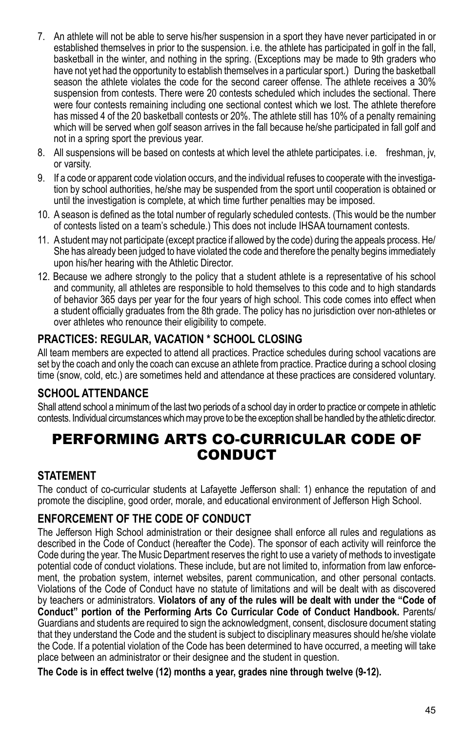- 7. An athlete will not be able to serve his/her suspension in a sport they have never participated in or established themselves in prior to the suspension. i.e. the athlete has participated in golf in the fall, basketball in the winter, and nothing in the spring. (Exceptions may be made to 9th graders who have not yet had the opportunity to establish themselves in a particular sport.)During the basketball season the athlete violates the code for the second career offense. The athlete receives a 30% suspension from contests. There were 20 contests scheduled which includes the sectional. There were four contests remaining including one sectional contest which we lost. The athlete therefore has missed 4 of the 20 basketball contests or 20%. The athlete still has 10% of a penalty remaining which will be served when golf season arrives in the fall because he/she participated in fall golf and not in a spring sport the previous year.
- 8. All suspensions will be based on contests at which level the athlete participates. i.e. freshman, jv, or varsity.
- 9. If a code or apparent code violation occurs, and the individual refuses to cooperate with the investigation by school authorities, he/she may be suspended from the sport until cooperation is obtained or until the investigation is complete, at which time further penalties may be imposed.
- 10. A season is defined as the total number of regularly scheduled contests. (This would be the number of contests listed on a team's schedule.) This does not include IHSAA tournament contests.
- 11. A student may not participate (except practice if allowed by the code) during the appeals process. He/ She has already been judged to have violated the code and therefore the penalty begins immediately upon his/her hearing with the Athletic Director.
- 12. Because we adhere strongly to the policy that a student athlete is a representative of his school and community, all athletes are responsible to hold themselves to this code and to high standards of behavior 365 days per year for the four years of high school. This code comes into effect when a student officially graduates from the 8th grade. The policy has no jurisdiction over non-athletes or over athletes who renounce their eligibility to compete.

## **PRACTICES: REGULAR, VACATION \* SCHOOL CLOSING**

All team members are expected to attend all practices. Practice schedules during school vacations are set by the coach and only the coach can excuse an athlete from practice. Practice during a school closing time (snow, cold, etc.) are sometimes held and attendance at these practices are considered voluntary.

### **School Attendance**

Shall attend school a minimum of the last two periods of a school day in order to practice or compete in athletic contests. Individual circumstances which may prove to be the exception shall be handled by the athletic director.

## Performing Arts Co-Curricular Code of **CONDUCT**

#### **STATEMENT**

The conduct of co-curricular students at Lafayette Jefferson shall: 1) enhance the reputation of and promote the discipline, good order, morale, and educational environment of Jefferson High School.

## **ENFORCEMENT of the Code of Conduct**

The Jefferson High School administration or their designee shall enforce all rules and regulations as described in the Code of Conduct (hereafter the Code). The sponsor of each activity will reinforce the Code during the year. The Music Department reserves the right to use a variety of methods to investigate potential code of conduct violations. These include, but are not limited to, information from law enforcement, the probation system, internet websites, parent communication, and other personal contacts. Violations of the Code of Conduct have no statute of limitations and will be dealt with as discovered by teachers or administrators. **Violators of any of the rules will be dealt with under the "Code of Conduct" portion of the Performing Arts Co Curricular Code of Conduct Handbook.** Parents/ Guardians and students are required to sign the acknowledgment, consent, disclosure document stating that they understand the Code and the student is subject to disciplinary measures should he/she violate the Code. If a potential violation of the Code has been determined to have occurred, a meeting will take place between an administrator or their designee and the student in question.

**The Code is in effect twelve (12) months a year, grades nine through twelve (9-12).**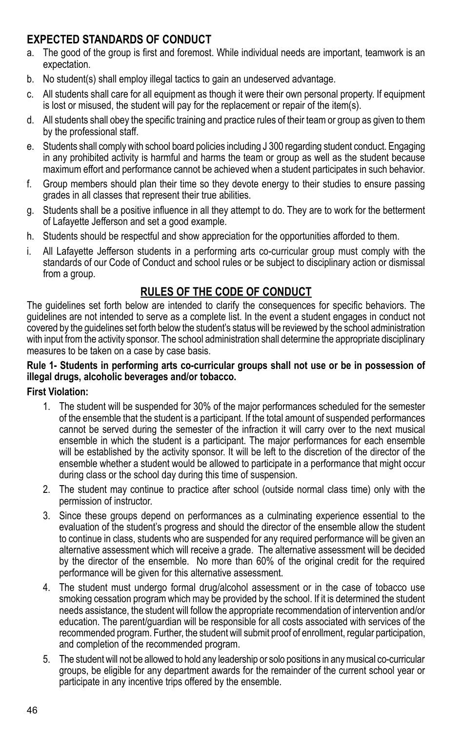## **EXPECTED STANDARDS of CONDUCT**

- a. The good of the group is first and foremost. While individual needs are important, teamwork is an expectation.
- b. No student(s) shall employ illegal tactics to gain an undeserved advantage.
- c. All students shall care for all equipment as though it were their own personal property. If equipment is lost or misused, the student will pay for the replacement or repair of the item(s).
- d. All students shall obey the specific training and practice rules of their team or group as given to them by the professional staff.
- e. Students shall comply with school board policies including J 300 regarding student conduct. Engaging in any prohibited activity is harmful and harms the team or group as well as the student because maximum effort and performance cannot be achieved when a student participates in such behavior.
- f. Group members should plan their time so they devote energy to their studies to ensure passing grades in all classes that represent their true abilities.
- g. Students shall be a positive influence in all they attempt to do. They are to work for the betterment of Lafayette Jefferson and set a good example.
- h. Students should be respectful and show appreciation for the opportunities afforded to them.
- i. All Lafayette Jefferson students in a performing arts co-curricular group must comply with the standards of our Code of Conduct and school rules or be subject to disciplinary action or dismissal from a group.

## **RULES of the CODE of CONDUCT**

The guidelines set forth below are intended to clarify the consequences for specific behaviors. The guidelines are not intended to serve as a complete list. In the event a student engages in conduct not covered by the guidelines set forth below the student's status will be reviewed by the school administration with input from the activity sponsor. The school administration shall determine the appropriate disciplinary measures to be taken on a case by case basis.

#### **Rule 1- Students in performing arts co-curricular groups shall not use or be in possession of illegal drugs, alcoholic beverages and/or tobacco.**

#### **First Violation:**

- 1. The student will be suspended for 30% of the major performances scheduled for the semester of the ensemble that the student is a participant. If the total amount of suspended performances cannot be served during the semester of the infraction it will carry over to the next musical ensemble in which the student is a participant. The major performances for each ensemble will be established by the activity sponsor. It will be left to the discretion of the director of the ensemble whether a student would be allowed to participate in a performance that might occur during class or the school day during this time of suspension.
- 2. The student may continue to practice after school (outside normal class time) only with the permission of instructor.
- 3. Since these groups depend on performances as a culminating experience essential to the evaluation of the student's progress and should the director of the ensemble allow the student to continue in class, students who are suspended for any required performance will be given an alternative assessment which will receive a grade. The alternative assessment will be decided by the director of the ensemble. No more than 60% of the original credit for the required performance will be given for this alternative assessment.
- 4. The student must undergo formal drug/alcohol assessment or in the case of tobacco use smoking cessation program which may be provided by the school. If it is determined the student needs assistance, the student will follow the appropriate recommendation of intervention and/or education. The parent/guardian will be responsible for all costs associated with services of the recommended program. Further, the student will submit proof of enrollment, regular participation, and completion of the recommended program.
- 5. The student will not be allowed to hold any leadership or solo positions in any musical co-curricular groups, be eligible for any department awards for the remainder of the current school year or participate in any incentive trips offered by the ensemble.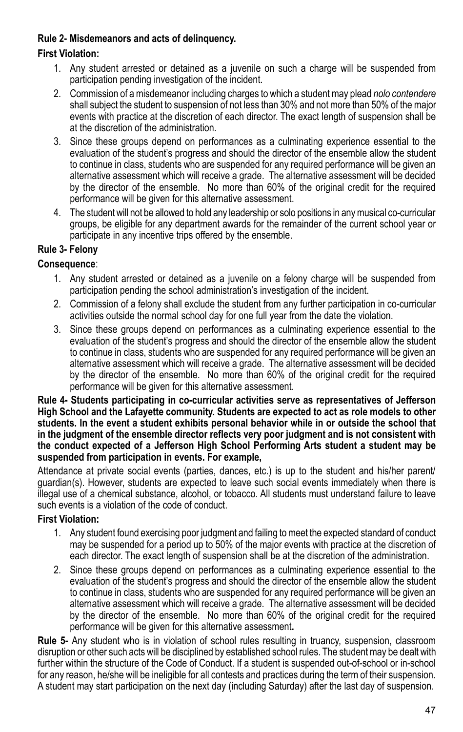#### **Rule 2- Misdemeanors and acts of delinquency.**

#### **First Violation:**

- 1. Any student arrested or detained as a juvenile on such a charge will be suspended from participation pending investigation of the incident.
- 2. Commission of a misdemeanor including charges to which a student may plead *nolo contendere* shall subject the student to suspension of not less than 30% and not more than 50% of the major events with practice at the discretion of each director. The exact length of suspension shall be at the discretion of the administration.
- 3. Since these groups depend on performances as a culminating experience essential to the evaluation of the student's progress and should the director of the ensemble allow the student to continue in class, students who are suspended for any required performance will be given an alternative assessment which will receive a grade. The alternative assessment will be decided by the director of the ensemble. No more than 60% of the original credit for the required performance will be given for this alternative assessment.
- 4. The student will not be allowed to hold any leadership or solo positions in any musical co-curricular groups, be eligible for any department awards for the remainder of the current school year or participate in any incentive trips offered by the ensemble.

### **Rule 3- Felony**

#### **Consequence**:

- 1. Any student arrested or detained as a juvenile on a felony charge will be suspended from participation pending the school administration's investigation of the incident.
- 2. Commission of a felony shall exclude the student from any further participation in co-curricular activities outside the normal school day for one full year from the date the violation.
- 3. Since these groups depend on performances as a culminating experience essential to the evaluation of the student's progress and should the director of the ensemble allow the student to continue in class, students who are suspended for any required performance will be given an alternative assessment which will receive a grade. The alternative assessment will be decided by the director of the ensemble. No more than 60% of the original credit for the required performance will be given for this alternative assessment.

**Rule 4- Students participating in co-curricular activities serve as representatives of Jefferson High School and the Lafayette community. Students are expected to act as role models to other students. In the event a student exhibits personal behavior while in or outside the school that in the judgment of the ensemble director reflects very poor judgment and is not consistent with the conduct expected of a Jefferson High School Performing Arts student a student may be suspended from participation in events. For example,**

Attendance at private social events (parties, dances, etc.) is up to the student and his/her parent/ guardian(s). However, students are expected to leave such social events immediately when there is illegal use of a chemical substance, alcohol, or tobacco. All students must understand failure to leave such events is a violation of the code of conduct.

#### **First Violation:**

- 1. Any student found exercising poor judgment and failing to meet the expected standard of conduct may be suspended for a period up to 50% of the major events with practice at the discretion of each director. The exact length of suspension shall be at the discretion of the administration.
- 2. Since these groups depend on performances as a culminating experience essential to the evaluation of the student's progress and should the director of the ensemble allow the student to continue in class, students who are suspended for any required performance will be given an alternative assessment which will receive a grade. The alternative assessment will be decided by the director of the ensemble. No more than 60% of the original credit for the required performance will be given for this alternative assessment**.**

**Rule 5-** Any student who is in violation of school rules resulting in truancy, suspension, classroom disruption or other such acts will be disciplined by established school rules. The student may be dealt with further within the structure of the Code of Conduct. If a student is suspended out-of-school or in-school for any reason, he/she will be ineligible for all contests and practices during the term of their suspension. A student may start participation on the next day (including Saturday) after the last day of suspension.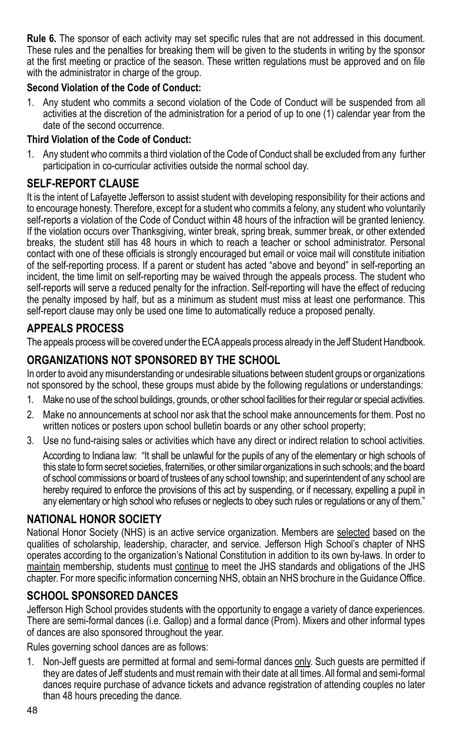**Rule 6.** The sponsor of each activity may set specific rules that are not addressed in this document. These rules and the penalties for breaking them will be given to the students in writing by the sponsor at the first meeting or practice of the season. These written regulations must be approved and on file with the administrator in charge of the group.

#### **Second Violation of the Code of Conduct:**

1. Any student who commits a second violation of the Code of Conduct will be suspended from all activities at the discretion of the administration for a period of up to one (1) calendar year from the date of the second occurrence.

#### **Third Violation of the Code of Conduct:**

1. Any student who commits a third violation of the Code of Conduct shall be excluded from any further participation in co-curricular activities outside the normal school day.

## **SELF-REPORT CLAUSE**

It is the intent of Lafayette Jefferson to assist student with developing responsibility for their actions and to encourage honesty. Therefore, except for a student who commits a felony, any student who voluntarily self-reports a violation of the Code of Conduct within 48 hours of the infraction will be granted leniency. If the violation occurs over Thanksgiving, winter break, spring break, summer break, or other extended breaks, the student still has 48 hours in which to reach a teacher or school administrator. Personal contact with one of these officials is strongly encouraged but email or voice mail will constitute initiation of the self-reporting process. If a parent or student has acted "above and beyond" in self-reporting an incident, the time limit on self-reporting may be waived through the appeals process. The student who self-reports will serve a reduced penalty for the infraction. Self-reporting will have the effect of reducing the penalty imposed by half, but as a minimum as student must miss at least one performance. This self-report clause may only be used one time to automatically reduce a proposed penalty.

### **APPEALS PROCESS**

The appeals process will be covered under the ECA appeals process already in the Jeff Student Handbook.

## **ORGANIZATIONS NOT SPONSORED BY THE SCHOOL**

In order to avoid any misunderstanding or undesirable situations between student groups or organizations not sponsored by the school, these groups must abide by the following regulations or understandings:

- 1. Make no use of the school buildings, grounds, or other school facilities for their regular or special activities.
- 2. Make no announcements at school nor ask that the school make announcements for them. Post no written notices or posters upon school bulletin boards or any other school property;
- 3. Use no fund-raising sales or activities which have any direct or indirect relation to school activities. According to Indiana law: "It shall be unlawful for the pupils of any of the elementary or high schools of this state to form secret societies, fraternities, or other similar organizations in such schools; and the board of school commissions or board of trustees of any school township; and superintendent of any school are

hereby required to enforce the provisions of this act by suspending, or if necessary, expelling a pupil in any elementary or high school who refuses or neglects to obey such rules or regulations or any of them."

### **National Honor Society**

National Honor Society (NHS) is an active service organization. Members are selected based on the qualities of scholarship, leadership, character, and service. Jefferson High School's chapter of NHS operates according to the organization's National Constitution in addition to its own by-laws. In order to maintain membership, students must continue to meet the JHS standards and obligations of the JHS chapter. For more specific information concerning NHS, obtain an NHS brochure in the Guidance Office.

### **School Sponsored DANCES**

Jefferson High School provides students with the opportunity to engage a variety of dance experiences. There are semi-formal dances (i.e. Gallop) and a formal dance (Prom). Mixers and other informal types of dances are also sponsored throughout the year.

Rules governing school dances are as follows:

1. Non-Jeff guests are permitted at formal and semi-formal dances only. Such guests are permitted if they are dates of Jeff students and must remain with their date at all times. All formal and semi-formal dances require purchase of advance tickets and advance registration of attending couples no later than 48 hours preceding the dance.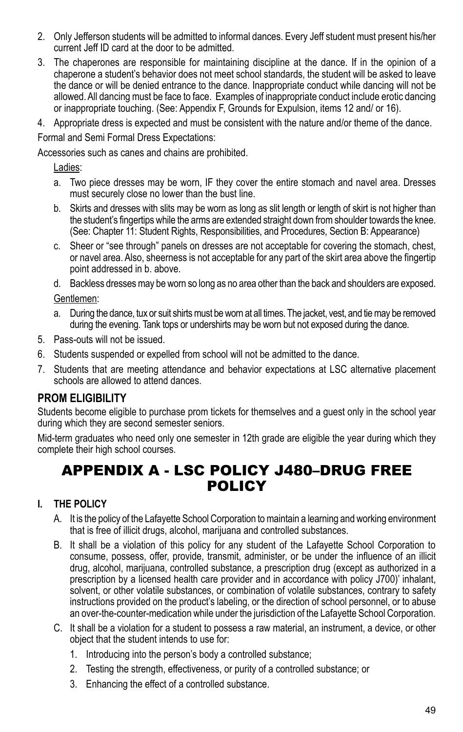- 2. Only Jefferson students will be admitted to informal dances. Every Jeff student must present his/her current Jeff ID card at the door to be admitted.
- 3. The chaperones are responsible for maintaining discipline at the dance. If in the opinion of a chaperone a student's behavior does not meet school standards, the student will be asked to leave the dance or will be denied entrance to the dance. Inappropriate conduct while dancing will not be allowed. All dancing must be face to face. Examples of inappropriate conduct include erotic dancing or inappropriate touching. (See: Appendix F, Grounds for Expulsion, items 12 and/ or 16).
- 4. Appropriate dress is expected and must be consistent with the nature and/or theme of the dance.

Formal and Semi Formal Dress Expectations:

Accessories such as canes and chains are prohibited.

Ladies:

- a. Two piece dresses may be worn, IF they cover the entire stomach and navel area. Dresses must securely close no lower than the bust line.
- b. Skirts and dresses with slits may be worn as long as slit length or length of skirt is not higher than the student's fingertips while the arms are extended straight down from shoulder towards the knee. (See: Chapter 11: Student Rights, Responsibilities, and Procedures, Section B: Appearance)
- c. Sheer or "see through" panels on dresses are not acceptable for covering the stomach, chest, or navel area. Also, sheerness is not acceptable for any part of the skirt area above the fingertip point addressed in b. above.

d. Backless dresses may be worn so long as no area other than the back and shoulders are exposed. Gentlemen:

- a. During the dance, tux or suit shirts must be worn at all times. The jacket, vest, and tie may be removed during the evening. Tank tops or undershirts may be worn but not exposed during the dance.
- 5. Pass-outs will not be issued.
- 6. Students suspended or expelled from school will not be admitted to the dance.
- 7. Students that are meeting attendance and behavior expectations at LSC alternative placement schools are allowed to attend dances.

#### **PROM ELIGIBILITY**

Students become eligible to purchase prom tickets for themselves and a guest only in the school year during which they are second semester seniors.

Mid-term graduates who need only one semester in 12th grade are eligible the year during which they complete their high school courses.

## APPENDIX A - LSC POLICY J480–Drug Free **POLICY**

#### **I. THE POLICY**

- A. It is the policy of the Lafayette School Corporation to maintain a learning and working environment that is free of illicit drugs, alcohol, marijuana and controlled substances.
- B. It shall be a violation of this policy for any student of the Lafayette School Corporation to consume, possess, offer, provide, transmit, administer, or be under the influence of an illicit drug, alcohol, marijuana, controlled substance, a prescription drug (except as authorized in a prescription by a licensed health care provider and in accordance with policy J700)' inhalant, solvent, or other volatile substances, or combination of volatile substances, contrary to safety instructions provided on the product's labeling, or the direction of school personnel, or to abuse an over-the-counter-medication while under the jurisdiction of the Lafayette School Corporation.
- C. It shall be a violation for a student to possess a raw material, an instrument, a device, or other object that the student intends to use for:
	- 1. Introducing into the person's body a controlled substance;
	- 2. Testing the strength, effectiveness, or purity of a controlled substance; or
	- 3. Enhancing the effect of a controlled substance.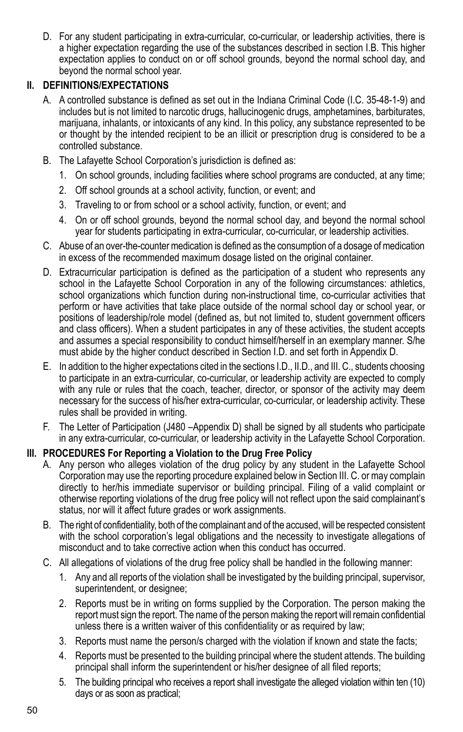D. For any student participating in extra-curricular, co-curricular, or leadership activities, there is a higher expectation regarding the use of the substances described in section I.B. This higher expectation applies to conduct on or off school grounds, beyond the normal school day, and beyond the normal school year.

#### **II. DEFINITIONS/EXPECTATIONS**

- A. A controlled substance is defined as set out in the Indiana Criminal Code (I.C. 35-48-1-9) and includes but is not limited to narcotic drugs, hallucinogenic drugs, amphetamines, barbiturates, marijuana, inhalants, or intoxicants of any kind. In this policy, any substance represented to be or thought by the intended recipient to be an illicit or prescription drug is considered to be a controlled substance.
- B. The Lafayette School Corporation's jurisdiction is defined as:
	- 1. On school grounds, including facilities where school programs are conducted, at any time;
	- 2. Off school grounds at a school activity, function, or event; and
	- 3. Traveling to or from school or a school activity, function, or event; and
	- 4. On or off school grounds, beyond the normal school day, and beyond the normal school year for students participating in extra-curricular, co-curricular, or leadership activities.
- C. Abuse of an over-the-counter medication is defined as the consumption of a dosage of medication in excess of the recommended maximum dosage listed on the original container.
- D. Extracurricular participation is defined as the participation of a student who represents any school in the Lafayette School Corporation in any of the following circumstances: athletics, school organizations which function during non-instructional time, co-curricular activities that perform or have activities that take place outside of the normal school day or school year, or positions of leadership/role model (defined as, but not limited to, student government officers and class officers). When a student participates in any of these activities, the student accepts and assumes a special responsibility to conduct himself/herself in an exemplary manner. S/he must abide by the higher conduct described in Section I.D. and set forth in Appendix D.
- E. In addition to the higher expectations cited in the sections I.D., II.D., and III. C., students choosing to participate in an extra-curricular, co-curricular, or leadership activity are expected to comply with any rule or rules that the coach, teacher, director, or sponsor of the activity may deem necessary for the success of his/her extra-curricular, co-curricular, or leadership activity. These rules shall be provided in writing.
- F. The Letter of Participation (J480 –Appendix D) shall be signed by all students who participate in any extra-curricular, co-curricular, or leadership activity in the Lafayette School Corporation.

#### **III. PROCEDURES For Reporting a Violation to the Drug Free Policy**

- A. Any person who alleges violation of the drug policy by any student in the Lafayette School Corporation may use the reporting procedure explained below in Section III. C. or may complain directly to her/his immediate supervisor or building principal. Filing of a valid complaint or otherwise reporting violations of the drug free policy will not reflect upon the said complainant's status, nor will it affect future grades or work assignments.
- B. The right of confidentiality, both of the complainant and of the accused, will be respected consistent with the school corporation's legal obligations and the necessity to investigate allegations of misconduct and to take corrective action when this conduct has occurred.
- C. All allegations of violations of the drug free policy shall be handled in the following manner:
	- 1. Any and all reports of the violation shall be investigated by the building principal, supervisor, superintendent, or designee;
	- 2. Reports must be in writing on forms supplied by the Corporation. The person making the report must sign the report. The name of the person making the report will remain confidential unless there is a written waiver of this confidentiality or as required by law;
	- 3. Reports must name the person/s charged with the violation if known and state the facts;
	- 4. Reports must be presented to the building principal where the student attends. The building principal shall inform the superintendent or his/her designee of all filed reports;
	- 5. The building principal who receives a report shall investigate the alleged violation within ten (10) days or as soon as practical;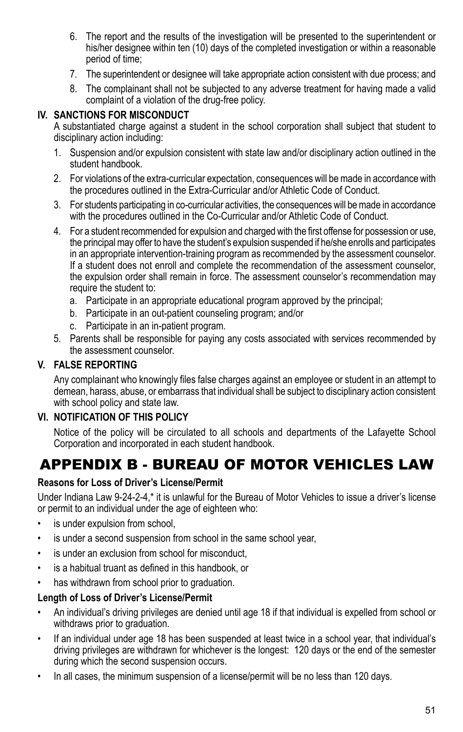- 6. The report and the results of the investigation will be presented to the superintendent or his/her designee within ten (10) days of the completed investigation or within a reasonable period of time;
- 7. The superintendent or designee will take appropriate action consistent with due process; and
- 8. The complainant shall not be subjected to any adverse treatment for having made a valid complaint of a violation of the drug-free policy.

#### **IV. SANCTIONS FOR MISCONDUCT**

A substantiated charge against a student in the school corporation shall subject that student to disciplinary action including:

- 1. Suspension and/or expulsion consistent with state law and/or disciplinary action outlined in the student handbook.
- 2. For violations of the extra-curricular expectation, consequences will be made in accordance with the procedures outlined in the Extra-Curricular and/or Athletic Code of Conduct.
- 3. For students participating in co-curricular activities, the consequences will be made in accordance with the procedures outlined in the Co-Curricular and/or Athletic Code of Conduct.
- 4. For a student recommended for expulsion and charged with the first offense for possession or use, the principal may offer to have the student's expulsion suspended if he/she enrolls and participates in an appropriate intervention-training program as recommended by the assessment counselor. If a student does not enroll and complete the recommendation of the assessment counselor, the expulsion order shall remain in force. The assessment counselor's recommendation may require the student to:
	- a. Participate in an appropriate educational program approved by the principal;
	- b. Participate in an out-patient counseling program; and/or
	- c. Participate in an in-patient program.
- 5. Parents shall be responsible for paying any costs associated with services recommended by the assessment counselor.

### **V. FALSE REPORTING**

Any complainant who knowingly files false charges against an employee or student in an attempt to demean, harass, abuse, or embarrass that individual shall be subject to disciplinary action consistent with school policy and state law.

#### **VI. NOTIFICATION OF THIS POLICY**

Notice of the policy will be circulated to all schools and departments of the Lafayette School Corporation and incorporated in each student handbook.

## APPENDIX B - BUREAU OF MOTOR VEHICLES LAW

#### **Reasons for Loss of Driver's License/Permit**

Under Indiana Law 9-24-2-4,\* it is unlawful for the Bureau of Motor Vehicles to issue a driver's license or permit to an individual under the age of eighteen who:

- is under expulsion from school,
- is under a second suspension from school in the same school year,
- is under an exclusion from school for misconduct.
- • is a habitual truant as defined in this handbook, or
- has withdrawn from school prior to graduation.

#### **Length of Loss of Driver's License/Permit**

- An individual's driving privileges are denied until age 18 if that individual is expelled from school or withdraws prior to graduation.
- If an individual under age 18 has been suspended at least twice in a school year, that individual's driving privileges are withdrawn for whichever is the longest: 120 days or the end of the semester during which the second suspension occurs.
- In all cases, the minimum suspension of a license/permit will be no less than 120 days.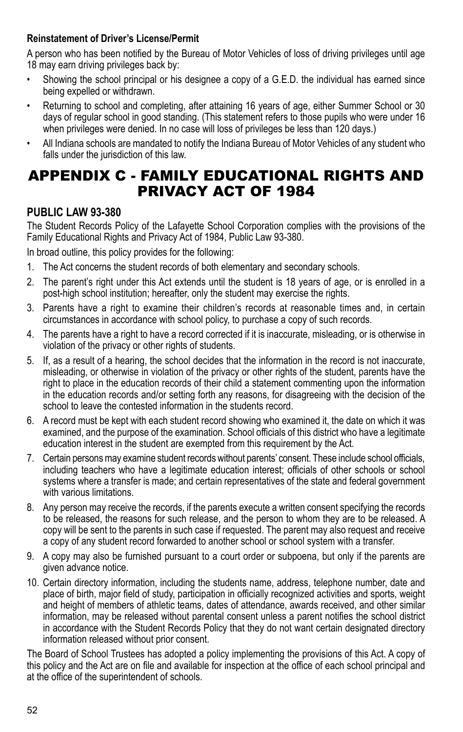#### **Reinstatement of Driver's License/Permit**

A person who has been notified by the Bureau of Motor Vehicles of loss of driving privileges until age 18 may earn driving privileges back by:

- Showing the school principal or his designee a copy of a G.E.D. the individual has earned since being expelled or withdrawn.
- Returning to school and completing, after attaining 16 years of age, either Summer School or 30 days of regular school in good standing. (This statement refers to those pupils who were under 16 when privileges were denied. In no case will loss of privileges be less than 120 days.)
- • All Indiana schools are mandated to notify the Indiana Bureau of Motor Vehicles of any student who falls under the jurisdiction of this law.

## APPENDIX c - FAMILY EDUCATIONAL RIGHTS AND PRIVACY ACT OF 1984

### **PUBLIC LAW 93-380**

The Student Records Policy of the Lafayette School Corporation complies with the provisions of the Family Educational Rights and Privacy Act of 1984, Public Law 93-380.

In broad outline, this policy provides for the following:

- 1. The Act concerns the student records of both elementary and secondary schools.
- 2. The parent's right under this Act extends until the student is 18 years of age, or is enrolled in a post-high school institution; hereafter, only the student may exercise the rights.
- 3. Parents have a right to examine their children's records at reasonable times and, in certain circumstances in accordance with school policy, to purchase a copy of such records.
- 4. The parents have a right to have a record corrected if it is inaccurate, misleading, or is otherwise in violation of the privacy or other rights of students.
- 5. If, as a result of a hearing, the school decides that the information in the record is not inaccurate, misleading, or otherwise in violation of the privacy or other rights of the student, parents have the right to place in the education records of their child a statement commenting upon the information in the education records and/or setting forth any reasons, for disagreeing with the decision of the school to leave the contested information in the students record.
- 6. A record must be kept with each student record showing who examined it, the date on which it was examined, and the purpose of the examination. School officials of this district who have a legitimate education interest in the student are exempted from this requirement by the Act.
- 7. Certain persons may examine student records without parents' consent. These include school officials, including teachers who have a legitimate education interest; officials of other schools or school systems where a transfer is made; and certain representatives of the state and federal government with various limitations.
- 8. Any person may receive the records, if the parents execute a written consent specifying the records to be released, the reasons for such release, and the person to whom they are to be released. A copy will be sent to the parents in such case if requested. The parent may also request and receive a copy of any student record forwarded to another school or school system with a transfer.
- 9. A copy may also be furnished pursuant to a court order or subpoena, but only if the parents are given advance notice.
- 10. Certain directory information, including the students name, address, telephone number, date and place of birth, major field of study, participation in officially recognized activities and sports, weight and height of members of athletic teams, dates of attendance, awards received, and other similar information, may be released without parental consent unless a parent notifies the school district in accordance with the Student Records Policy that they do not want certain designated directory information released without prior consent.

The Board of School Trustees has adopted a policy implementing the provisions of this Act. A copy of this policy and the Act are on file and available for inspection at the office of each school principal and at the office of the superintendent of schools.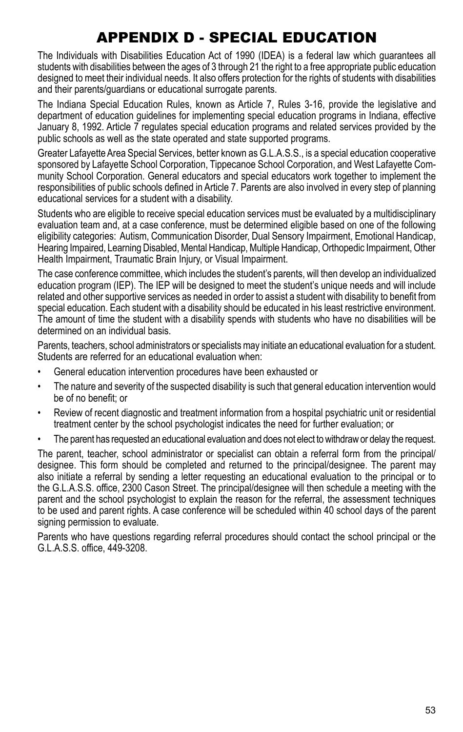## APPENDIX D - SPECIAL EDUCATION

The Individuals with Disabilities Education Act of 1990 (IDEA) is a federal law which guarantees all students with disabilities between the ages of 3 through 21 the right to a free appropriate public education designed to meet their individual needs. It also offers protection for the rights of students with disabilities and their parents/guardians or educational surrogate parents.

The Indiana Special Education Rules, known as Article 7, Rules 3-16, provide the legislative and department of education guidelines for implementing special education programs in Indiana, effective January 8, 1992. Article 7 regulates special education programs and related services provided by the public schools as well as the state operated and state supported programs.

Greater Lafayette Area Special Services, better known as G.L.A.S.S., is a special education cooperative sponsored by Lafayette School Corporation, Tippecanoe School Corporation, and West Lafayette Community School Corporation. General educators and special educators work together to implement the responsibilities of public schools defined in Article 7. Parents are also involved in every step of planning educational services for a student with a disability.

Students who are eligible to receive special education services must be evaluated by a multidisciplinary evaluation team and, at a case conference, must be determined eligible based on one of the following eligibility categories: Autism, Communication Disorder, Dual Sensory Impairment, Emotional Handicap, Hearing Impaired, Learning Disabled, Mental Handicap, Multiple Handicap, Orthopedic Impairment, Other Health Impairment, Traumatic Brain Injury, or Visual Impairment.

The case conference committee, which includes the student's parents, will then develop an individualized education program (IEP). The IEP will be designed to meet the student's unique needs and will include related and other supportive services as needed in order to assist a student with disability to benefit from special education. Each student with a disability should be educated in his least restrictive environment. The amount of time the student with a disability spends with students who have no disabilities will be determined on an individual basis.

Parents, teachers, school administrators or specialists may initiate an educational evaluation for a student. Students are referred for an educational evaluation when:

- • General education intervention procedures have been exhausted or
- • The nature and severity of the suspected disability is such that general education intervention would be of no benefit; or
- Review of recent diagnostic and treatment information from a hospital psychiatric unit or residential treatment center by the school psychologist indicates the need for further evaluation; or
- The parent has requested an educational evaluation and does not elect to withdraw or delay the request.

The parent, teacher, school administrator or specialist can obtain a referral form from the principal/ designee. This form should be completed and returned to the principal/designee. The parent may also initiate a referral by sending a letter requesting an educational evaluation to the principal or to the G.L.A.S.S. office, 2300 Cason Street. The principal/designee will then schedule a meeting with the parent and the school psychologist to explain the reason for the referral, the assessment techniques to be used and parent rights. A case conference will be scheduled within 40 school days of the parent signing permission to evaluate.

Parents who have questions regarding referral procedures should contact the school principal or the G.L.A.S.S. office, 449-3208.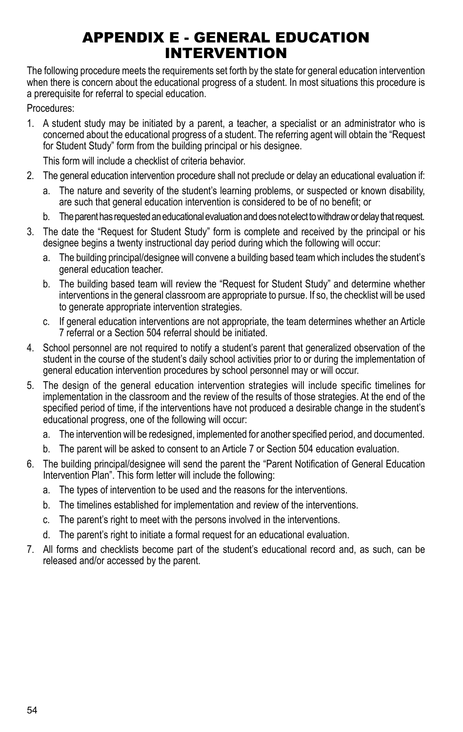## APPENDIX E - GENERAL EDUCATION INTERVENTION

The following procedure meets the requirements set forth by the state for general education intervention when there is concern about the educational progress of a student. In most situations this procedure is a prerequisite for referral to special education.

Procedures:

1. A student study may be initiated by a parent, a teacher, a specialist or an administrator who is concerned about the educational progress of a student. The referring agent will obtain the "Request for Student Study" form from the building principal or his designee.

This form will include a checklist of criteria behavior.

- 2. The general education intervention procedure shall not preclude or delay an educational evaluation if:
	- a. The nature and severity of the student's learning problems, or suspected or known disability, are such that general education intervention is considered to be of no benefit; or
	- b. The parent has requested an educational evaluation and does not elect to withdraw or delay that request.
- 3. The date the "Request for Student Study" form is complete and received by the principal or his designee begins a twenty instructional day period during which the following will occur:
	- a. The building principal/designee will convene a building based team which includes the student's general education teacher.
	- b. The building based team will review the "Request for Student Study" and determine whether interventions in the general classroom are appropriate to pursue. If so, the checklist will be used to generate appropriate intervention strategies.
	- c. If general education interventions are not appropriate, the team determines whether an Article 7 referral or a Section 504 referral should be initiated.
- 4. School personnel are not required to notify a student's parent that generalized observation of the student in the course of the student's daily school activities prior to or during the implementation of general education intervention procedures by school personnel may or will occur.
- 5. The design of the general education intervention strategies will include specific timelines for implementation in the classroom and the review of the results of those strategies. At the end of the specified period of time, if the interventions have not produced a desirable change in the student's educational progress, one of the following will occur:
	- a. The intervention will be redesigned, implemented for another specified period, and documented.
	- b. The parent will be asked to consent to an Article 7 or Section 504 education evaluation.
- 6. The building principal/designee will send the parent the "Parent Notification of General Education Intervention Plan". This form letter will include the following:
	- a. The types of intervention to be used and the reasons for the interventions.
	- b. The timelines established for implementation and review of the interventions.
	- c. The parent's right to meet with the persons involved in the interventions.
	- d. The parent's right to initiate a formal request for an educational evaluation.
- 7. All forms and checklists become part of the student's educational record and, as such, can be released and/or accessed by the parent.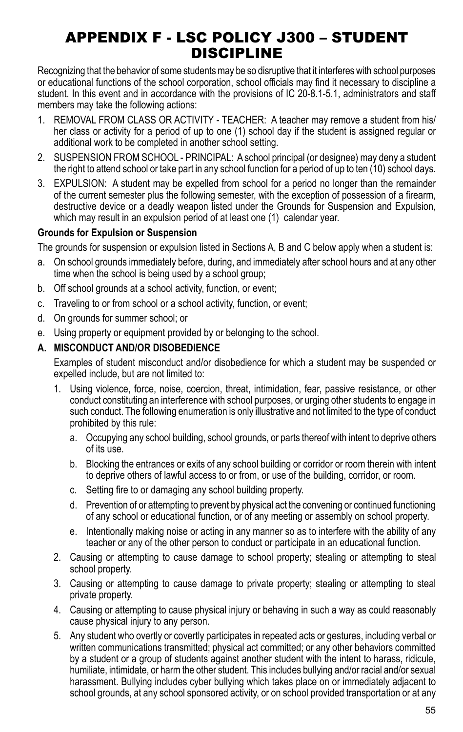## APPENDIX F - LSC POLICY J300 – Student Discipline

Recognizing that the behavior of some students may be so disruptive that it interferes with school purposes or educational functions of the school corporation, school officials may find it necessary to discipline a student. In this event and in accordance with the provisions of IC 20-8.1-5.1, administrators and staff members may take the following actions:

- 1. REMOVAL FROM CLASS OR ACTIVITY TEACHER: A teacher may remove a student from his/ her class or activity for a period of up to one (1) school day if the student is assigned regular or additional work to be completed in another school setting.
- 2. SUSPENSION FROM SCHOOL PRINCIPAL: A school principal (or designee) may deny a student the right to attend school or take part in any school function for a period of up to ten (10) school days.
- 3. EXPULSION: A student may be expelled from school for a period no longer than the remainder of the current semester plus the following semester, with the exception of possession of a firearm, destructive device or a deadly weapon listed under the Grounds for Suspension and Expulsion, which may result in an expulsion period of at least one (1) calendar year.

#### **Grounds for Expulsion or Suspension**

The grounds for suspension or expulsion listed in Sections A, B and C below apply when a student is:

- a. On school grounds immediately before, during, and immediately after school hours and at any other time when the school is being used by a school group;
- b. Off school grounds at a school activity, function, or event;
- c. Traveling to or from school or a school activity, function, or event;
- d. On grounds for summer school; or
- e. Using property or equipment provided by or belonging to the school.

#### **A. MISCONDUCT AND/OR DISOBEDIENCE**

Examples of student misconduct and/or disobedience for which a student may be suspended or expelled include, but are not limited to:

- 1. Using violence, force, noise, coercion, threat, intimidation, fear, passive resistance, or other conduct constituting an interference with school purposes, or urging other students to engage in such conduct. The following enumeration is only illustrative and not limited to the type of conduct prohibited by this rule:
	- a. Occupying any school building, school grounds, or parts thereof with intent to deprive others of its use.
	- b. Blocking the entrances or exits of any school building or corridor or room therein with intent to deprive others of lawful access to or from, or use of the building, corridor, or room.
	- c. Setting fire to or damaging any school building property.
	- d. Prevention of or attempting to prevent by physical act the convening or continued functioning of any school or educational function, or of any meeting or assembly on school property.
	- e. Intentionally making noise or acting in any manner so as to interfere with the ability of any teacher or any of the other person to conduct or participate in an educational function.
- 2. Causing or attempting to cause damage to school property; stealing or attempting to steal school property.
- 3. Causing or attempting to cause damage to private property; stealing or attempting to steal private property.
- 4. Causing or attempting to cause physical injury or behaving in such a way as could reasonably cause physical injury to any person.
- 5. Any student who overtly or covertly participates in repeated acts or gestures, including verbal or written communications transmitted; physical act committed; or any other behaviors committed by a student or a group of students against another student with the intent to harass, ridicule, humiliate, intimidate, or harm the other student. This includes bullying and/or racial and/or sexual harassment. Bullying includes cyber bullying which takes place on or immediately adjacent to school grounds, at any school sponsored activity, or on school provided transportation or at any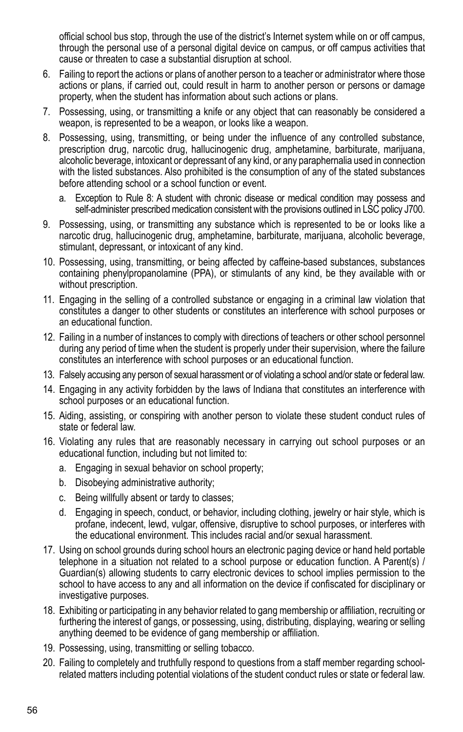official school bus stop, through the use of the district's Internet system while on or off campus, through the personal use of a personal digital device on campus, or off campus activities that cause or threaten to case a substantial disruption at school.

- 6. Failing to report the actions or plans of another person to a teacher or administrator where those actions or plans, if carried out, could result in harm to another person or persons or damage property, when the student has information about such actions or plans.
- 7. Possessing, using, or transmitting a knife or any object that can reasonably be considered a weapon, is represented to be a weapon, or looks like a weapon.
- 8. Possessing, using, transmitting, or being under the influence of any controlled substance, prescription drug, narcotic drug, hallucinogenic drug, amphetamine, barbiturate, marijuana, alcoholic beverage, intoxicant or depressant of any kind, or any paraphernalia used in connection with the listed substances. Also prohibited is the consumption of any of the stated substances before attending school or a school function or event.
	- a. Exception to Rule 8: A student with chronic disease or medical condition may possess and self-administer prescribed medication consistent with the provisions outlined in LSC policy J700.
- 9. Possessing, using, or transmitting any substance which is represented to be or looks like a narcotic drug, hallucinogenic drug, amphetamine, barbiturate, marijuana, alcoholic beverage, stimulant, depressant, or intoxicant of any kind.
- 10. Possessing, using, transmitting, or being affected by caffeine-based substances, substances containing phenylpropanolamine (PPA), or stimulants of any kind, be they available with or without prescription.
- 11. Engaging in the selling of a controlled substance or engaging in a criminal law violation that constitutes a danger to other students or constitutes an interference with school purposes or an educational function.
- 12. Failing in a number of instances to comply with directions of teachers or other school personnel during any period of time when the student is properly under their supervision, where the failure constitutes an interference with school purposes or an educational function.
- 13. Falsely accusing any person of sexual harassment or of violating a school and/or state or federal law.
- 14. Engaging in any activity forbidden by the laws of Indiana that constitutes an interference with school purposes or an educational function.
- 15. Aiding, assisting, or conspiring with another person to violate these student conduct rules of state or federal law.
- 16. Violating any rules that are reasonably necessary in carrying out school purposes or an educational function, including but not limited to:
	- a. Engaging in sexual behavior on school property;
	- b. Disobeying administrative authority;
	- c. Being willfully absent or tardy to classes;
	- d. Engaging in speech, conduct, or behavior, including clothing, jewelry or hair style, which is profane, indecent, lewd, vulgar, offensive, disruptive to school purposes, or interferes with the educational environment. This includes racial and/or sexual harassment.
- 17. Using on school grounds during school hours an electronic paging device or hand held portable telephone in a situation not related to a school purpose or education function. A Parent(s) / Guardian(s) allowing students to carry electronic devices to school implies permission to the school to have access to any and all information on the device if confiscated for disciplinary or investigative purposes.
- 18. Exhibiting or participating in any behavior related to gang membership or affiliation, recruiting or furthering the interest of gangs, or possessing, using, distributing, displaying, wearing or selling anything deemed to be evidence of gang membership or affiliation.
- 19. Possessing, using, transmitting or selling tobacco.
- 20. Failing to completely and truthfully respond to questions from a staff member regarding schoolrelated matters including potential violations of the student conduct rules or state or federal law.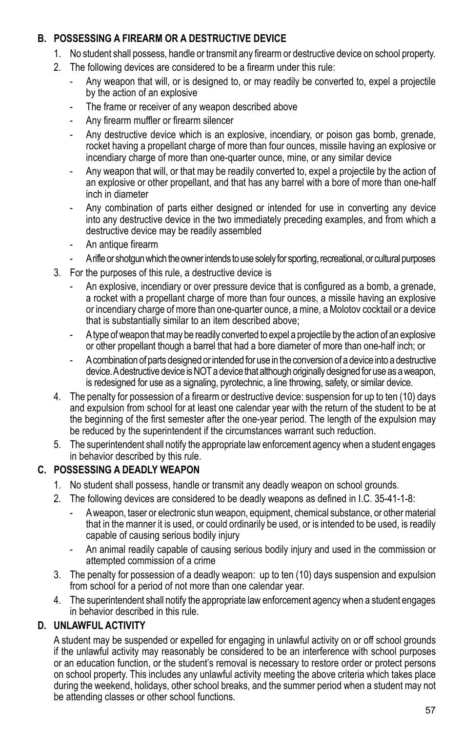#### **B. POSSESSING A FIREARM OR A DESTRUCTIVE DEVICE**

- 1. No student shall possess, handle or transmit any firearm or destructive device on school property.
- 2. The following devices are considered to be a firearm under this rule:
	- Any weapon that will, or is designed to, or may readily be converted to, expel a projectile by the action of an explosive
	- The frame or receiver of any weapon described above
	- Any firearm muffler or firearm silencer
	- Any destructive device which is an explosive, incendiary, or poison gas bomb, grenade, rocket having a propellant charge of more than four ounces, missile having an explosive or incendiary charge of more than one-quarter ounce, mine, or any similar device
	- Any weapon that will, or that may be readily converted to, expel a projectile by the action of an explosive or other propellant, and that has any barrel with a bore of more than one-half inch in diameter
	- Any combination of parts either designed or intended for use in converting any device into any destructive device in the two immediately preceding examples, and from which a destructive device may be readily assembled
	- An antique firearm
	- A rifle or shotgun which the owner intends to use solely for sporting, recreational, or cultural purposes
- 3. For the purposes of this rule, a destructive device is
	- An explosive, incendiary or over pressure device that is configured as a bomb, a grenade, a rocket with a propellant charge of more than four ounces, a missile having an explosive or incendiary charge of more than one-quarter ounce, a mine, a Molotov cocktail or a device that is substantially similar to an item described above;
	- A type of weapon that may be readily converted to expel a projectile by the action of an explosive or other propellant though a barrel that had a bore diameter of more than one-half inch; or
	- A combination of parts designed or intended for use in the conversion of a device into a destructive device. A destructive device is NOT a device that although originally designed for use as a weapon, is redesigned for use as a signaling, pyrotechnic, a line throwing, safety, or similar device.
- 4. The penalty for possession of a firearm or destructive device: suspension for up to ten (10) days and expulsion from school for at least one calendar year with the return of the student to be at the beginning of the first semester after the one-year period. The length of the expulsion may be reduced by the superintendent if the circumstances warrant such reduction.
- 5. The superintendent shall notify the appropriate law enforcement agency when a student engages in behavior described by this rule.

#### **C. POSSESSING A DEADLY WEAPON**

- 1. No student shall possess, handle or transmit any deadly weapon on school grounds.
- 2. The following devices are considered to be deadly weapons as defined in I.C. 35-41-1-8:
	- A weapon, taser or electronic stun weapon, equipment, chemical substance, or other material that in the manner it is used, or could ordinarily be used, or is intended to be used, is readily capable of causing serious bodily injury
	- An animal readily capable of causing serious bodily injury and used in the commission or attempted commission of a crime
- 3. The penalty for possession of a deadly weapon: up to ten (10) days suspension and expulsion from school for a period of not more than one calendar year.
- 4. The superintendent shall notify the appropriate law enforcement agency when a student engages in behavior described in this rule.

### **D. UNLAWFUL ACTIVITY**

A student may be suspended or expelled for engaging in unlawful activity on or off school grounds if the unlawful activity may reasonably be considered to be an interference with school purposes or an education function, or the student's removal is necessary to restore order or protect persons on school property. This includes any unlawful activity meeting the above criteria which takes place during the weekend, holidays, other school breaks, and the summer period when a student may not be attending classes or other school functions.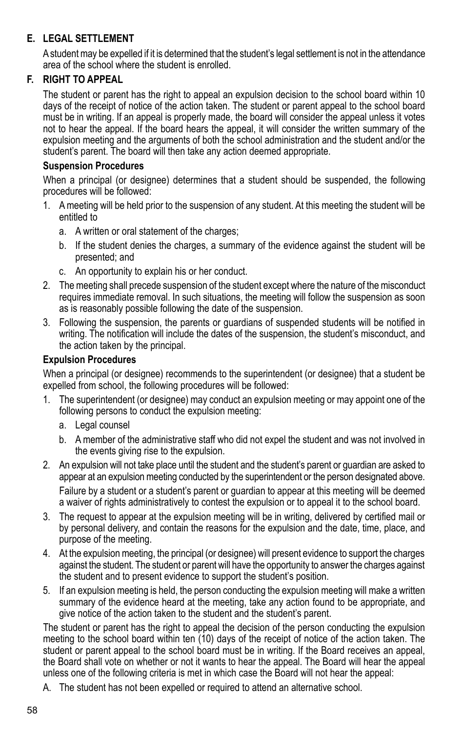#### **E. LEGAL SETTLEMENT**

A student may be expelled if it is determined that the student's legal settlement is not in the attendance area of the school where the student is enrolled.

#### **F. RIGHT TO APPEAL**

The student or parent has the right to appeal an expulsion decision to the school board within 10 days of the receipt of notice of the action taken. The student or parent appeal to the school board must be in writing. If an appeal is properly made, the board will consider the appeal unless it votes not to hear the appeal. If the board hears the appeal, it will consider the written summary of the expulsion meeting and the arguments of both the school administration and the student and/or the student's parent. The board will then take any action deemed appropriate.

#### **Suspension Procedures**

When a principal (or designee) determines that a student should be suspended, the following procedures will be followed:

- 1. A meeting will be held prior to the suspension of any student. At this meeting the student will be entitled to
	- a. A written or oral statement of the charges;
	- b. If the student denies the charges, a summary of the evidence against the student will be presented; and
	- c. An opportunity to explain his or her conduct.
- 2. The meeting shall precede suspension of the student except where the nature of the misconduct requires immediate removal. In such situations, the meeting will follow the suspension as soon as is reasonably possible following the date of the suspension.
- 3. Following the suspension, the parents or guardians of suspended students will be notified in writing. The notification will include the dates of the suspension, the student's misconduct, and the action taken by the principal.

#### **Expulsion Procedures**

When a principal (or designee) recommends to the superintendent (or designee) that a student be expelled from school, the following procedures will be followed:

- 1. The superintendent (or designee) may conduct an expulsion meeting or may appoint one of the following persons to conduct the expulsion meeting:
	- a. Legal counsel
	- b. A member of the administrative staff who did not expel the student and was not involved in the events giving rise to the expulsion.
- 2. An expulsion will not take place until the student and the student's parent or guardian are asked to appear at an expulsion meeting conducted by the superintendent or the person designated above. Failure by a student or a student's parent or guardian to appear at this meeting will be deemed a waiver of rights administratively to contest the expulsion or to appeal it to the school board.
- 3. The request to appear at the expulsion meeting will be in writing, delivered by certified mail or by personal delivery, and contain the reasons for the expulsion and the date, time, place, and purpose of the meeting.
- 4. At the expulsion meeting, the principal (or designee) will present evidence to support the charges against the student. The student or parent will have the opportunity to answer the charges against the student and to present evidence to support the student's position.
- 5. If an expulsion meeting is held, the person conducting the expulsion meeting will make a written summary of the evidence heard at the meeting, take any action found to be appropriate, and give notice of the action taken to the student and the student's parent.

The student or parent has the right to appeal the decision of the person conducting the expulsion meeting to the school board within ten (10) days of the receipt of notice of the action taken. The student or parent appeal to the school board must be in writing. If the Board receives an appeal, the Board shall vote on whether or not it wants to hear the appeal. The Board will hear the appeal unless one of the following criteria is met in which case the Board will not hear the appeal:

A. The student has not been expelled or required to attend an alternative school.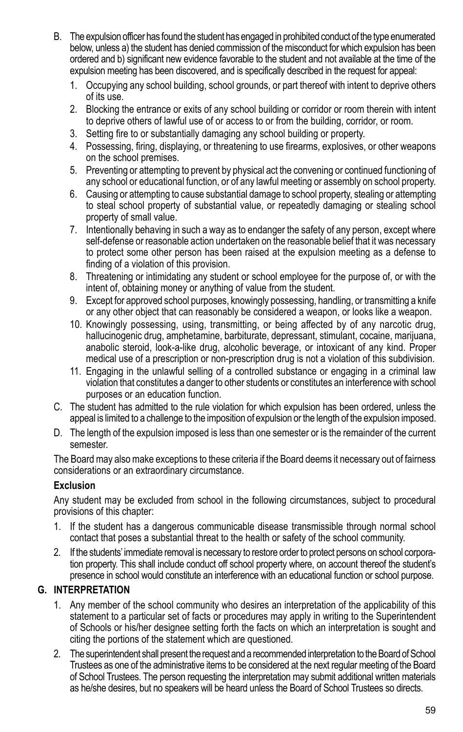- B. The expulsion officer has found the student has engaged in prohibited conduct of the type enumerated below, unless a) the student has denied commission of the misconduct for which expulsion has been ordered and b) significant new evidence favorable to the student and not available at the time of the expulsion meeting has been discovered, and is specifically described in the request for appeal:
	- 1. Occupying any school building, school grounds, or part thereof with intent to deprive others of its use.
	- 2. Blocking the entrance or exits of any school building or corridor or room therein with intent to deprive others of lawful use of or access to or from the building, corridor, or room.
	- 3. Setting fire to or substantially damaging any school building or property.
	- 4. Possessing, firing, displaying, or threatening to use firearms, explosives, or other weapons on the school premises.
	- 5. Preventing or attempting to prevent by physical act the convening or continued functioning of any school or educational function, or of any lawful meeting or assembly on school property.
	- 6. Causing or attempting to cause substantial damage to school property, stealing or attempting to steal school property of substantial value, or repeatedly damaging or stealing school property of small value.
	- 7. Intentionally behaving in such a way as to endanger the safety of any person, except where self-defense or reasonable action undertaken on the reasonable belief that it was necessary to protect some other person has been raised at the expulsion meeting as a defense to finding of a violation of this provision.
	- 8. Threatening or intimidating any student or school employee for the purpose of, or with the intent of, obtaining money or anything of value from the student.
	- 9. Except for approved school purposes, knowingly possessing, handling, or transmitting a knife or any other object that can reasonably be considered a weapon, or looks like a weapon.
	- 10. Knowingly possessing, using, transmitting, or being affected by of any narcotic drug, hallucinogenic drug, amphetamine, barbiturate, depressant, stimulant, cocaine, marijuana, anabolic steroid, look-a-like drug, alcoholic beverage, or intoxicant of any kind. Proper medical use of a prescription or non-prescription drug is not a violation of this subdivision.
	- 11. Engaging in the unlawful selling of a controlled substance or engaging in a criminal law violation that constitutes a danger to other students or constitutes an interference with school purposes or an education function.
- C. The student has admitted to the rule violation for which expulsion has been ordered, unless the appeal is limited to a challenge to the imposition of expulsion or the length of the expulsion imposed.
- D. The length of the expulsion imposed is less than one semester or is the remainder of the current semester.

The Board may also make exceptions to these criteria if the Board deems it necessary out of fairness considerations or an extraordinary circumstance.

#### **Exclusion**

Any student may be excluded from school in the following circumstances, subject to procedural provisions of this chapter:

- 1. If the student has a dangerous communicable disease transmissible through normal school contact that poses a substantial threat to the health or safety of the school community.
- 2. If the students' immediate removal is necessary to restore order to protect persons on school corporation property. This shall include conduct off school property where, on account thereof the student's presence in school would constitute an interference with an educational function or school purpose.

#### **G. INTERPRETATION**

- 1. Any member of the school community who desires an interpretation of the applicability of this statement to a particular set of facts or procedures may apply in writing to the Superintendent of Schools or his/her designee setting forth the facts on which an interpretation is sought and citing the portions of the statement which are questioned.
- 2. The superintendent shall present the request and a recommended interpretation to the Board of School Trustees as one of the administrative items to be considered at the next regular meeting of the Board of School Trustees. The person requesting the interpretation may submit additional written materials as he/she desires, but no speakers will be heard unless the Board of School Trustees so directs.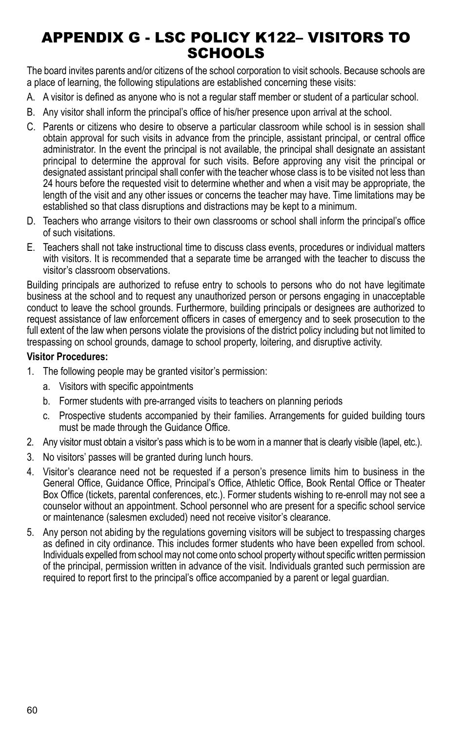## APPENDIX G - LSC POLICY K122– Visitors to **SCHOOLS**

The board invites parents and/or citizens of the school corporation to visit schools. Because schools are a place of learning, the following stipulations are established concerning these visits:

- A. A visitor is defined as anyone who is not a regular staff member or student of a particular school.
- B. Any visitor shall inform the principal's office of his/her presence upon arrival at the school.
- C. Parents or citizens who desire to observe a particular classroom while school is in session shall obtain approval for such visits in advance from the principle, assistant principal, or central office administrator. In the event the principal is not available, the principal shall designate an assistant principal to determine the approval for such visits. Before approving any visit the principal or designated assistant principal shall confer with the teacher whose class is to be visited not less than 24 hours before the requested visit to determine whether and when a visit may be appropriate, the length of the visit and any other issues or concerns the teacher may have. Time limitations may be established so that class disruptions and distractions may be kept to a minimum.
- D. Teachers who arrange visitors to their own classrooms or school shall inform the principal's office of such visitations.
- E. Teachers shall not take instructional time to discuss class events, procedures or individual matters with visitors. It is recommended that a separate time be arranged with the teacher to discuss the visitor's classroom observations.

Building principals are authorized to refuse entry to schools to persons who do not have legitimate business at the school and to request any unauthorized person or persons engaging in unacceptable conduct to leave the school grounds. Furthermore, building principals or designees are authorized to request assistance of law enforcement officers in cases of emergency and to seek prosecution to the full extent of the law when persons violate the provisions of the district policy including but not limited to trespassing on school grounds, damage to school property, loitering, and disruptive activity.

#### **Visitor Procedures:**

- 1. The following people may be granted visitor's permission:
	- a. Visitors with specific appointments
	- b. Former students with pre-arranged visits to teachers on planning periods
	- c. Prospective students accompanied by their families. Arrangements for guided building tours must be made through the Guidance Office.
- 2. Any visitor must obtain a visitor's pass which is to be worn in a manner that is clearly visible (lapel, etc.).
- 3. No visitors' passes will be granted during lunch hours.
- 4. Visitor's clearance need not be requested if a person's presence limits him to business in the General Office, Guidance Office, Principal's Office, Athletic Office, Book Rental Office or Theater Box Office (tickets, parental conferences, etc.). Former students wishing to re-enroll may not see a counselor without an appointment. School personnel who are present for a specific school service or maintenance (salesmen excluded) need not receive visitor's clearance.
- 5. Any person not abiding by the regulations governing visitors will be subject to trespassing charges as defined in city ordinance. This includes former students who have been expelled from school. Individuals expelled from school may not come onto school property without specific written permission of the principal, permission written in advance of the visit. Individuals granted such permission are required to report first to the principal's office accompanied by a parent or legal guardian.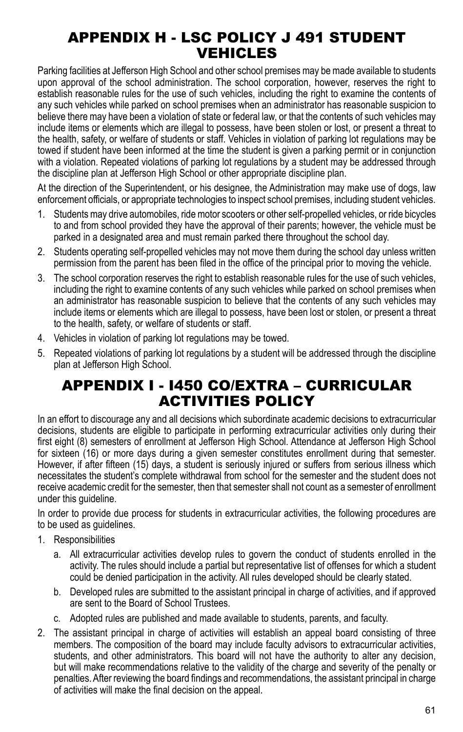## APPENDIX H - LSC Policy J 491 Student vehicles

Parking facilities at Jefferson High School and other school premises may be made available to students upon approval of the school administration. The school corporation, however, reserves the right to establish reasonable rules for the use of such vehicles, including the right to examine the contents of any such vehicles while parked on school premises when an administrator has reasonable suspicion to believe there may have been a violation of state or federal law, or that the contents of such vehicles may include items or elements which are illegal to possess, have been stolen or lost, or present a threat to the health, safety, or welfare of students or staff. Vehicles in violation of parking lot regulations may be towed if student have been informed at the time the student is given a parking permit or in conjunction with a violation. Repeated violations of parking lot regulations by a student may be addressed through the discipline plan at Jefferson High School or other appropriate discipline plan.

At the direction of the Superintendent, or his designee, the Administration may make use of dogs, law enforcement officials, or appropriate technologies to inspect school premises, including student vehicles.

- 1. Students may drive automobiles, ride motor scooters or other self-propelled vehicles, or ride bicycles to and from school provided they have the approval of their parents; however, the vehicle must be parked in a designated area and must remain parked there throughout the school day.
- 2. Students operating self-propelled vehicles may not move them during the school day unless written permission from the parent has been filed in the office of the principal prior to moving the vehicle.
- 3. The school corporation reserves the right to establish reasonable rules for the use of such vehicles, including the right to examine contents of any such vehicles while parked on school premises when an administrator has reasonable suspicion to believe that the contents of any such vehicles may include items or elements which are illegal to possess, have been lost or stolen, or present a threat to the health, safety, or welfare of students or staff.
- 4. Vehicles in violation of parking lot regulations may be towed.
- 5. Repeated violations of parking lot regulations by a student will be addressed through the discipline plan at Jefferson High School.

## APPENDIX I - I450 Co/Extra – Curricular Activities Policy

In an effort to discourage any and all decisions which subordinate academic decisions to extracurricular decisions, students are eligible to participate in performing extracurricular activities only during their first eight (8) semesters of enrollment at Jefferson High School. Attendance at Jefferson High School for sixteen (16) or more days during a given semester constitutes enrollment during that semester. However, if after fifteen (15) days, a student is seriously injured or suffers from serious illness which necessitates the student's complete withdrawal from school for the semester and the student does not receive academic credit for the semester, then that semester shall not count as a semester of enrollment under this guideline.

In order to provide due process for students in extracurricular activities, the following procedures are to be used as guidelines.

- 1. Responsibilities
	- a. All extracurricular activities develop rules to govern the conduct of students enrolled in the activity. The rules should include a partial but representative list of offenses for which a student could be denied participation in the activity. All rules developed should be clearly stated.
	- b. Developed rules are submitted to the assistant principal in charge of activities, and if approved are sent to the Board of School Trustees.
	- c. Adopted rules are published and made available to students, parents, and faculty.
- 2. The assistant principal in charge of activities will establish an appeal board consisting of three members. The composition of the board may include faculty advisors to extracurricular activities, students, and other administrators. This board will not have the authority to alter any decision, but will make recommendations relative to the validity of the charge and severity of the penalty or penalties. After reviewing the board findings and recommendations, the assistant principal in charge of activities will make the final decision on the appeal.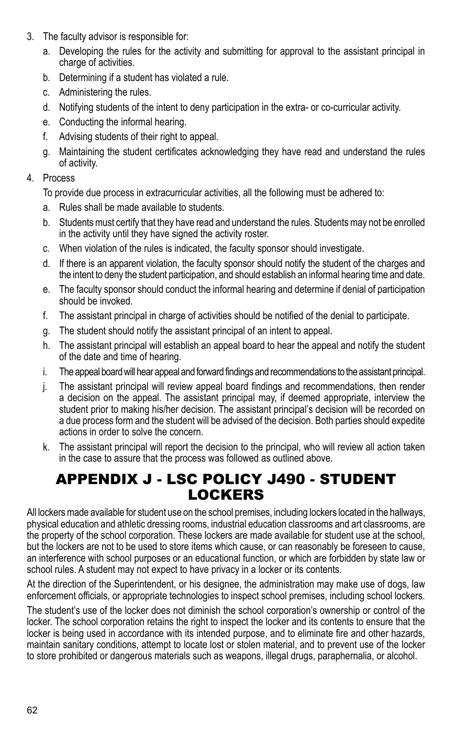- 3. The faculty advisor is responsible for:
	- a. Developing the rules for the activity and submitting for approval to the assistant principal in charge of activities.
	- b. Determining if a student has violated a rule.
	- c. Administering the rules.
	- d. Notifying students of the intent to deny participation in the extra- or co-curricular activity.
	- e. Conducting the informal hearing.
	- f. Advising students of their right to appeal.
	- g. Maintaining the student certificates acknowledging they have read and understand the rules of activity.

#### 4. Process

To provide due process in extracurricular activities, all the following must be adhered to:

- a. Rules shall be made available to students.
- b. Students must certify that they have read and understand the rules. Students may not be enrolled in the activity until they have signed the activity roster.
- c. When violation of the rules is indicated, the faculty sponsor should investigate.
- d. If there is an apparent violation, the faculty sponsor should notify the student of the charges and the intent to deny the student participation, and should establish an informal hearing time and date.
- e. The faculty sponsor should conduct the informal hearing and determine if denial of participation should be invoked.
- f. The assistant principal in charge of activities should be notified of the denial to participate.
- g. The student should notify the assistant principal of an intent to appeal.
- h. The assistant principal will establish an appeal board to hear the appeal and notify the student of the date and time of hearing.
- i. The appeal board will hear appeal and forward findings and recommendations to the assistant principal.
- j. The assistant principal will review appeal board findings and recommendations, then render a decision on the appeal. The assistant principal may, if deemed appropriate, interview the student prior to making his/her decision. The assistant principal's decision will be recorded on a due process form and the student will be advised of the decision. Both parties should expedite actions in order to solve the concern.
- k. The assistant principal will report the decision to the principal, who will review all action taken in the case to assure that the process was followed as outlined above.

#### APPENDIX J - LSC POlicy j490 - Student **LOCKERS** lockers

All lockers made available for student use on the school premises, including lockers located in the hallways, physical education and athletic dressing rooms, industrial education classrooms and art classrooms, are the property of the school corporation. These lockers are made available for student use at the school, but the lockers are not to be used to store items which cause, or can reasonably be foreseen to cause, an interference with school purposes or an educational function, or which are forbidden by state law or school rules. A student may not expect to have privacy in a locker or its contents.

At the direction of the Superintendent, or his designee, the administration may make use of dogs, law enforcement officials, or appropriate technologies to inspect school premises, including school lockers.

The student's use of the locker does not diminish the school corporation's ownership or control of the locker. The school corporation retains the right to inspect the locker and its contents to ensure that the locker is being used in accordance with its intended purpose, and to eliminate fire and other hazards, maintain sanitary conditions, attempt to locate lost or stolen material, and to prevent use of the locker to store prohibited or dangerous materials such as weapons, illegal drugs, paraphernalia, or alcohol.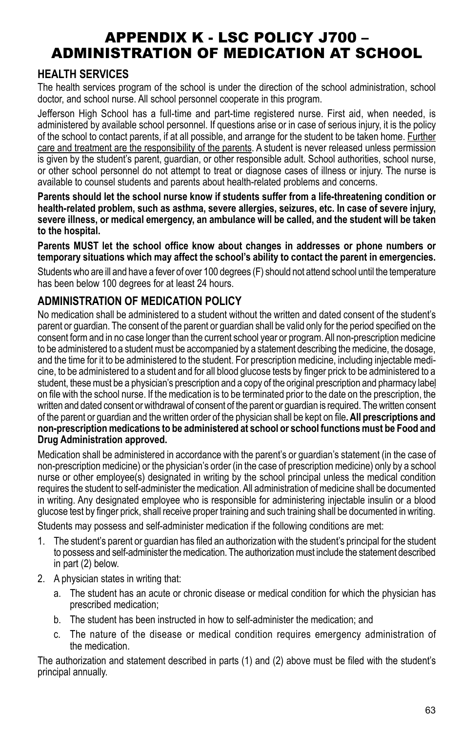## APPENDIX K - LSC POlicy j700 – Administration of Medication at School

## **HEALTH SERVICES**

The health services program of the school is under the direction of the school administration, school doctor, and school nurse. All school personnel cooperate in this program.

Jefferson High School has a full-time and part-time registered nurse. First aid, when needed, is administered by available school personnel. If questions arise or in case of serious injury, it is the policy of the school to contact parents, if at all possible, and arrange for the student to be taken home. Further care and treatment are the responsibility of the parents. A student is never released unless permission is given by the student's parent, guardian, or other responsible adult. School authorities, school nurse, or other school personnel do not attempt to treat or diagnose cases of illness or injury. The nurse is available to counsel students and parents about health-related problems and concerns.

**Parents should let the school nurse know if students suffer from a life-threatening condition or health-related problem, such as asthma, severe allergies, seizures, etc. In case of severe injury, severe illness, or medical emergency, an ambulance will be called, and the student will be taken to the hospital.**

**Parents MUST let the school office know about changes in addresses or phone numbers or temporary situations which may affect the school's ability to contact the parent in emergencies.**

Students who are ill and have a fever of over 100 degrees (F) should not attend school until the temperature has been below 100 degrees for at least 24 hours.

## **Administration of Medication Policy**

No medication shall be administered to a student without the written and dated consent of the student's parent or guardian. The consent of the parent or guardian shall be valid only for the period specified on the consent form and in no case longer than the current school year or program. All non-prescription medicine to be administered to a student must be accompanied by a statement describing the medicine, the dosage, and the time for it to be administered to the student. For prescription medicine, including injectable medicine, to be administered to a student and for all blood glucose tests by finger prick to be administered to a student, these must be a physician's prescription and a copy of the original prescription and pharmacy label on file with the school nurse. If the medication is to be terminated prior to the date on the prescription, the written and dated consent or withdrawal of consent of the parent or guardian is required. The written consent of the parent or guardian and the written order of the physician shall be kept on file**. All prescriptions and non-prescription medications to be administered at school or school functions must be Food and Drug Administration approved.**

Medication shall be administered in accordance with the parent's or guardian's statement (in the case of non-prescription medicine) or the physician's order (in the case of prescription medicine) only by a school nurse or other employee(s) designated in writing by the school principal unless the medical condition requires the student to self-administer the medication. All administration of medicine shall be documented in writing. Any designated employee who is responsible for administering injectable insulin or a blood glucose test by finger prick, shall receive proper training and such training shall be documented in writing.

Students may possess and self-administer medication if the following conditions are met:

- 1. The student's parent or guardian has filed an authorization with the student's principal for the student to possess and self-administer the medication. The authorization must include the statement described in part (2) below.
- 2. A physician states in writing that:
	- a. The student has an acute or chronic disease or medical condition for which the physician has prescribed medication;
	- b. The student has been instructed in how to self-administer the medication; and
	- c. The nature of the disease or medical condition requires emergency administration of the medication.

The authorization and statement described in parts (1) and (2) above must be filed with the student's principal annually.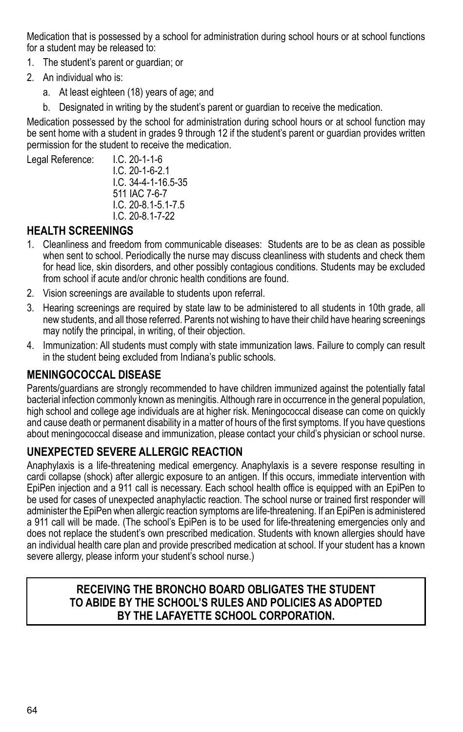Medication that is possessed by a school for administration during school hours or at school functions for a student may be released to:

- 1. The student's parent or guardian; or
- 2. An individual who is:
	- a. At least eighteen (18) years of age; and
	- b. Designated in writing by the student's parent or guardian to receive the medication.

Medication possessed by the school for administration during school hours or at school function may be sent home with a student in grades 9 through 12 if the student's parent or guardian provides written permission for the student to receive the medication.

Legal Reference: I.C. 20-1-1-6

I.C. 20-1-6-2.1 I.C. 34-4-1-16.5-35 511 IAC 7-6-7 I.C. 20-8.1-5.1-7.5 I.C. 20-8.1-7-22

## **Health Screenings**

- 1. Cleanliness and freedom from communicable diseases: Students are to be as clean as possible when sent to school. Periodically the nurse may discuss cleanliness with students and check them for head lice, skin disorders, and other possibly contagious conditions. Students may be excluded from school if acute and/or chronic health conditions are found.
- 2. Vision screenings are available to students upon referral.
- 3. Hearing screenings are required by state law to be administered to all students in 10th grade, all new students, and all those referred. Parents not wishing to have their child have hearing screenings may notify the principal, in writing, of their objection.
- 4. Immunization: All students must comply with state immunization laws. Failure to comply can result in the student being excluded from Indiana's public schools.

### **MENINGOCOCCAL DISEASE**

Parents/guardians are strongly recommended to have children immunized against the potentially fatal bacterial infection commonly known as meningitis. Although rare in occurrence in the general population, high school and college age individuals are at higher risk. Meningococcal disease can come on quickly and cause death or permanent disability in a matter of hours of the first symptoms. If you have questions about meningococcal disease and immunization, please contact your child's physician or school nurse.

### **UNEXPECTED SEVERE ALLERGIC REACTION**

Anaphylaxis is a life-threatening medical emergency. Anaphylaxis is a severe response resulting in cardi collapse (shock) after allergic exposure to an antigen. If this occurs, immediate intervention with EpiPen injection and a 911 call is necessary. Each school health office is equipped with an EpiPen to be used for cases of unexpected anaphylactic reaction. The school nurse or trained first responder will administer the EpiPen when allergic reaction symptoms are life-threatening. If an EpiPen is administered a 911 call will be made. (The school's EpiPen is to be used for life-threatening emergencies only and does not replace the student's own prescribed medication. Students with known allergies should have an individual health care plan and provide prescribed medication at school. If your student has a known severe allergy, please inform your student's school nurse.)

### **RECEIVING THE BRONCHO BOARD OBLIGATES THE STUDENT TO ABIDE BY THE SCHOOL'S RULES AND POLICIES AS ADOPTED BY THE LAFAYETTE SCHOOL CORPORATION.**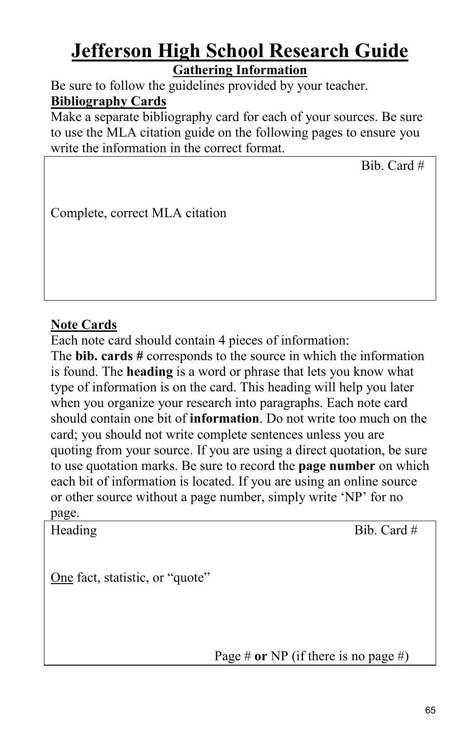## **Jefferson High School Research Guide Gathering Information**

Be sure to follow the guidelines provided by your teacher. **Bibliography Cards**

Make a separate bibliography card for each of your sources. Be sure to use the MLA citation guide on the following pages to ensure you write the information in the correct format.

Bib. Card #

Complete, correct MLA citation

## **Note Cards**

Each note card should contain 4 pieces of information:

The **bib. cards #** corresponds to the source in which the information is found. The **heading** is a word or phrase that lets you know what type of information is on the card. This heading will help you later when you organize your research into paragraphs. Each note card should contain one bit of **information**. Do not write too much on the card; you should not write complete sentences unless you are quoting from your source. If you are using a direct quotation, be sure to use quotation marks. Be sure to record the **page number** on which each bit of information is located. If you are using an online source or other source without a page number, simply write 'NP' for no page.

Heading Bib. Card #

One fact, statistic, or "quote"

Page # **or** NP (if there is no page #)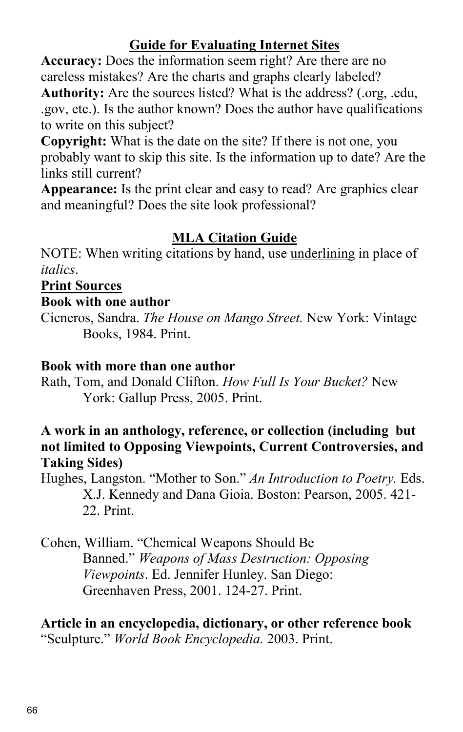## **Guide for Evaluating Internet Sites**

**Accuracy:** Does the information seem right? Are there are no careless mistakes? Are the charts and graphs clearly labeled? **Authority:** Are the sources listed? What is the address? (.org, .edu, .gov, etc.). Is the author known? Does the author have qualifications to write on this subject?

**Copyright:** What is the date on the site? If there is not one, you probably want to skip this site. Is the information up to date? Are the links still current?

**Appearance:** Is the print clear and easy to read? Are graphics clear and meaningful? Does the site look professional?

## **MLA Citation Guide**

NOTE: When writing citations by hand, use underlining in place of *italics*.

## **Print Sources**

## **Book with one author**

Cicneros, Sandra. *The House on Mango Street.* New York: Vintage Books, 1984. Print.

## **Book with more than one author**

Rath, Tom, and Donald Clifton. *How Full Is Your Bucket?* New York: Gallup Press, 2005. Print.

## **A work in an anthology, reference, or collection (including but not limited to Opposing Viewpoints, Current Controversies, and Taking Sides)**

Hughes, Langston. "Mother to Son." *An Introduction to Poetry.* Eds. X.J. Kennedy and Dana Gioia. Boston: Pearson, 2005. 421- 22. Print.

Cohen, William. "Chemical Weapons Should Be Banned." *Weapons of Mass Destruction: Opposing Viewpoints*. Ed. Jennifer Hunley. San Diego: Greenhaven Press, 2001. 124-27. Print.

**Article in an encyclopedia, dictionary, or other reference book**  "Sculpture." *World Book Encyclopedia.* 2003. Print.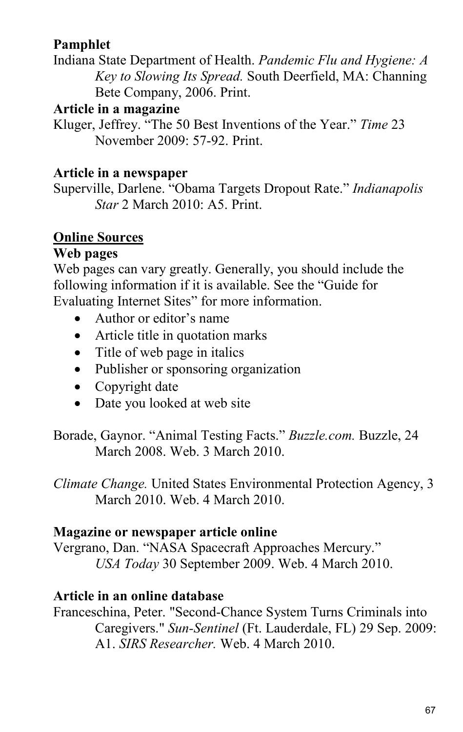## **Pamphlet**

Indiana State Department of Health. *Pandemic Flu and Hygiene: A Key to Slowing Its Spread.* South Deerfield, MA: Channing Bete Company, 2006. Print.

## **Article in a magazine**

Kluger, Jeffrey. "The 50 Best Inventions of the Year." *Time* 23 November 2009: 57-92. Print.

## **Article in a newspaper**

Superville, Darlene. "Obama Targets Dropout Rate." *Indianapolis Star* 2 March 2010: A5. Print.

## **Online Sources**

## **Web pages**

Web pages can vary greatly. Generally, you should include the following information if it is available. See the "Guide for Evaluating Internet Sites" for more information.

- Author or editor's name
- Article title in quotation marks
- Title of web page in italics
- Publisher or sponsoring organization
- Copyright date
- Date you looked at web site

Borade, Gaynor. "Animal Testing Facts." *Buzzle.com.* Buzzle, 24 March 2008. Web. 3 March 2010.

*Climate Change.* United States Environmental Protection Agency, 3 March 2010. Web. 4 March 2010.

## **Magazine or newspaper article online**

Vergrano, Dan. "NASA Spacecraft Approaches Mercury." *USA Today* 30 September 2009. Web. 4 March 2010.

## **Article in an online database**

Franceschina, Peter. "Second-Chance System Turns Criminals into Caregivers." *Sun-Sentinel* (Ft. Lauderdale, FL) 29 Sep. 2009: A1. *SIRS Researcher.* Web. 4 March 2010.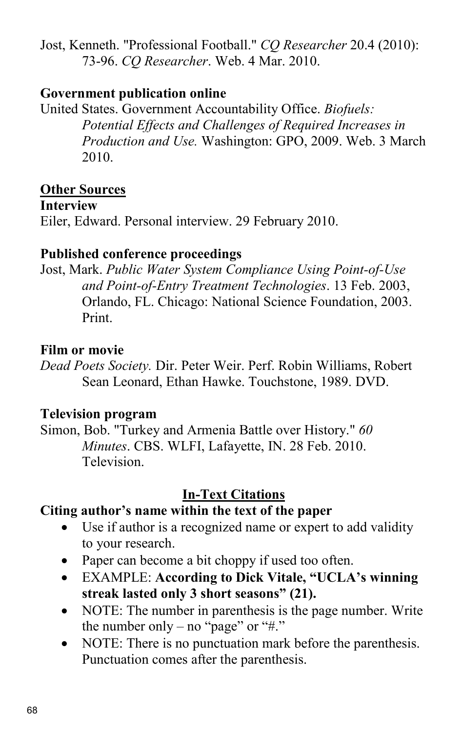Jost, Kenneth. "Professional Football." *CQ Researcher* 20.4 (2010): 73-96. *CQ Researcher*. Web. 4 Mar. 2010.

## **Government publication online**

United States. Government Accountability Office. *Biofuels: Potential Effects and Challenges of Required Increases in Production and Use.* Washington: GPO, 2009. Web. 3 March 2010.

## **Other Sources**

## **Interview**

Eiler, Edward. Personal interview. 29 February 2010.

## **Published conference proceedings**

Jost, Mark. *Public Water System Compliance Using Point-of-Use and Point-of-Entry Treatment Technologies*. 13 Feb. 2003, Orlando, FL. Chicago: National Science Foundation, 2003. Print.

## **Film or movie**

*Dead Poets Society.* Dir. Peter Weir. Perf. Robin Williams, Robert Sean Leonard, Ethan Hawke. Touchstone, 1989. DVD.

## **Television program**

Simon, Bob. "Turkey and Armenia Battle over History." *60 Minutes*. CBS. WLFI, Lafayette, IN. 28 Feb. 2010. **Television** 

## **In-Text Citations**

## **Citing author's name within the text of the paper**

- Use if author is a recognized name or expert to add validity to your research.
- Paper can become a bit choppy if used too often.
- EXAMPLE: **According to Dick Vitale, "UCLA's winning streak lasted only 3 short seasons" (21).**
- NOTE: The number in parenthesis is the page number. Write the number only – no "page" or " $\#$ ."
- NOTE: There is no punctuation mark before the parenthesis. Punctuation comes after the parenthesis.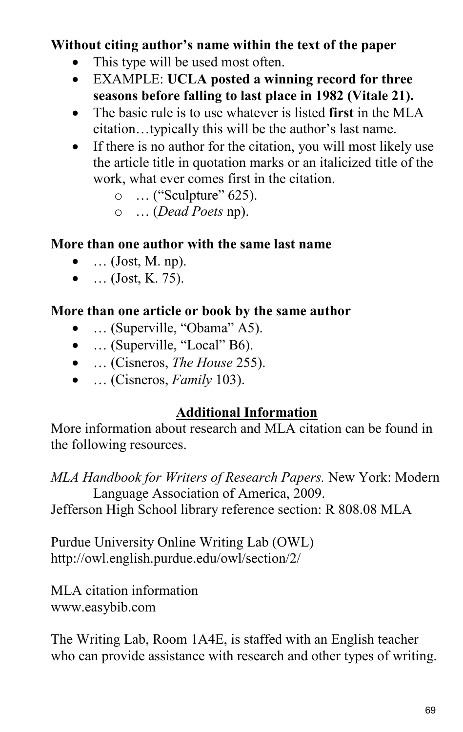## **Without citing author's name within the text of the paper**

- This type will be used most often.
- EXAMPLE: **UCLA posted a winning record for three seasons before falling to last place in 1982 (Vitale 21).**
- The basic rule is to use whatever is listed **first** in the MLA citation…typically this will be the author's last name.
- If there is no author for the citation, you will most likely use the article title in quotation marks or an italicized title of the work, what ever comes first in the citation.
	- o … ("Sculpture" 625).
	- o … (*Dead Poets* np).

## **More than one author with the same last name**

- $\bullet$  ... (Jost, M. np).
- $...$  (Jost, K. 75).

## **More than one article or book by the same author**

- ... (Superville, "Obama" A5).
- ... (Superville, "Local" B6).
- … (Cisneros, *The House* 255).
- … (Cisneros, *Family* 103).

## **Additional Information**

More information about research and MLA citation can be found in the following resources.

*MLA Handbook for Writers of Research Papers.* New York: Modern Language Association of America, 2009.

Jefferson High School library reference section: R 808.08 MLA

Purdue University Online Writing Lab (OWL) http://owl.english.purdue.edu/owl/section/2/

MLA citation information www.easybib.com

The Writing Lab, Room 1A4E, is staffed with an English teacher who can provide assistance with research and other types of writing.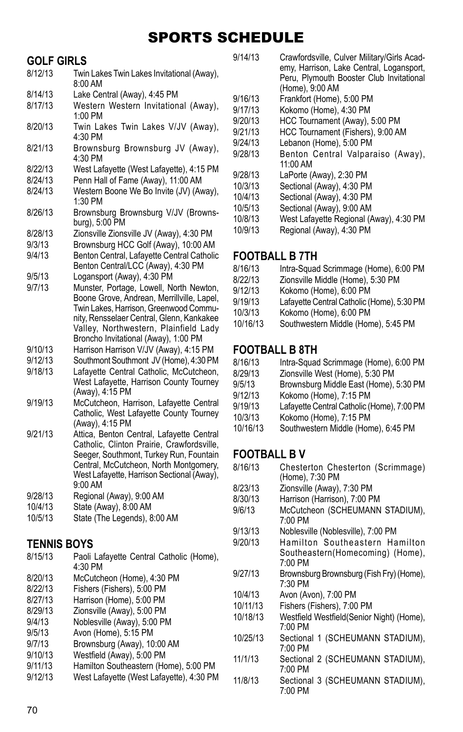## Sports Schedule

### **GOLF GIRLS**

- 8/12/13 Twin Lakes Twin Lakes Invitational (Away), 8:00 AM 8/14/13 Lake Central (Away), 4:45 PM
- 8/17/13 Western Western Invitational (Away), 1:00 PM
- 8/20/13 Twin Lakes Twin Lakes V/JV (Away), 4:30 PM
- 8/21/13 Brownsburg Brownsburg JV (Away), 4:30 PM
- 8/22/13 West Lafayette (West Lafayette), 4:15 PM
- 8/24/13 Penn Hall of Fame (Away), 11:00 AM<br>8/24/13 Western Boone We Bo Invite (JV) (A
- Western Boone We Bo Invite (JV) (Away), 1:30 PM
- 8/26/13 Brownsburg Brownsburg V/JV (Brownsburg), 5:00 PM
- 8/28/13 Zionsville Zionsville JV (Away), 4:30 PM<br>9/3/13 Brownsburg HCC Golf (Away), 10:00 AM
- Brownsburg HCC Golf (Away), 10:00 AM
- 9/4/13 Benton Central, Lafayette Central Catholic Benton Central/LCC (Away), 4:30 PM
- 9/5/13 Logansport (Away), 4:30 PM
- 9/7/13 Munster, Portage, Lowell, North Newton, Boone Grove, Andrean, Merrillville, Lapel, Twin Lakes, Harrison, Greenwood Community, Rensselaer Central, Glenn, Kankakee Valley, Northwestern, Plainfield Lady Broncho Invitational (Away), 1:00 PM
- 9/10/13 Harrison Harrison V/JV (Away), 4:15 PM
- 9/12/13 Southmont Southmont JV (Home), 4:30 PM
- Lafayette Central Catholic, McCutcheon, West Lafayette, Harrison County Tourney (Away), 4:15 PM
- 9/19/13 McCutcheon, Harrison, Lafayette Central Catholic, West Lafayette County Tourney (Away), 4:15 PM
- 9/21/13 Attica, Benton Central, Lafayette Central Catholic, Clinton Prairie, Crawfordsville, Seeger, Southmont, Turkey Run, Fountain Central, McCutcheon, North Montgomery, West Lafayette, Harrison Sectional (Away), 9:00 AM
- 9/28/13 Regional (Away), 9:00 AM<br>10/4/13 State (Away) 8:00 AM
- 10/4/13 State (Away), 8:00 AM
- State (The Legends), 8:00 AM

# **TENNIS BOYS**<br>8/15/13 Paoli

Paoli Lafayette Central Catholic (Home), 4:30 PM 8/20/13 McCutcheon (Home), 4:30 PM<br>8/22/13 Fishers (Fishers), 5:00 PM Fishers (Fishers), 5:00 PM 8/27/13 Harrison (Home), 5:00 PM 8/29/13 Zionsville (Away), 5:00 PM 9/4/13 Noblesville (Away), 5:00 PM<br>9/5/13 Avon (Home), 5:15 PM Avon (Home), 5:15 PM 9/7/13 Brownsburg (Away), 10:00 AM 9/10/13 Westfield (Away), 5:00 PM<br>9/11/13 Hamilton Southeastern (Ho 9/11/13 Hamilton Southeastern (Home), 5:00 PM<br>9/12/13 West Lafayette (West Lafayette), 4:30 PM West Lafayette (West Lafayette), 4:30 PM

9/14/13 Crawfordsville, Culver Military/Girls Academy, Harrison, Lake Central, Logansport, Peru, Plymouth Booster Club Invitational (Home), 9:00 AM 9/16/13 Frankfort (Home), 5:00 PM<br>9/17/13 Kokomo (Home) 4:30 PM 9/17/13 Kokomo (Home), 4:30 PM<br>9/20/13 HCC Tournament (Away), HCC Tournament (Away), 5:00 PM 9/21/13 HCC Tournament (Fishers), 9:00 AM<br>9/24/13 Lebanon (Home), 5:00 PM 9/24/13 Lebanon (Home), 5:00 PM<br>9/28/13 Benton Central Valpar Benton Central Valparaiso (Away), 11:00 AM 9/28/13 LaPorte (Away), 2:30 PM<br>10/3/13 Sectional (Away) 4:30 PM 10/3/13 Sectional (Away), 4:30 PM Sectional (Away), 4:30 PM 10/5/13 Sectional (Away), 9:00 AM<br>10/8/13 West Lafavette Regional (A 10/8/13 West Lafayette Regional (Away), 4:30 PM Regional (Away), 4:30 PM

#### **FOOTBALL B 7TH**

8/16/13 Intra-Squad Scrimmage (Home), 6:00 PM 8/22/13 Zionsville Middle (Home), 5:30 PM 9/12/13 Kokomo (Home), 6:00 PM<br>9/19/13 I afavette Central Catholic (I Lafayette Central Catholic (Home), 5:30 PM 10/3/13 Kokomo (Home), 6:00 PM 10/16/13 Southwestern Middle (Home), 5:45 PM

## **FOOTBALL B 8TH**

| 8/16/13  | Intra-Squad Scrimmage (Home), 6:00 PM      |
|----------|--------------------------------------------|
| 8/29/13  | Zionsville West (Home), 5:30 PM            |
| 9/5/13   | Brownsburg Middle East (Home), 5:30 PM     |
| 9/12/13  | Kokomo (Home), 7:15 PM                     |
| 9/19/13  | Lafayette Central Catholic (Home), 7:00 PM |
| 10/3/13  | Kokomo (Home), 7:15 PM                     |
| 10/16/13 | Southwestern Middle (Home), 6:45 PM        |

## **FOOTBALL B V**

| 8/16/13  | Chesterton Chesterton (Scrimmage)<br>(Home), 7:30 PM                          |
|----------|-------------------------------------------------------------------------------|
| 8/23/13  | Zionsville (Away), 7:30 PM                                                    |
| 8/30/13  | Harrison (Harrison), 7:00 PM                                                  |
| 9/6/13   | McCutcheon (SCHEUMANN STADIUM),<br>7:00 PM                                    |
| 9/13/13  | Noblesville (Noblesville), 7:00 PM                                            |
| 9/20/13  | Hamilton Southeastern Hamilton<br>Southeastern(Homecoming) (Home),<br>7:00 PM |
| 9/27/13  | Brownsburg Brownsburg (Fish Fry) (Home),<br>7:30 PM                           |
| 10/4/13  | Avon (Avon), 7:00 PM                                                          |
| 10/11/13 | Fishers (Fishers), 7:00 PM                                                    |
| 10/18/13 | Westfield Westfield (Senior Night) (Home),<br>7:00 PM                         |
| 10/25/13 | Sectional 1 (SCHEUMANN STADIUM),<br>7:00 PM                                   |
| 11/1/13  | Sectional 2 (SCHEUMANN STADIUM),<br>7:00 PM                                   |
| 11/8/13  | Sectional 3 (SCHEUMANN STADIUM),<br>7:00 PM                                   |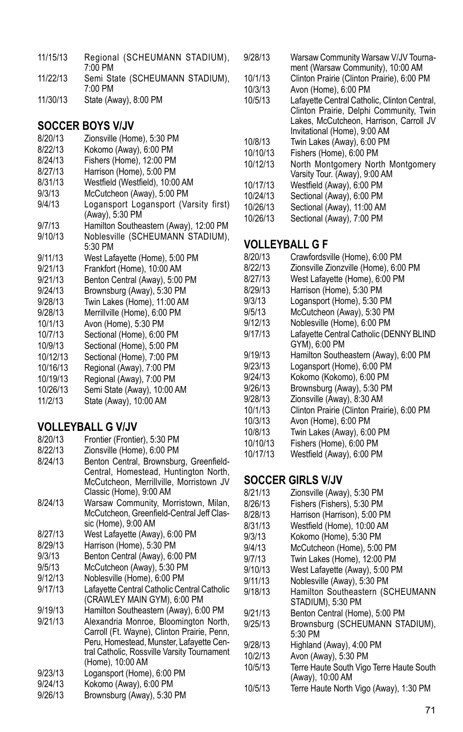| 11/15/13 | Regional (SCHEUMANN STADIUM),<br>7:00 PM   |  |
|----------|--------------------------------------------|--|
| 11/22/13 | Semi State (SCHEUMANN STADIUM),<br>7:00 PM |  |
| 11/30/13 | State (Away), 8:00 PM                      |  |

# **Soccer Boys V/JV**

- 8/20/13 Zionsville (Home), 5:30 PM
- 8/22/13 Kokomo (Away), 6:00 PM
- Fishers (Home), 12:00 PM
- 8/27/13 Harrison (Home), 5:00 PM<br>8/31/13 Westfield (Westfield) 10:00
- 8/31/13 Westfield (Westfield), 10:00 AM<br>9/3/13 McCutcheon (Away), 5:00 PM McCutcheon (Away), 5:00 PM
- 9/4/13 Logansport Logansport (Varsity first)
- (Away), 5:30 PM
- 9/7/13 Hamilton Southeastern (Away), 12:00 PM<br>9/10/13 Noblesville (SCHEUMANN STADIUM). Noblesville (SCHEUMANN STADIUM),
- 5:30 PM
- 9/11/13 West Lafayette (Home), 5:00 PM
- 9/21/13 Frankfort (Home), 10:00 AM
- 9/21/13 Benton Central (Away), 5:00 PM
- 9/24/13 Brownsburg (Away), 5:30 PM<br>9/28/13 Twin Lakes (Home) 11:00 AM
- 9/28/13 Twin Lakes (Home), 11:00 AM<br>9/28/13 Merrillville (Home), 6:00 PM
- Merrillville (Home), 6:00 PM
- 10/1/13 Avon (Home), 5:30 PM<br>10/7/13 Sectional (Home) 6:00
- 10/7/13 Sectional (Home), 6:00 PM
- Sectional (Home), 5:00 PM
- 10/12/13 Sectional (Home), 7:00 PM
- 10/16/13 Regional (Away), 7:00 PM
- 10/19/13 Regional (Away), 7:00 PM
- Semi State (Away), 10:00 AM
- 11/2/13 State (Away), 10:00 AM

### **VOLLEYBALL G V/JV**

- 8/20/13 Frontier (Frontier), 5:30 PM
- 8/22/13 Zionsville (Home), 6:00 PM<br>8/24/13 Benton Central Brownsbur
- Benton Central, Brownsburg, Greenfield-Central, Homestead, Huntington North, McCutcheon, Merrillville, Morristown JV Classic (Home), 9:00 AM
- 8/24/13 Warsaw Community, Morristown, Milan, McCutcheon, Greenfield-Central Jeff Classic (Home), 9:00 AM
- 8/27/13 West Lafayette (Away), 6:00 PM
- 8/29/13 Harrison (Home), 5:30 PM
- 9/3/13 Benton Central (Away), 6:00 PM<br>9/5/13 McCutcheon (Away), 5:30 PM
- 9/5/13 McCutcheon (Away), 5:30 PM
- Noblesville (Home), 6:00 PM
- 9/17/13 Lafayette Central Catholic Central Catholic (CRAWLEY MAIN GYM), 6:00 PM
- 9/19/13 Hamilton Southeastern (Away), 6:00 PM
- 9/21/13 Alexandria Monroe, Bloomington North, Carroll (Ft. Wayne), Clinton Prairie, Penn, Peru, Homestead, Munster, Lafayette Central Catholic, Rossville Varsity Tournament (Home), 10:00 AM
- 9/23/13 Logansport (Home), 6:00 PM<br>9/24/13 Kokomo (Away), 6:00 PM
- Kokomo (Away), 6:00 PM
- 9/26/13 Brownsburg (Away), 5:30 PM
- 9/28/13 Warsaw Community Warsaw V/JV Tournament (Warsaw Community), 10:00 AM
- 10/1/13 Clinton Prairie (Clinton Prairie), 6:00 PM
- 10/3/13 Avon (Home), 6:00 PM
- 10/5/13 Lafayette Central Catholic, Clinton Central, Clinton Prairie, Delphi Community, Twin Lakes, McCutcheon, Harrison, Carroll JV Invitational (Home), 9:00 AM
- 10/8/13 Twin Lakes (Away), 6:00 PM
- Fishers (Home), 6:00 PM
- 10/12/13 North Montgomery North Montgomery Varsity Tour. (Away), 9:00 AM
- 10/17/13 Westfield (Away), 6:00 PM
- Sectional (Away), 6:00 PM
- 10/26/13 Sectional (Away), 11:00 AM<br>10/26/13 Sectional (Away) 7:00 PM
- Sectional (Away), 7:00 PM

#### **VOLLEYBALL G F**

8/20/13 Crawfordsville (Home), 6:00 PM<br>8/22/13 Zionsville Zionzville (Home), 6:00 Zionsville Zionzville (Home), 6:00 PM 8/27/13 West Lafayette (Home), 6:00 PM<br>8/29/13 Harrison (Home), 5:30 PM 8/29/13 Harrison (Home), 5:30 PM 9/3/13 Logansport (Home), 5:30 PM<br>9/5/13 McCutcheon (Away), 5:30 PM McCutcheon (Away), 5:30 PM 9/12/13 Noblesville (Home), 6:00 PM<br>9/17/13 Lafavette Central Catholic (DI Lafayette Central Catholic (DENNY BLIND GYM), 6:00 PM 9/19/13 Hamilton Southeastern (Away), 6:00 PM 9/23/13 Logansport (Home), 6:00 PM<br>9/24/13 Kokomo (Kokomo) 6:00 PM 9/24/13 Kokomo (Kokomo), 6:00 PM 9/26/13 Brownsburg (Away), 5:30 PM<br>9/28/13 Zionsville (Away), 8:30 AM 9/28/13 Zionsville (Away), 8:30 AM 10/1/13 Clinton Prairie (Clinton Prairie), 6:00 PM 10/3/13 Avon (Home), 6:00 PM<br>10/8/13 Twin Lakes (Away), 6:0 10/8/13 Twin Lakes (Away), 6:00 PM 10/10/13 Fishers (Home), 6:00 PM Westfield (Away), 6:00 PM

#### **Soccer Girls V/JV**

- 8/21/13 Zionsville (Away), 5:30 PM Fishers (Fishers), 5:30 PM
- 8/28/13 Harrison (Harrison), 5:00 PM
- 
- 8/31/13 Westfield (Home), 10:00 AM<br>9/3/13 Kokomo (Home), 5:30 PM
- 9/3/13 Kokomo (Home), 5:30 PM<br>9/4/13 McCutcheon (Home), 5:00 McCutcheon (Home), 5:00 PM
- 9/7/13 Twin Lakes (Home), 12:00 PM<br>9/10/13 West Lafavette (Away), 5:00 P
- 9/10/13 West Lafayette (Away), 5:00 PM<br>9/11/13 Noblesville (Away), 5:30 PM
- 9/11/13 Noblesville (Away), 5:30 PM<br>9/18/13 Hamilton Southeastern (S)
- Hamilton Southeastern (SCHEUMANN STADIUM), 5:30 PM
- 9/21/13 Benton Central (Home), 5:00 PM<br>9/25/13 Brownsburg (SCHEUMANN ST
- Brownsburg (SCHEUMANN STADIUM), 5:30 PM
- 9/28/13 Highland (Away), 4:00 PM<br>10/2/13 Avon (Away), 5:30 PM
- 10/2/13 Avon (Away), 5:30 PM
	- Terre Haute South Vigo Terre Haute South (Away), 10:00 AM
- 10/5/13 Terre Haute North Vigo (Away), 1:30 PM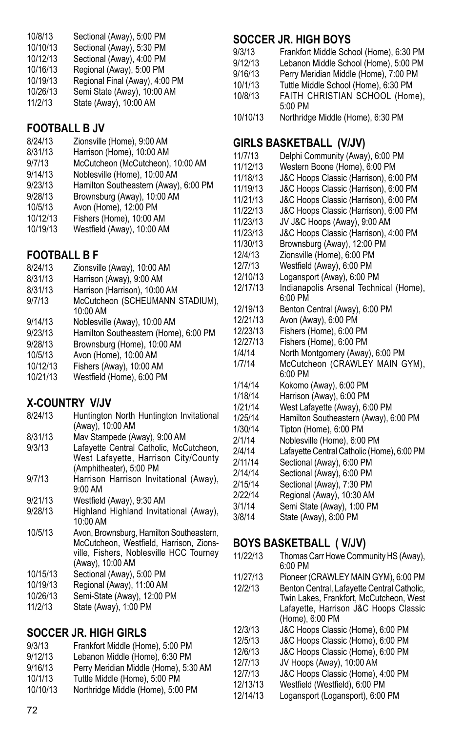| 10/8/13  | Sectional (Away), 5:00 PM      |
|----------|--------------------------------|
| 10/10/13 | Sectional (Away), 5:30 PM      |
| 10/12/13 | Sectional (Away), 4:00 PM      |
| 10/16/13 | Regional (Away), 5:00 PM       |
| 10/19/13 | Regional Final (Away), 4:00 PM |
| 10/26/13 | Semi State (Away), 10:00 AM    |
| 11/2/13  | State (Away), 10:00 AM         |
|          |                                |

# **FOOTBALL B JV**

- 8/24/13 Zionsville (Home), 9:00 AM
- Harrison (Home), 10:00 AM
- 9/7/13 McCutcheon (McCutcheon), 10:00 AM<br>9/14/13 Noblesville (Home) 10:00 AM
- 9/14/13 Noblesville (Home), 10:00 AM<br>9/23/13 Hamilton Southeastern (Away)
- Hamilton Southeastern (Away), 6:00 PM
- 9/28/13 Brownsburg (Away), 10:00 AM
- 10/5/13 Avon (Home), 12:00 PM<br>10/12/13 Fishers (Home) 10:00 A
- 10/12/13 Fishers (Home), 10:00 AM
- Westfield (Away), 10:00 AM

# **FOOTBALL B F**

- Zionsville (Away), 10:00 AM
- 8/31/13 Harrison (Away), 9:00 AM
- 8/31/13 Harrison (Harrison), 10:00 AM<br>9/7/13 McCutcheon (SCHFUMANN
- McCutcheon (SCHEUMANN STADIUM), 10:00 AM
- 9/14/13 Noblesville (Away), 10:00 AM<br>9/23/13 Hamilton Southeastern (Home
- 9/23/13 Hamilton Southeastern (Home), 6:00 PM<br>9/28/13 Brownsburg (Home), 10:00 AM
- Brownsburg (Home), 10:00 AM
- 10/5/13 Avon (Home), 10:00 AM
- 10/12/13 Fishers (Away), 10:00 AM
- Westfield (Home), 6:00 PM

### **X-COUNTRY V/JV**

- 8/24/13 Huntington North Huntington Invitational (Away), 10:00 AM 8/31/13 Mav Stampede (Away), 9:00 AM<br>9/3/13 I afavette Central Catholic McC Lafayette Central Catholic, McCutcheon, West Lafayette, Harrison City/County (Amphitheater), 5:00 PM 9/7/13 Harrison Harrison Invitational (Away), 9:00 AM 9/21/13 Westfield (Away), 9:30 AM
- 9/28/13 Highland Highland Invitational (Away), 10:00 AM
- 10/5/13 Avon, Brownsburg, Hamilton Southeastern, McCutcheon, Westfield, Harrison, Zionsville, Fishers, Noblesville HCC Tourney (Away), 10:00 AM
- 10/15/13 Sectional (Away), 5:00 PM
- 10/19/13 Regional (Away), 11:00 AM
- 10/26/13 Semi-State (Away), 12:00 PM<br>11/2/13 State (Away), 1:00 PM
- State (Away), 1:00 PM

## **Soccer Jr. High Girls**

| 9/3/13   | Frankfort Middle (Home), 5:00 PM      |
|----------|---------------------------------------|
| 9/12/13  | Lebanon Middle (Home), 6:30 PM        |
| 9/16/13  | Perry Meridian Middle (Home), 5:30 AM |
| 10/1/13  | Tuttle Middle (Home), 5:00 PM         |
| 10/10/13 | Northridge Middle (Home), 5:00 PM     |

#### **Soccer Jr. High Boys**

9/3/13 Frankfort Middle School (Home), 6:30 PM<br>9/12/13 Lebanon Middle School (Home), 5:00 PM 9/12/13 Lebanon Middle School (Home), 5:00 PM<br>9/16/13 Perry Meridian Middle (Home), 7:00 PM Perry Meridian Middle (Home), 7:00 PM 10/1/13 Tuttle Middle School (Home), 6:30 PM 10/8/13 FAITH CHRISTIAN SCHOOL (Home), 5:00 PM 10/10/13 Northridge Middle (Home), 6:30 PM

# **GIRLS BASKETBALL (V/JV)**<br>11/7/13 Delphi Community (Away

11/7/13 Delphi Community (Away), 6:00 PM 11/12/13 Western Boone (Home), 6:00 PM 11/18/13 J&C Hoops Classic (Harrison), 6:00 PM 11/19/13 J&C Hoops Classic (Harrison), 6:00 PM J&C Hoops Classic (Harrison), 6:00 PM 11/22/13 J&C Hoops Classic (Harrison), 6:00 PM 11/23/13 JV J&C Hoops (Away), 9:00 AM 11/23/13 J&C Hoops Classic (Harrison), 4:00 PM 11/30/13 Brownsburg (Away), 12:00 PM 12/4/13 Zionsville (Home), 6:00 PM 12/7/13 Westfield (Away), 6:00 PM Logansport (Away), 6:00 PM 12/17/13 Indianapolis Arsenal Technical (Home), 6:00 PM 12/19/13 Benton Central (Away), 6:00 PM 12/21/13 Avon (Away), 6:00 PM 12/23/13 Fishers (Home), 6:00 PM 12/27/13 Fishers (Home), 6:00 PM North Montgomery (Away), 6:00 PM 1/7/14 McCutcheon (CRAWLEY MAIN GYM), 6:00 PM 1/14/14 Kokomo (Away), 6:00 PM<br>1/18/14 Harrison (Away), 6:00 PM Harrison (Away), 6:00 PM 1/21/14 West Lafayette (Away), 6:00 PM 1/25/14 Hamilton Southeastern (Away), 6:00 PM Tipton (Home), 6:00 PM 2/1/14 Noblesville (Home), 6:00 PM 2/4/14 Lafayette Central Catholic (Home), 6:00 PM 2/11/14 Sectional (Away), 6:00 PM Sectional (Away), 6:00 PM 2/15/14 Sectional (Away), 7:30 PM 2/22/14 Regional (Away), 10:30 AM 3/1/14 Semi State (Away), 1:00 PM State (Away), 8:00 PM

### **BOYS BASKETBALL ( V/JV)**

| 11/22/13 | Thomas Carr Howe Community HS (Away),       |
|----------|---------------------------------------------|
|          | 6:00 PM                                     |
| 11/27/13 | Pioneer (CRAWLEY MAIN GYM), 6:00 PM         |
| 12/2/13  | Benton Central, Lafayette Central Catholic, |
|          | Twin Lakes, Frankfort, McCutcheon, West     |
|          | Lafayette, Harrison J&C Hoops Classic       |
|          | (Home), 6:00 PM                             |
| 12/3/13  | J&C Hoops Classic (Home), 6:00 PM           |
| 12/5/13  | J&C Hoops Classic (Home), 6:00 PM           |
| 12/6/13  | J&C Hoops Classic (Home), 6:00 PM           |
| 12/7/13  | JV Hoops (Away), 10:00 AM                   |
| 12/7/13  | J&C Hoops Classic (Home), 4:00 PM           |
| 12/13/13 | Westfield (Westfield), 6:00 PM              |
| 12/14/13 | Logansport (Logansport), 6:00 PM            |
|          |                                             |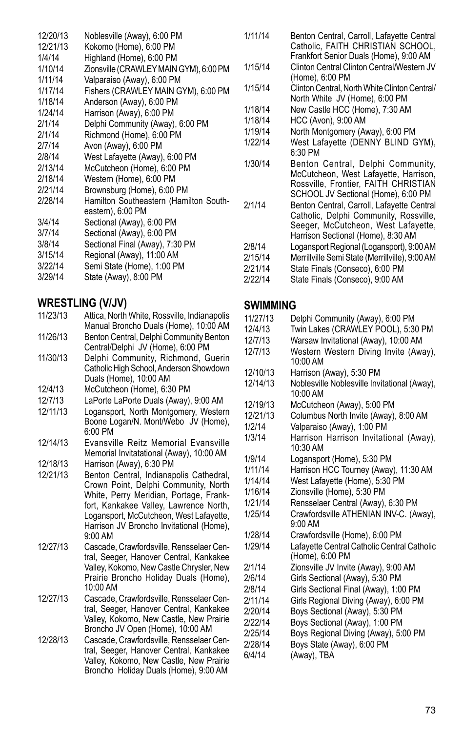| 12/20/13 | Noblesville (Away), 6:00 PM            | 1              |
|----------|----------------------------------------|----------------|
| 12/21/13 | Kokomo (Home), 6:00 PM                 |                |
| 1/4/14   | Highland (Home), 6:00 PM               |                |
| 1/10/14  | Zionsville (CRAWLEY MAIN GYM), 6:00 PM | 1              |
| 1/11/14  | Valparaiso (Away), 6:00 PM             |                |
| 1/17/14  | Fishers (CRAWLEY MAIN GYM), 6:00 PM    | 1              |
| 1/18/14  | Anderson (Away), 6:00 PM               |                |
| 1/24/14  | Harrison (Away), 6:00 PM               | 1              |
| 2/1/14   | Delphi Community (Away), 6:00 PM       | 1              |
| 2/1/14   | Richmond (Home), 6:00 PM               | $\mathbf{1}$   |
| 2/7/14   | Avon (Away), 6:00 PM                   | 1              |
| 2/8/14   | West Lafayette (Away), 6:00 PM         |                |
| 2/13/14  | McCutcheon (Home), 6:00 PM             | 1              |
| 2/18/14  | Western (Home), 6:00 PM                |                |
| 2/21/14  | Brownsburg (Home), 6:00 PM             |                |
| 2/28/14  | Hamilton Southeastern (Hamilton South- | 2              |
|          | eastern), 6:00 PM                      |                |
| 3/4/14   | Sectional (Away), 6:00 PM              |                |
| 3/7/14   | Sectional (Away), 6:00 PM              |                |
| 3/8/14   | Sectional Final (Away), 7:30 PM        | 2              |
| 3/15/14  | Regional (Away), 11:00 AM              | $\overline{c}$ |
| 3/22/14  | Semi State (Home), 1:00 PM             | $\overline{c}$ |
| 3/29/14  | State (Away), 8:00 PM                  | 2              |
|          |                                        |                |

#### **WRESTLING (V/JV)**

- 11/23/13 Attica, North White, Rossville, Indianapolis Manual Broncho Duals (Home), 10:00 AM
- 11/26/13 Benton Central, Delphi Community Benton Central/Delphi JV (Home), 6:00 PM
- 11/30/13 Delphi Community, Richmond, Guerin Catholic High School, Anderson Showdown Duals (Home), 10:00 AM
- 12/4/13 McCutcheon (Home), 6:30 PM<br>12/7/13 LaPorte LaPorte Duals (Away)
- 12/7/13 LaPorte LaPorte Duals (Away), 9:00 AM
- Logansport, North Montgomery, Western Boone Logan/N. Mont/Webo JV (Home), 6:00 PM
- 12/14/13 Evansville Reitz Memorial Evansville Memorial Invitatational (Away), 10:00 AM
- 12/18/13 Harrison (Away), 6:30 PM
- Benton Central, Indianapolis Cathedral, Crown Point, Delphi Community, North White, Perry Meridian, Portage, Frankfort, Kankakee Valley, Lawrence North, Logansport, McCutcheon, West Lafayette, Harrison JV Broncho Invitational (Home), 9:00 AM
- 12/27/13 Cascade, Crawfordsville, Rensselaer Central, Seeger, Hanover Central, Kankakee Valley, Kokomo, New Castle Chrysler, New Prairie Broncho Holiday Duals (Home), 10:00 AM
- 12/27/13 Cascade, Crawfordsville, Rensselaer Central, Seeger, Hanover Central, Kankakee Valley, Kokomo, New Castle, New Prairie Broncho JV Open (Home), 10:00 AM
- 12/28/13 Cascade, Crawfordsville, Rensselaer Central, Seeger, Hanover Central, Kankakee Valley, Kokomo, New Castle, New Prairie Broncho Holiday Duals (Home), 9:00 AM
- 1/11/14 Benton Central, Carroll, Lafayette Central Catholic, FAITH CHRISTIAN SCHOOL, Frankfort Senior Duals (Home), 9:00 AM
- 1/15/14 Clinton Central Clinton Central/Western JV (Home), 6:00 PM
- 1/15/14 Clinton Central, North White Clinton Central/ North White JV (Home), 6:00 PM
- 118/14 New Castle HCC (Home), 7:30 AM<br>118/14 HCC (Avon) 9:00 AM
- 118/14 HCC (Avon), 9:00 AM<br>119/14 North Montgomery (Av
	- North Montgomery (Away), 6:00 PM
- 1/22/14 West Lafayette (DENNY BLIND GYM), 6:30 PM
- 1/30/14 Benton Central, Delphi Community, McCutcheon, West Lafayette, Harrison, Rossville, Frontier, FAITH CHRISTIAN SCHOOL JV Sectional (Home), 6:00 PM 2/1/14 Benton Central, Carroll, Lafayette Central
	- Catholic, Delphi Community, Rossville, Seeger, McCutcheon, West Lafayette, Harrison Sectional (Home), 8:30 AM
- 2/8/14 Logansport Regional (Logansport), 9:00 AM
- 2/15/14 Merrillville Semi State (Merrillville), 9:00 AM
- 2/21/14 State Finals (Conseco), 6:00 PM
- State Finals (Conseco), 9:00 AM

#### **SWIMMING**

| 11/27/13 | Delphi Community (Away), 6:00 PM             |
|----------|----------------------------------------------|
| 12/4/13  | Twin Lakes (CRAWLEY POOL), 5:30 PM           |
| 12/7/13  | Warsaw Invitational (Away), 10:00 AM         |
| 12/7/13  | Western Western Diving Invite (Away),        |
|          | 10:00 AM                                     |
| 12/10/13 | Harrison (Away), 5:30 PM                     |
| 12/14/13 | Noblesville Noblesville Invitational (Away), |
|          | 10:00 AM                                     |
| 12/19/13 | McCutcheon (Away), 5:00 PM                   |
| 12/21/13 | Columbus North Invite (Away), 8:00 AM        |
| 1/2/14   | Valparaiso (Away), 1:00 PM                   |
| 1/3/14   | Harrison Harrison Invitational (Away),       |
|          | 10:30 AM                                     |
| 1/9/14   | Logansport (Home), 5:30 PM                   |
| 1/11/14  | Harrison HCC Tourney (Away), 11:30 AM        |
| 1/14/14  | West Lafayette (Home), 5:30 PM               |
| 1/16/14  | Zionsville (Home), 5:30 PM                   |
| 1/21/14  | Rensselaer Central (Away), 6:30 PM           |
| 1/25/14  | Crawfordsville ATHENIAN INV-C. (Away),       |
|          | 9:00 AM                                      |
| 1/28/14  | Crawfordsville (Home), 6:00 PM               |
| 1/29/14  | Lafayette Central Catholic Central Catholic  |
|          | (Home), 6:00 PM                              |
| 2/1/14   | Zionsville JV Invite (Away), 9:00 AM         |
| 2/6/14   | Girls Sectional (Away), 5:30 PM              |
| 2/8/14   | Girls Sectional Final (Away), 1:00 PM        |
| 2/11/14  | Girls Regional Diving (Away), 6:00 PM        |
| 2/20/14  | Boys Sectional (Away), 5:30 PM               |
| 2/22/14  | Boys Sectional (Away), 1:00 PM               |
| 2/25/14  | Boys Regional Diving (Away), 5:00 PM         |
| 2/28/14  | Boys State (Away), 6:00 PM                   |
| 6/4/14   | (Away), TBA                                  |
|          |                                              |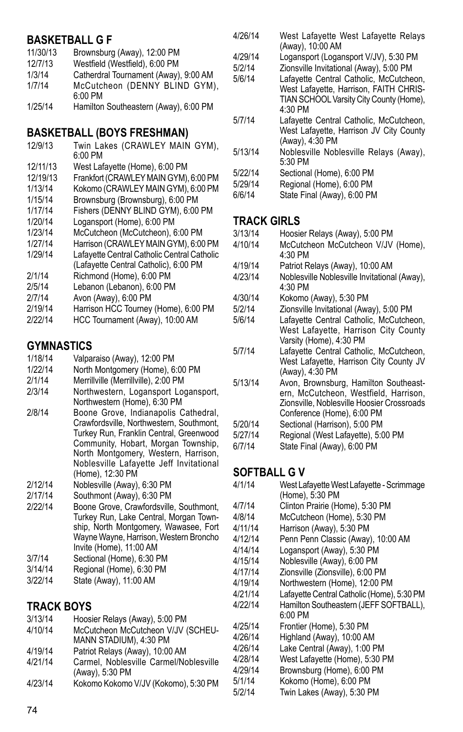#### **BASKETBALL G F**

- 11/30/13 Brownsburg (Away), 12:00 PM
- 12/7/13 Westfield (Westfield), 6:00 PM<br>1/3/14 Catherdral Tournament (Away)
- Catherdral Tournament (Away), 9:00 AM 1/7/14 McCutcheon (DENNY BLIND GYM),
- 6:00 PM
- 1/25/14 Hamilton Southeastern (Away), 6:00 PM

# **BASKETBALL (Boys Freshman)**

- 12/9/13 Twin Lakes (CRAWLEY MAIN GYM), 6:00 PM 12/11/13 West Lafayette (Home), 6:00 PM 12/19/13 Frankfort (CRAWLEY MAIN GYM), 6:00 PM 1/13/14 Kokomo (CRAWLEY MAIN GYM), 6:00 PM Brownsburg (Brownsburg), 6:00 PM 1/17/14 Fishers (DENNY BLIND GYM), 6:00 PM 1/20/14 Logansport (Home), 6:00 PM<br>1/23/14 McCutcheon (McCutcheon) 6 1/23/14 McCutcheon (McCutcheon), 6:00 PM<br>1/27/14 Harrison (CRAWLEY MAIN GYM), 6:00 Harrison (CRAWLEY MAIN GYM), 6:00 PM 1/29/14 Lafayette Central Catholic Central Catholic (Lafayette Central Catholic), 6:00 PM
- 2/1/14 Richmond (Home), 6:00 PM
- Lebanon (Lebanon), 6:00 PM
- 2/7/14 Avon (Away), 6:00 PM<br>2/19/14 Harrison HCC Tourney
- 2/19/14 Harrison HCC Tourney (Home), 6:00 PM<br>2/22/14 HCC Tournament (Away), 10:00 AM
- HCC Tournament (Away), 10:00 AM

# **GYMNASTICS**<br>1/18/14 Valna

- Valparaiso (Away), 12:00 PM
- 1/22/14 North Montgomery (Home), 6:00 PM
- 2/1/14 Merrillville (Merrillville), 2:00 PM<br>2/3/14 Northwestern Logansport Log
- Northwestern, Logansport Logansport, Northwestern (Home), 6:30 PM
- 2/8/14 Boone Grove, Indianapolis Cathedral, Crawfordsville, Northwestern, Southmont, Turkey Run, Franklin Central, Greenwood Community, Hobart, Morgan Township, North Montgomery, Western, Harrison, Noblesville Lafayette Jeff Invitational (Home), 12:30 PM
- 2/12/14 Noblesville (Away), 6:30 PM
- 2/17/14 Southmont (Away), 6:30 PM
- 2/22/14 Boone Grove, Crawfordsville, Southmont, Turkey Run, Lake Central, Morgan Township, North Montgomery, Wawasee, Fort Wayne Wayne, Harrison, Western Broncho Invite (Home), 11:00 AM
- 3/7/14 Sectional (Home), 6:30 PM
- 3/14/14 Regional (Home), 6:30 PM
- State (Away), 11:00 AM

## **TRACK BOYS**

| 3/13/14<br>4/10/14 | Hoosier Relays (Away), 5:00 PM<br>McCutcheon McCutcheon V/JV (SCHEU-<br>MANN STADIUM), 4:30 PM |
|--------------------|------------------------------------------------------------------------------------------------|
| 4/19/14            | Patriot Relays (Away), 10:00 AM                                                                |
| 4/21/14            | Carmel. Noblesville Carmel/Noblesville<br>(Away), 5:30 PM                                      |
| 4/23/14            | Kokomo Kokomo V/JV (Kokomo), 5:30 PM                                                           |

- 4/26/14 West Lafayette West Lafayette Relays (Away), 10:00 AM
- 4/29/14 Logansport (Logansport V/JV), 5:30 PM
- 5/2/14 Zionsville Invitational (Away), 5:00 PM
- 5/6/14 Lafayette Central Catholic, McCutcheon, West Lafayette, Harrison, FAITH CHRIS-TIAN SCHOOL Varsity City County (Home), 4:30 PM
- 5/7/14 Lafayette Central Catholic, McCutcheon, West Lafayette, Harrison JV City County (Away), 4:30 PM
- 5/13/14 Noblesville Noblesville Relays (Away), 5:30 PM
- 5/22/14 Sectional (Home), 6:00 PM
- 5/29/14 Regional (Home), 6:00 PM
- State Final (Away), 6:00 PM

# **TRACK GIRLS**<br>3/13/14 Hoosie

- 3/13/14 Hoosier Relays (Away), 5:00 PM
- McCutcheon McCutcheon V/JV (Home), 4:30 PM
- 4/19/14 Patriot Relays (Away), 10:00 AM
	- Noblesville Noblesville Invitational (Away), 4:30 PM
- 4/30/14 Kokomo (Away), 5:30 PM<br>5/2/14 7ionsville Invitational (Awa
	- Zionsville Invitational (Away), 5:00 PM
- 5/6/14 Lafayette Central Catholic, McCutcheon, West Lafayette, Harrison City County Varsity (Home), 4:30 PM
- 5/7/14 Lafayette Central Catholic, McCutcheon, West Lafayette, Harrison City County JV (Away), 4:30 PM
- 5/13/14 Avon, Brownsburg, Hamilton Southeastern, McCutcheon, Westfield, Harrison, Zionsville, Noblesville Hoosier Crossroads Conference (Home), 6:00 PM
- 5/20/14 Sectional (Harrison), 5:00 PM
- 5/27/14 Regional (West Lafayette), 5:00 PM<br>6/7/14 State Final (Away), 6:00 PM State Final (Away), 6:00 PM

## **SOFTBALL G V**

4/1/14 West Lafayette West Lafayette - Scrimmage (Home), 5:30 PM 4/7/14 Clinton Prairie (Home), 5:30 PM 4/8/14 McCutcheon (Home), 5:30 PM Harrison (Away), 5:30 PM 4/12/14 Penn Penn Classic (Away), 10:00 AM 4/14/14 Logansport (Away), 5:30 PM Noblesville (Away), 6:00 PM 4/17/14 Zionsville (Zionsville), 6:00 PM 4/19/14 Northwestern (Home), 12:00 PM<br>4/21/14 I afavette Central Catholic (Home) 4/21/14 Lafayette Central Catholic (Home), 5:30 PM Hamilton Southeastern (JEFF SOFTBALL), 6:00 PM 4/25/14 Frontier (Home), 5:30 PM 4/26/14 Highland (Away), 10:00 AM Lake Central (Away), 1:00 PM 4/28/14 West Lafayette (Home), 5:30 PM 4/29/14 Brownsburg (Home), 6:00 PM<br>5/1/14 Kokomo (Home) 6:00 PM 5/1/14 Kokomo (Home), 6:00 PM Twin Lakes (Away), 5:30 PM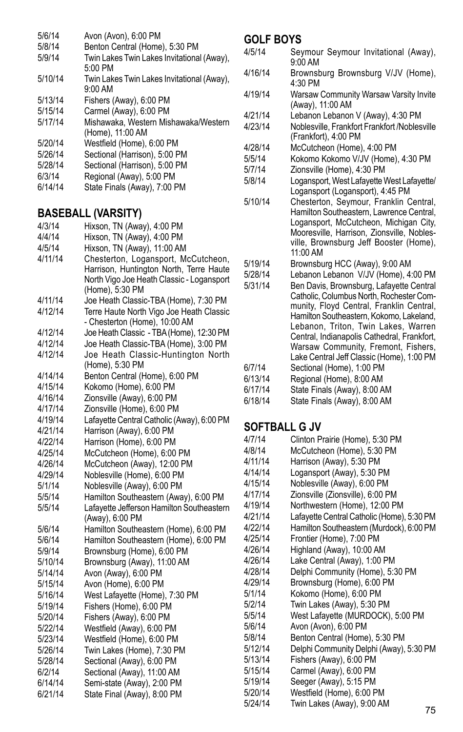- 5/6/14 Avon (Avon), 6:00 PM
- 5/8/14 Benton Central (Home), 5:30 PM
- Twin Lakes Twin Lakes Invitational (Away), 5:00 PM
- 5/10/14 Twin Lakes Twin Lakes Invitational (Away), 9:00 AM 5/13/14 Fishers (Away), 6:00 PM
- 
- 5/15/14 Carmel (Away), 6:00 PM Mishawaka, Western Mishawaka/Western (Home), 11:00 AM 5/20/14 Westfield (Home), 6:00 PM
- 5/26/14 Sectional (Harrison), 5:00 PM
- 5/28/14 Sectional (Harrison), 5:00 PM
- Regional (Away), 5:00 PM
- 6/14/14 State Finals (Away), 7:00 PM

### **BASEBALL (Varsity)**

- 4/3/14 Hixson, TN (Away), 4:00 PM
- 4/4/14 Hixson, TN (Away), 4:00 PM<br>4/5/14 Hixson TN (Away), 11:00 AM
- Hixson, TN (Away), 11:00 AM
- 4/11/14 Chesterton, Logansport, McCutcheon, Harrison, Huntington North, Terre Haute North Vigo Joe Heath Classic - Logansport (Home), 5:30 PM
- 4/11/14 Joe Heath Classic-TBA (Home), 7:30 PM<br>4/12/14 Terre Haute North Vigo Joe Heath Classic
- Terre Haute North Vigo Joe Heath Classic - Chesterton (Home), 10:00 AM
- 4/12/14 Joe Heath Classic TBA (Home), 12:30 PM
- 4/12/14 Joe Heath Classic-TBA (Home), 3:00 PM Joe Heath Classic-Huntington North
- (Home), 5:30 PM
- 4/14/14 Benton Central (Home), 6:00 PM
- Kokomo (Home), 6:00 PM
- 4/16/14 Zionsville (Away), 6:00 PM
- Zionsville (Home), 6:00 PM
- 4/19/14 Lafayette Central Catholic (Away), 6:00 PM
- 4/21/14 Harrison (Away), 6:00 PM
- 4/22/14 Harrison (Home), 6:00 PM
- 4/25/14 McCutcheon (Home), 6:00 PM
- 4/26/14 McCutcheon (Away), 12:00 PM<br>4/29/14 Noblesville (Home) 6:00 PM
- Noblesville (Home), 6:00 PM
- 5/1/14 Noblesville (Away), 6:00 PM
- 5/5/14 Hamilton Southeastern (Away), 6:00 PM Lafayette Jefferson Hamilton Southeastern (Away), 6:00 PM
- 5/6/14 Hamilton Southeastern (Home), 6:00 PM
- 5/6/14 Hamilton Southeastern (Home), 6:00 PM
- 5/9/14 Brownsburg (Home), 6:00 PM<br>5/10/14 Brownsburg (Away) 11:00 AM
- Brownsburg (Away), 11:00 AM
- 5/14/14 Avon (Away), 6:00 PM
- 5/15/14 Avon (Home), 6:00 PM
- 5/16/14 West Lafayette (Home), 7:30 PM
- Fishers (Home), 6:00 PM
- 5/20/14 Fishers (Away), 6:00 PM
- 5/22/14 Westfield (Away), 6:00 PM Westfield (Home), 6:00 PM
- 5/26/14 Twin Lakes (Home), 7:30 PM
- 
- 5/28/14 Sectional (Away), 6:00 PM 6/2/14 Sectional (Away), 11:00 AM
- Semi-state (Away), 2:00 PM
- 6/21/14 State Final (Away), 8:00 PM

#### **GOLF BOYS**

- 4/5/14 Seymour Seymour Invitational (Away), 9:00 AM
- 4/16/14 Brownsburg Brownsburg V/JV (Home), 4:30 PM
- 4/19/14 Warsaw Community Warsaw Varsity Invite (Away), 11:00 AM
- 4/21/14 Lebanon Lebanon V (Away), 4:30 PM
- 4/23/14 Noblesville, Frankfort Frankfort /Noblesville (Frankfort), 4:00 PM
- 4/28/14 McCutcheon (Home), 4:00 PM
- 5/5/14 Kokomo Kokomo V/JV (Home), 4:30 PM<br>5/7/14 7ionsville (Home) 4:30 PM
- 5/7/14 Zionsville (Home), 4:30 PM
	- Logansport, West Lafayette West Lafayette/ Logansport (Logansport), 4:45 PM
- 5/10/14 Chesterton, Seymour, Franklin Central, Hamilton Southeastern, Lawrence Central, Logansport, McCutcheon, Michigan City, Mooresville, Harrison, Zionsville, Noblesville, Brownsburg Jeff Booster (Home), 11:00 AM
- 5/19/14 Brownsburg HCC (Away), 9:00 AM<br>5/28/14 Lebanon Lebanon V/JV (Home), 4
- Lebanon Lebanon V/JV (Home), 4:00 PM
- 5/31/14 Ben Davis, Brownsburg, Lafayette Central Catholic, Columbus North, Rochester Community, Floyd Central, Franklin Central, Hamilton Southeastern, Kokomo, Lakeland, Lebanon, Triton, Twin Lakes, Warren Central, Indianapolis Cathedral, Frankfort, Warsaw Community, Fremont, Fishers, Lake Central Jeff Classic (Home), 1:00 PM
- 6/7/14 Sectional (Home), 1:00 PM
- 6/13/14 Regional (Home), 8:00 AM State Finals (Away), 8:00 AM
- 
- 6/18/14 State Finals (Away), 8:00 AM

## **SOFTBALL G JV**

- 4/7/14 Clinton Prairie (Home), 5:30 PM<br>4/8/14 McCutcheon (Home), 5:30 PM McCutcheon (Home), 5:30 PM 4/11/14 Harrison (Away), 5:30 PM 4/14/14 Logansport (Away), 5:30 PM 4/15/14 Noblesville (Away), 6:00 PM<br>4/17/14 7ionsville (Zionsville) 6:00 P 4/17/14 Zionsville (Zionsville), 6:00 PM Northwestern (Home), 12:00 PM 4/21/14 Lafayette Central Catholic (Home), 5:30 PM 4/22/14 Hamilton Southeastern (Murdock), 6:00 PM 4/25/14 Frontier (Home), 7:00 PM Highland (Away), 10:00 AM 4/26/14 Lake Central (Away), 1:00 PM<br>4/28/14 Delphi Community (Home) 5:3 4/28/14 Delphi Community (Home), 5:30 PM 4/29/14 Brownsburg (Home), 6:00 PM Kokomo (Home), 6:00 PM 5/2/14 Twin Lakes (Away), 5:30 PM 5/5/14 West Lafayette (MURDOCK), 5:00 PM<br>5/6/14 Avon (Avon), 6:00 PM Avon (Avon), 6:00 PM 5/8/14 Benton Central (Home), 5:30 PM 5/12/14 Delphi Community Delphi (Away), 5:30 PM 5/13/14 Fishers (Away), 6:00 PM Carmel (Away), 6:00 PM 5/19/14 Seeger (Away), 5:15 PM 5/20/14 Westfield (Home), 6:00 PM
	- Twin Lakes (Away), 9:00 AM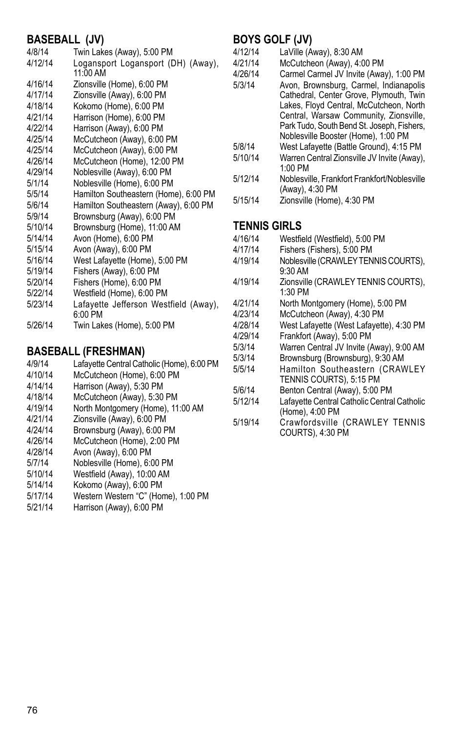#### **BASEBALL (JV)**

| 4/8/14  | Twin Lakes (Away), 5:00 PM                       |
|---------|--------------------------------------------------|
| 4/12/14 | Logansport Logansport (DH) (Away),<br>11:00 AM   |
| 4/16/14 | Zionsville (Home), 6:00 PM                       |
| 4/17/14 | Zionsville (Away), 6:00 PM                       |
| 4/18/14 | Kokomo (Home), 6:00 PM                           |
| 4/21/14 | Harrison (Home), 6:00 PM                         |
| 4/22/14 | Harrison (Away), 6:00 PM                         |
| 4/25/14 | McCutcheon (Away), 6:00 PM                       |
| 4/25/14 | McCutcheon (Away), 6:00 PM                       |
| 4/26/14 | McCutcheon (Home), 12:00 PM                      |
| 4/29/14 | Noblesville (Away), 6:00 PM                      |
| 5/1/14  | Noblesville (Home), 6:00 PM                      |
| 5/5/14  | Hamilton Southeastern (Home), 6:00 PM            |
| 5/6/14  | Hamilton Southeastern (Away), 6:00 PM            |
| 5/9/14  | Brownsburg (Away), 6:00 PM                       |
| 5/10/14 | Brownsburg (Home), 11:00 AM                      |
| 5/14/14 | Avon (Home), 6:00 PM                             |
| 5/15/14 | Avon (Away), 6:00 PM                             |
| 5/16/14 | West Lafayette (Home), 5:00 PM                   |
| 5/19/14 | Fishers (Away), 6:00 PM                          |
| 5/20/14 | Fishers (Home), 6:00 PM                          |
| 5/22/14 | Westfield (Home), 6:00 PM                        |
| 5/23/14 | Lafayette Jefferson Westfield (Away),<br>6:00 PM |
| 5/26/14 | Twin Lakes (Home), 5:00 PM                       |

#### **BASEBALL (Freshman)**

- 4/9/14 Lafayette Central Catholic (Home), 6:00 PM 4/10/14 McCutcheon (Home), 6:00 PM<br>4/14/14 Harrison (Away) 5:30 PM 4/14/14 Harrison (Away), 5:30 PM McCutcheon (Away), 5:30 PM
- 
- 4/19/14 North Montgomery (Home), 11:00 AM<br>4/21/14 7ionsville (Away) 6:00 PM
- 4/21/14 Zionsville (Away), 6:00 PM
- 4/24/14 Brownsburg (Away), 6:00 PM McCutcheon (Home), 2:00 PM
- 
- 4/28/14 Avon (Away), 6:00 PM
- 5/7/14 Noblesville (Home), 6:00 PM Westfield (Away), 10:00 AM
- 5/14/14 Kokomo (Away), 6:00 PM
- 5/17/14 Western Western "C" (Home), 1:00 PM
- Harrison (Away), 6:00 PM

## **BOYS GOLF (JV)**

- 4/12/14 LaVille (Away), 8:30 AM
- 4/21/14 McCutcheon (Away), 4:00 PM<br>4/26/14 Carmel Carmel JV Invite (Awa
	- Carmel Carmel JV Invite (Away), 1:00 PM
- 5/3/14 Avon, Brownsburg, Carmel, Indianapolis Cathedral, Center Grove, Plymouth, Twin Lakes, Floyd Central, McCutcheon, North Central, Warsaw Community, Zionsville, Park Tudo, South Bend St. Joseph, Fishers, Noblesville Booster (Home), 1:00 PM
- 5/8/14 West Lafayette (Battle Ground), 4:15 PM<br>5/10/14 Warren Central Zionsville JV Invite (Away)
- Warren Central Zionsville JV Invite (Away), 1:00 PM
- 5/12/14 Noblesville, Frankfort Frankfort/Noblesville (Away), 4:30 PM
- 5/15/14 Zionsville (Home), 4:30 PM

#### **TENNIS GIRLS**

- 4/16/14 Westfield (Westfield), 5:00 PM<br>4/17/14 Fishers (Fishers), 5:00 PM
- Fishers (Fishers), 5:00 PM
- 4/19/14 Noblesville (CRAWLEY TENNIS COURTS), 9:30 AM
- 4/19/14 Zionsville (CRAWLEY TENNIS COURTS), 1:30 PM
- 4/21/14 North Montgomery (Home), 5:00 PM
- 4/23/14 McCutcheon (Away), 4:30 PM
- 4/28/14 West Lafayette (West Lafayette), 4:30 PM<br>4/29/14 Frankfort (Away), 5:00 PM
- Frankfort (Away), 5:00 PM
- 5/3/14 Warren Central JV Invite (Away), 9:00 AM<br>5/3/14 Brownsburg (Brownsburg), 9:30 AM
- 5/3/14 Brownsburg (Brownsburg), 9:30 AM
- Hamilton Southeastern (CRAWLEY TENNIS COURTS), 5:15 PM
- 5/6/14 Benton Central (Away), 5:00 PM<br>5/12/14 I afavette Central Catholic Centra
- Lafayette Central Catholic Central Catholic (Home), 4:00 PM
- 5/19/14 Crawfordsville (CRAWLEY TENNIS COURTS), 4:30 PM